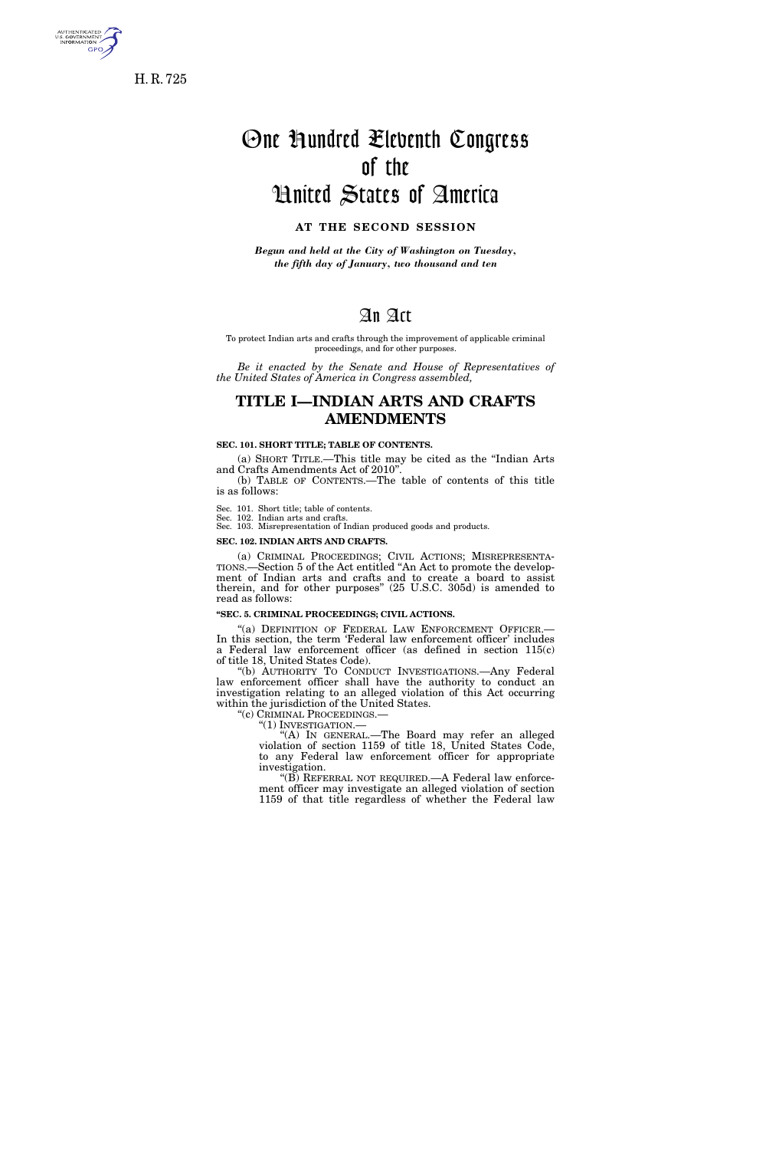

H. R. 725

# One Hundred Eleventh Congress of the United States of America

### **AT THE SECOND SESSION**

*Begun and held at the City of Washington on Tuesday, the fifth day of January, two thousand and ten* 

## An Act

To protect Indian arts and crafts through the improvement of applicable criminal proceedings, and for other purposes.

*Be it enacted by the Senate and House of Representatives of the United States of America in Congress assembled,* 

### **TITLE I—INDIAN ARTS AND CRAFTS AMENDMENTS**

### **SEC. 101. SHORT TITLE; TABLE OF CONTENTS.**

(a) SHORT TITLE.—This title may be cited as the ''Indian Arts and Crafts Amendments Act of 2010''.

(b) TABLE OF CONTENTS.—The table of contents of this title is as follows:

Sec. 101. Short title; table of contents.

Sec. 102. Indian arts and crafts.

Sec. 103. Misrepresentation of Indian produced goods and products.

### **SEC. 102. INDIAN ARTS AND CRAFTS.**

(a) CRIMINAL PROCEEDINGS; CIVIL ACTIONS; MISREPRESENTA- TIONS.—Section 5 of the Act entitled ''An Act to promote the development of Indian arts and crafts and to create a board to assist therein, and for other purposes'' (25 U.S.C. 305d) is amended to read as follows:

### **''SEC. 5. CRIMINAL PROCEEDINGS; CIVIL ACTIONS.**

"(a) DEFINITION OF FEDERAL LAW ENFORCEMENT OFFICER.-In this section, the term 'Federal law enforcement officer' includes a Federal law enforcement officer (as defined in section 115(c) of title 18, United States Code).

"(b) AUTHORITY TO CONDUCT INVESTIGATIONS.—Any Federal law enforcement officer shall have the authority to conduct an investigation relating to an alleged violation of this Act occurring within the jurisdiction of the United States.

''(c) CRIMINAL PROCEEDINGS.—

''(1) INVESTIGATION.—

''(A) IN GENERAL.—The Board may refer an alleged violation of section 1159 of title 18, United States Code, to any Federal law enforcement officer for appropriate investigation.

''(B) REFERRAL NOT REQUIRED.—A Federal law enforcement officer may investigate an alleged violation of section 1159 of that title regardless of whether the Federal law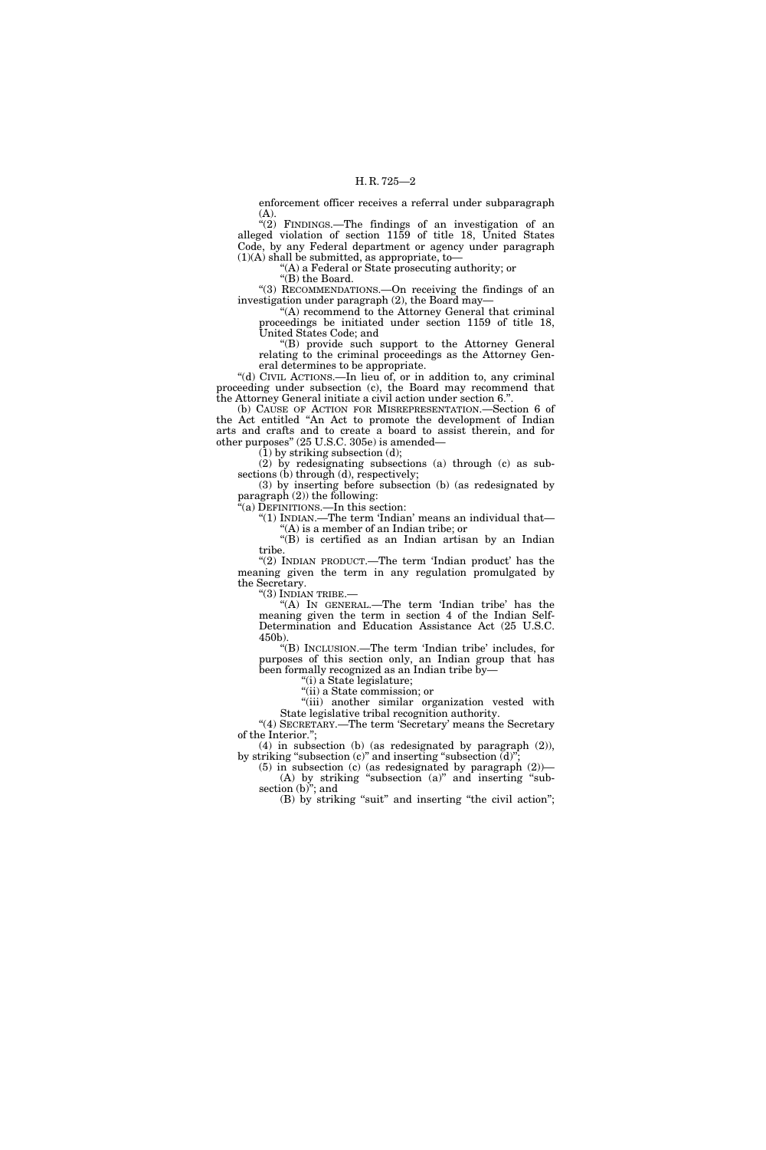enforcement officer receives a referral under subparagraph (A).

"(2) FINDINGS.—The findings of an investigation of an alleged violation of section 1159 of title 18, United States Code, by any Federal department or agency under paragraph  $(1)(A)$  shall be submitted, as appropriate, to-

''(A) a Federal or State prosecuting authority; or

" $(B)$  the Board.

''(3) RECOMMENDATIONS.—On receiving the findings of an investigation under paragraph (2), the Board may—

''(A) recommend to the Attorney General that criminal proceedings be initiated under section 1159 of title 18, United States Code; and

''(B) provide such support to the Attorney General relating to the criminal proceedings as the Attorney General determines to be appropriate.

''(d) CIVIL ACTIONS.—In lieu of, or in addition to, any criminal proceeding under subsection (c), the Board may recommend that the Attorney General initiate a civil action under section 6.''.

(b) CAUSE OF ACTION FOR MISREPRESENTATION.—Section 6 of the Act entitled ''An Act to promote the development of Indian arts and crafts and to create a board to assist therein, and for other purposes'' (25 U.S.C. 305e) is amended—

(1) by striking subsection (d);

(2) by redesignating subsections (a) through (c) as subsections (b) through (d), respectively;

(3) by inserting before subsection (b) (as redesignated by paragraph (2)) the following:

''(a) DEFINITIONS.—In this section:

''(1) INDIAN.—The term 'Indian' means an individual that— ''(A) is a member of an Indian tribe; or

''(B) is certified as an Indian artisan by an Indian tribe.

"(2) INDIAN PRODUCT.—The term 'Indian product' has the meaning given the term in any regulation promulgated by the Secretary.

''(3) INDIAN TRIBE.—

"(A) In GENERAL.—The term 'Indian tribe' has the meaning given the term in section 4 of the Indian Self-Determination and Education Assistance Act (25 U.S.C. 450b).

''(B) INCLUSION.—The term 'Indian tribe' includes, for purposes of this section only, an Indian group that has been formally recognized as an Indian tribe by—

''(i) a State legislature;

''(ii) a State commission; or

"(iii) another similar organization vested with State legislative tribal recognition authority.

"(4) SECRETARY.—The term 'Secretary' means the Secretary of the Interior.'';

(4) in subsection (b) (as redesignated by paragraph (2)), by striking "subsection (c)" and inserting "subsection  $\bar{d}$ )"

(5) in subsection (c) (as redesignated by paragraph  $(2)$ )— (A) by striking "subsection (a)" and inserting "subsection  $(b)$ "; and

(B) by striking "suit" and inserting "the civil action";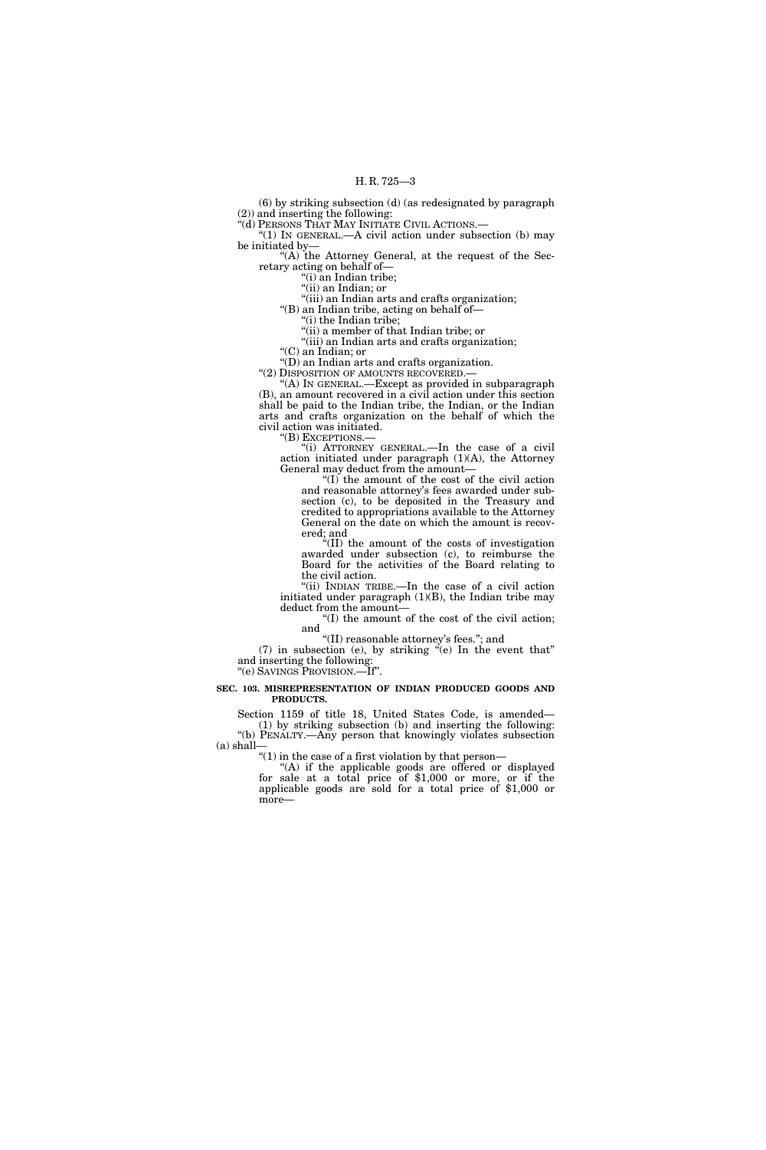(6) by striking subsection (d) (as redesignated by paragraph (2)) and inserting the following:

''(d) PERSONS THAT MAY INITIATE CIVIL ACTIONS.—

 $^{\prime}(1)$  In GENERAL.—A civil action under subsection (b) may be initiated by—

"(A) the Attorney General, at the request of the Secretary acting on behalf of—

"(i) an Indian tribe;

"(ii) an Indian; or

''(iii) an Indian arts and crafts organization;

''(B) an Indian tribe, acting on behalf of— ''(i) the Indian tribe;

''(ii) a member of that Indian tribe; or

"(iii) an Indian arts and crafts organization;

''(C) an Indian; or

 $\sqrt{\text{D}}$  an Indian arts and crafts organization.

''(2) DISPOSITION OF AMOUNTS RECOVERED.—

''(A) IN GENERAL.—Except as provided in subparagraph (B), an amount recovered in a civil action under this section shall be paid to the Indian tribe, the Indian, or the Indian arts and crafts organization on the behalf of which the civil action was initiated.

"(B) EXCEPTIONS.-

''(i) ATTORNEY GENERAL.—In the case of a civil action initiated under paragraph (1)(A), the Attorney General may deduct from the amount—

''(I) the amount of the cost of the civil action and reasonable attorney's fees awarded under subsection (c), to be deposited in the Treasury and credited to appropriations available to the Attorney General on the date on which the amount is recovered; and

''(II) the amount of the costs of investigation awarded under subsection (c), to reimburse the Board for the activities of the Board relating to the civil action.

''(ii) INDIAN TRIBE.—In the case of a civil action initiated under paragraph (1)(B), the Indian tribe may deduct from the amount—

''(I) the amount of the cost of the civil action; and

''(II) reasonable attorney's fees.''; and

 $(7)$  in subsection (e), by striking "(e) In the event that" and inserting the following:

''(e) SAVINGS PROVISION.—If''.

### **SEC. 103. MISREPRESENTATION OF INDIAN PRODUCED GOODS AND PRODUCTS.**

Section 1159 of title 18, United States Code, is amended— (1) by striking subsection (b) and inserting the following: ''(b) PENALTY.—Any person that knowingly violates subsection (a) shall—

" $(1)$  in the case of a first violation by that person—

''(A) if the applicable goods are offered or displayed for sale at a total price of \$1,000 or more, or if the applicable goods are sold for a total price of \$1,000 or more—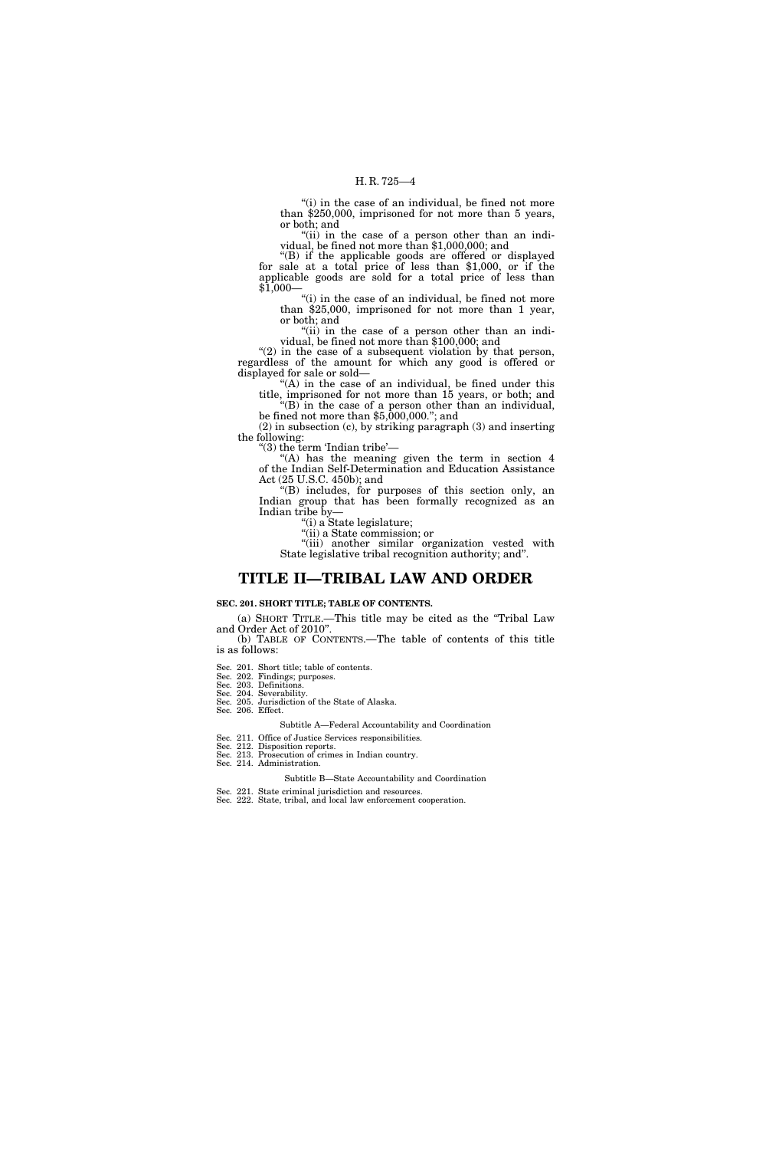"(i) in the case of an individual, be fined not more than \$250,000, imprisoned for not more than 5 years, or both; and

"(ii) in the case of a person other than an individual, be fined not more than \$1,000,000; and

''(B) if the applicable goods are offered or displayed for sale at a total price of less than \$1,000, or if the applicable goods are sold for a total price of less than  $$1,000-$ 

"(i) in the case of an individual, be fined not more than \$25,000, imprisoned for not more than 1 year, or both; and

"(ii) in the case of a person other than an individual, be fined not more than \$100,000; and

" $(2)$  in the case of a subsequent violation by that person, regardless of the amount for which any good is offered or displayed for sale or sold—

 $f(A)$  in the case of an individual, be fined under this title, imprisoned for not more than 15 years, or both; and ''(B) in the case of a person other than an individual,

be fined not more than \$5,000,000.''; and (2) in subsection (c), by striking paragraph (3) and inserting

the following: ''(3) the term 'Indian tribe'—

"(A) has the meaning given the term in section 4 of the Indian Self-Determination and Education Assistance Act (25 U.S.C. 450b); and

''(B) includes, for purposes of this section only, an Indian group that has been formally recognized as an Indian tribe by—

''(i) a State legislature;

''(ii) a State commission; or

"(iii) another similar organization vested with State legislative tribal recognition authority; and''.

### **TITLE II—TRIBAL LAW AND ORDER**

### **SEC. 201. SHORT TITLE; TABLE OF CONTENTS.**

(a) SHORT TITLE.—This title may be cited as the ''Tribal Law and Order Act of 2010''. (b) TABLE OF CONTENTS.—The table of contents of this title

is as follows:

Sec. 201. Short title; table of contents.

Sec. 202. Findings; purposes.

Sec. 203. Definitions.

### Sec. 204. Severability.

Sec. 205. Jurisdiction of the State of Alaska. Sec. 206. Effect.

Subtitle A—Federal Accountability and Coordination

Sec. 211. Office of Justice Services responsibilities.

Sec. 212. Disposition reports. Sec. 213. Prosecution of crimes in Indian country.

Sec. 214. Administration.

Subtitle B—State Accountability and Coordination

- Sec. 221. State criminal jurisdiction and resources.
- Sec. 222. State, tribal, and local law enforcement cooperation.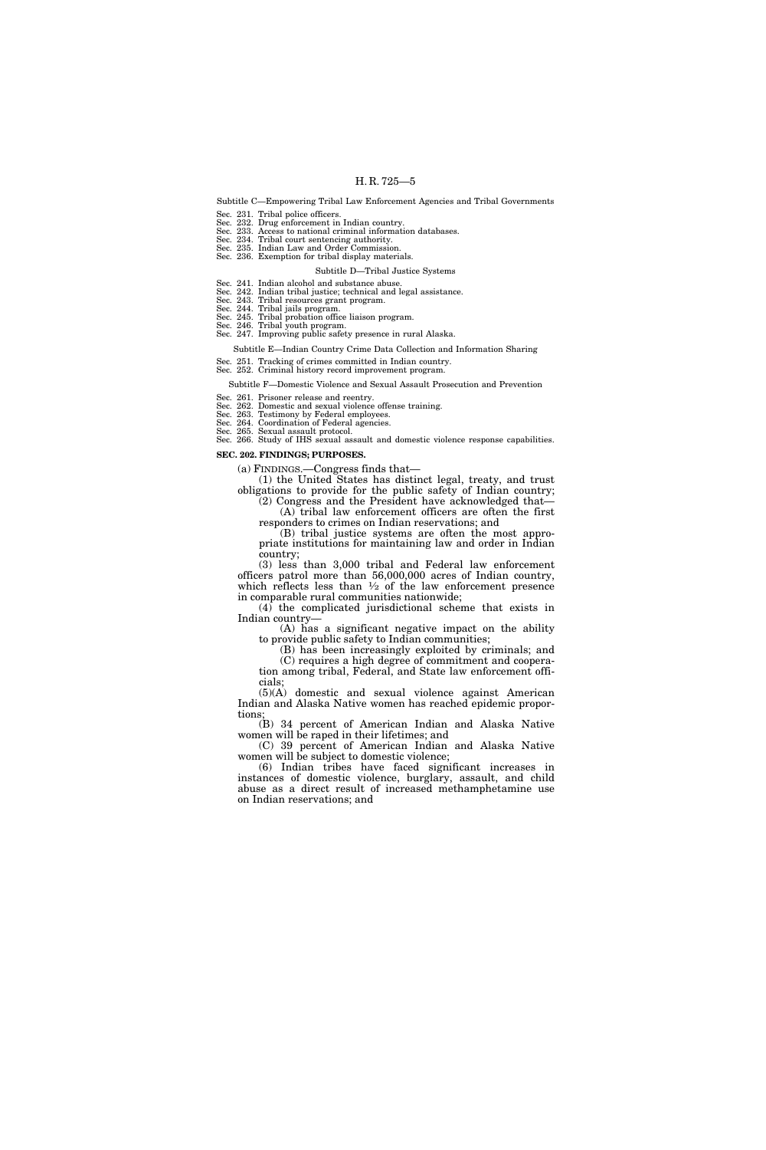Subtitle C—Empowering Tribal Law Enforcement Agencies and Tribal Governments

Sec. 231. Tribal police officers. Sec. 232. Drug enforcement in Indian country. Sec. 233. Access to national criminal information databases. Sec. 234. Tribal court sentencing authority.

Sec. 235. Indian Law and Order Commission. Sec. 236. Exemption for tribal display materials.

### Subtitle D—Tribal Justice Systems

Sec. 241. Indian alcohol and substance abuse. Sec. 242. Indian tribal justice; technical and legal assistance.

Sec. 243. Tribal resources grant program.

Sec. 244. Tribal jails program. Sec. 245. Tribal probation office liaison program. Sec. 246. Tribal youth program. Sec. 247. Improving public safety presence in rural Alaska.

Subtitle E—Indian Country Crime Data Collection and Information Sharing

Sec. 251. Tracking of crimes committed in Indian country.

Sec. 252. Criminal history record improvement program.

Subtitle F—Domestic Violence and Sexual Assault Prosecution and Prevention

Sec. 261. Prisoner release and reentry.

Sec. 262. Domestic and sexual violence offense training.

Sec. 263. Testimony by Federal employees.

Sec. 264. Coordination of Federal agencies. Sec. 265. Sexual assault protocol.

Sec. 266. Study of IHS sexual assault and domestic violence response capabilities. **SEC. 202. FINDINGS; PURPOSES.** 

(a) FINDINGS.—Congress finds that—

(1) the United States has distinct legal, treaty, and trust obligations to provide for the public safety of Indian country;

(2) Congress and the President have acknowledged that— (A) tribal law enforcement officers are often the first

responders to crimes on Indian reservations; and (B) tribal justice systems are often the most appro-

priate institutions for maintaining law and order in Indian country;

(3) less than 3,000 tribal and Federal law enforcement officers patrol more than 56,000,000 acres of Indian country, which reflects less than  $\frac{1}{2}$  of the law enforcement presence in comparable rural communities nationwide;

(4) the complicated jurisdictional scheme that exists in Indian country—

(A) has a significant negative impact on the ability to provide public safety to Indian communities;

(B) has been increasingly exploited by criminals; and (C) requires a high degree of commitment and coopera-

tion among tribal, Federal, and State law enforcement officials;

(5)(A) domestic and sexual violence against American Indian and Alaska Native women has reached epidemic proportions;

(B) 34 percent of American Indian and Alaska Native women will be raped in their lifetimes; and

(C) 39 percent of American Indian and Alaska Native women will be subject to domestic violence;

(6) Indian tribes have faced significant increases in instances of domestic violence, burglary, assault, and child abuse as a direct result of increased methamphetamine use on Indian reservations; and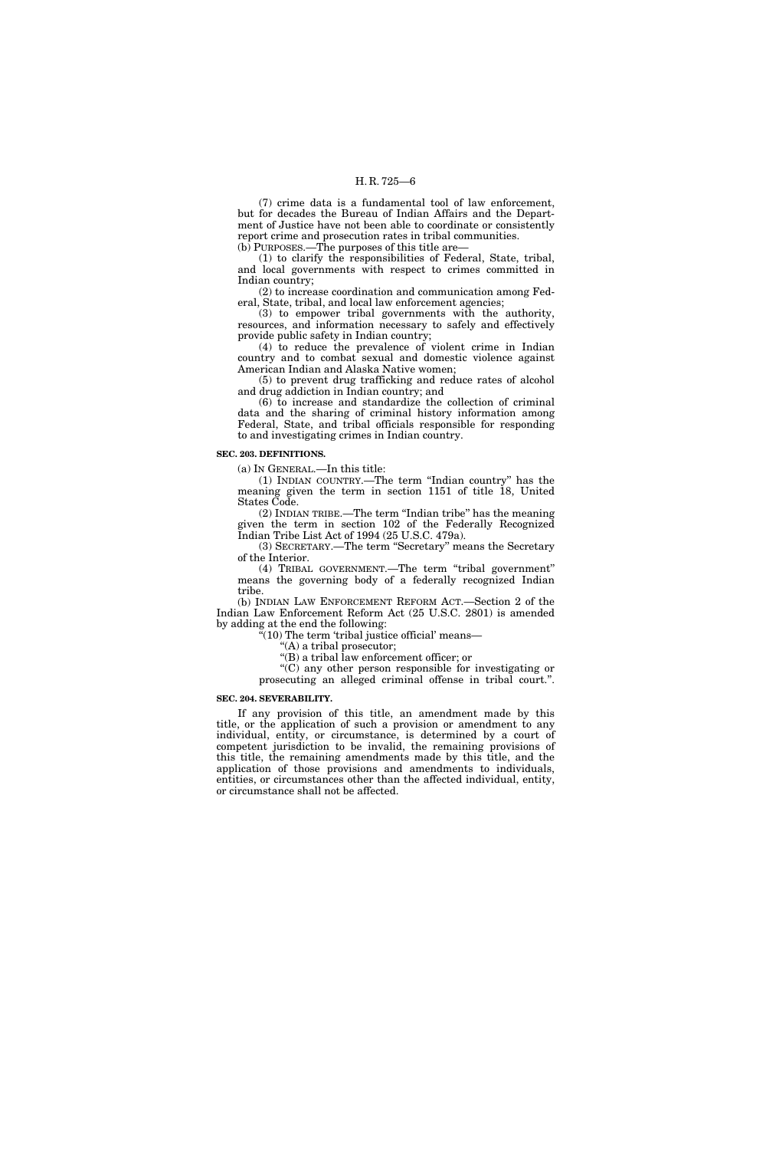(7) crime data is a fundamental tool of law enforcement, but for decades the Bureau of Indian Affairs and the Department of Justice have not been able to coordinate or consistently report crime and prosecution rates in tribal communities. (b) PURPOSES.—The purposes of this title are—

(1) to clarify the responsibilities of Federal, State, tribal, and local governments with respect to crimes committed in Indian country;

(2) to increase coordination and communication among Federal, State, tribal, and local law enforcement agencies;

 $(3)$  to empower tribal governments with the authority, resources, and information necessary to safely and effectively provide public safety in Indian country;

(4) to reduce the prevalence of violent crime in Indian country and to combat sexual and domestic violence against American Indian and Alaska Native women;

(5) to prevent drug trafficking and reduce rates of alcohol and drug addiction in Indian country; and

(6) to increase and standardize the collection of criminal data and the sharing of criminal history information among Federal, State, and tribal officials responsible for responding to and investigating crimes in Indian country.

### **SEC. 203. DEFINITIONS.**

(a) IN GENERAL.—In this title:

(1) INDIAN COUNTRY.—The term ''Indian country'' has the meaning given the term in section 1151 of title 18, United States Code.

(2) INDIAN TRIBE.—The term ''Indian tribe'' has the meaning given the term in section 102 of the Federally Recognized Indian Tribe List Act of 1994 (25 U.S.C. 479a).

(3) SECRETARY.—The term ''Secretary'' means the Secretary of the Interior.

(4) TRIBAL GOVERNMENT.—The term ''tribal government'' means the governing body of a federally recognized Indian tribe.

(b) INDIAN LAW ENFORCEMENT REFORM ACT.—Section 2 of the Indian Law Enforcement Reform Act (25 U.S.C. 2801) is amended by adding at the end the following:

''(10) The term 'tribal justice official' means—

''(A) a tribal prosecutor;

''(B) a tribal law enforcement officer; or

''(C) any other person responsible for investigating or prosecuting an alleged criminal offense in tribal court.''.

### **SEC. 204. SEVERABILITY.**

If any provision of this title, an amendment made by this title, or the application of such a provision or amendment to any individual, entity, or circumstance, is determined by a court of competent jurisdiction to be invalid, the remaining provisions of this title, the remaining amendments made by this title, and the application of those provisions and amendments to individuals, entities, or circumstances other than the affected individual, entity, or circumstance shall not be affected.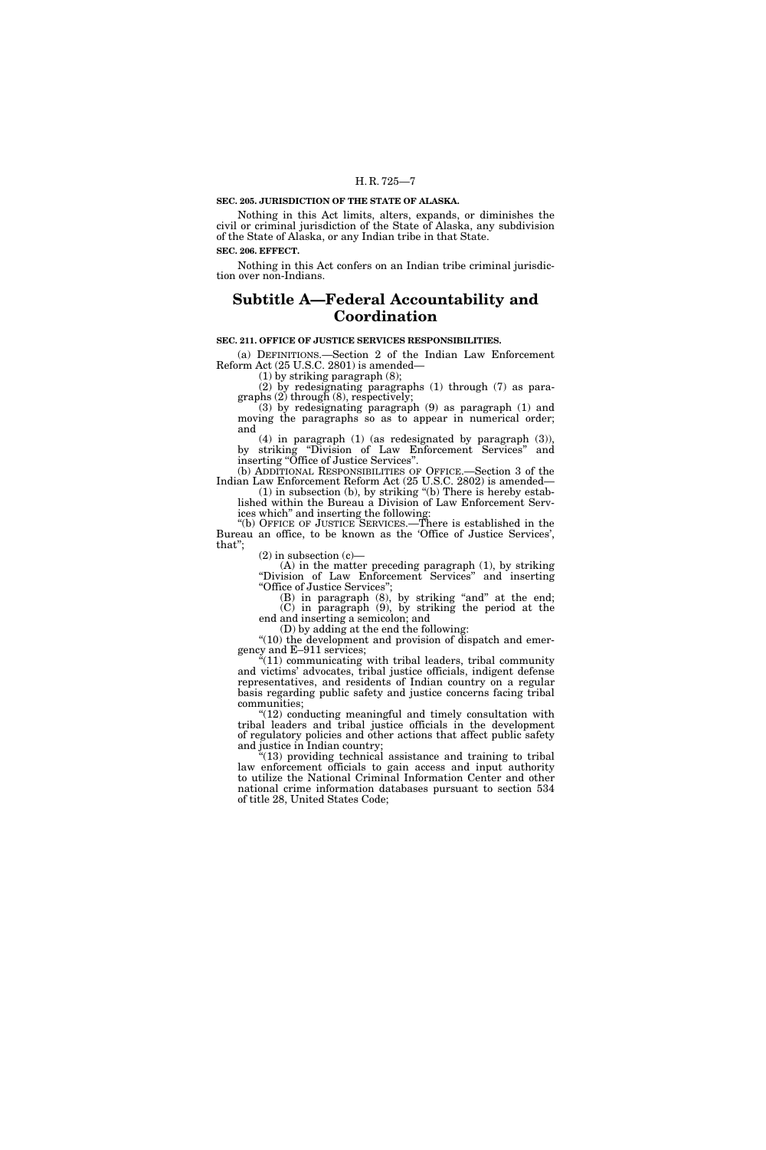### **SEC. 205. JURISDICTION OF THE STATE OF ALASKA.**

Nothing in this Act limits, alters, expands, or diminishes the civil or criminal jurisdiction of the State of Alaska, any subdivision of the State of Alaska, or any Indian tribe in that State. **SEC. 206. EFFECT.** 

Nothing in this Act confers on an Indian tribe criminal jurisdiction over non-Indians.

### **Subtitle A—Federal Accountability and Coordination**

### **SEC. 211. OFFICE OF JUSTICE SERVICES RESPONSIBILITIES.**

(a) DEFINITIONS.—Section 2 of the Indian Law Enforcement Reform Act (25 U.S.C. 2801) is amended—

(1) by striking paragraph (8);

(2) by redesignating paragraphs (1) through (7) as paragraphs (2) through (8), respectively;

(3) by redesignating paragraph (9) as paragraph (1) and moving the paragraphs so as to appear in numerical order; and

(4) in paragraph (1) (as redesignated by paragraph (3)), by striking ''Division of Law Enforcement Services'' and inserting "Office of Justice Services".

(b) ADDITIONAL RESPONSIBILITIES OF OFFICE.—Section 3 of the Indian Law Enforcement Reform Act (25 U.S.C. 2802) is amended—

(1) in subsection (b), by striking ''(b) There is hereby established within the Bureau a Division of Law Enforcement Services which'' and inserting the following:

''(b) OFFICE OF JUSTICE SERVICES.—There is established in the Bureau an office, to be known as the 'Office of Justice Services', that'';

 $(2)$  in subsection  $(c)$ —

 $(A)$  in the matter preceding paragraph  $(1)$ , by striking ''Division of Law Enforcement Services'' and inserting ''Office of Justice Services'';

(B) in paragraph (8), by striking "and" at the end; (C) in paragraph (9), by striking the period at the end and inserting a semicolon; and

(D) by adding at the end the following:

"(10) the development and provision of dispatch and emergency and E–911 services;

"(11) communicating with tribal leaders, tribal community and victims' advocates, tribal justice officials, indigent defense representatives, and residents of Indian country on a regular basis regarding public safety and justice concerns facing tribal communities;

 $(12)$  conducting meaningful and timely consultation with tribal leaders and tribal justice officials in the development of regulatory policies and other actions that affect public safety and justice in Indian country;

 $(13)$  providing technical assistance and training to tribal law enforcement officials to gain access and input authority to utilize the National Criminal Information Center and other national crime information databases pursuant to section 534 of title 28, United States Code;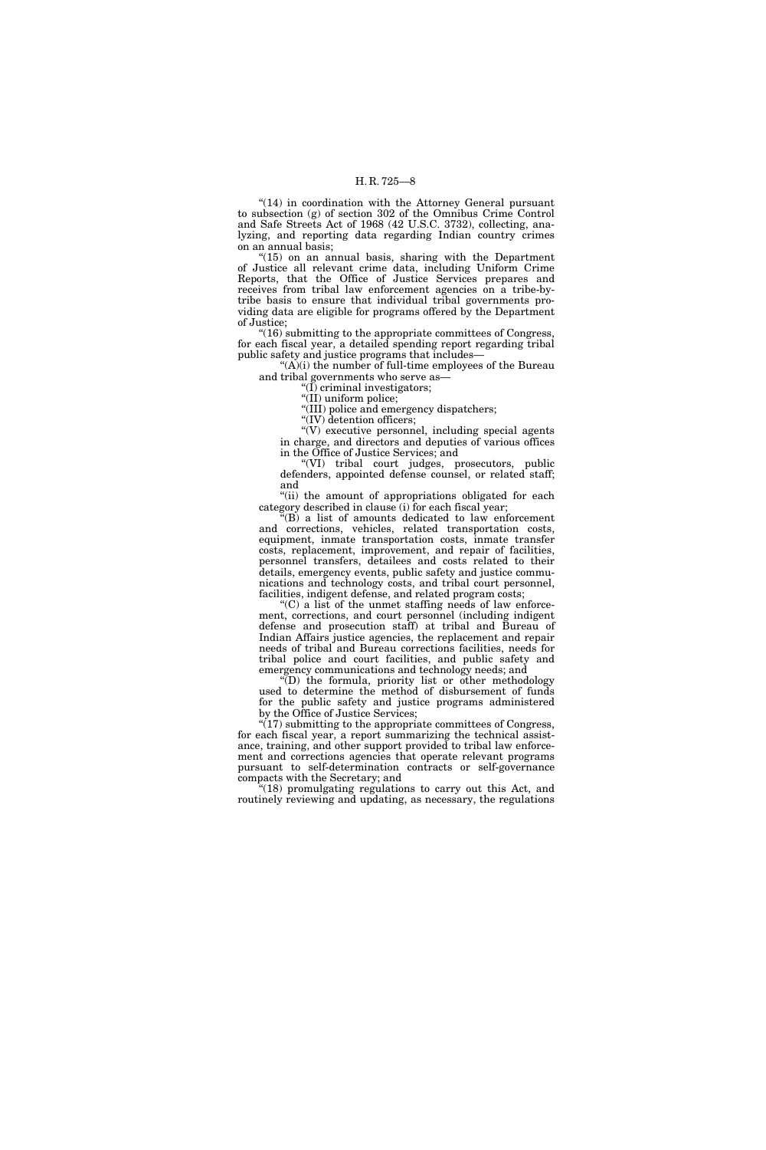''(14) in coordination with the Attorney General pursuant to subsection (g) of section 302 of the Omnibus Crime Control and Safe Streets Act of 1968 (42 U.S.C. 3732), collecting, analyzing, and reporting data regarding Indian country crimes on an annual basis;

" $(15)$  on an annual basis, sharing with the Department of Justice all relevant crime data, including Uniform Crime Reports, that the Office of Justice Services prepares and receives from tribal law enforcement agencies on a tribe-bytribe basis to ensure that individual tribal governments providing data are eligible for programs offered by the Department of Justice;

''(16) submitting to the appropriate committees of Congress, for each fiscal year, a detailed spending report regarding tribal public safety and justice programs that includes—

"(A)(i) the number of full-time employees of the Bureau and tribal governments who serve as—

''(I) criminal investigators;

"(II) uniform police;

''(III) police and emergency dispatchers;

"(IV) detention officers; ''(V) executive personnel, including special agents

in charge, and directors and deputies of various offices in the Office of Justice Services; and

''(VI) tribal court judges, prosecutors, public defenders, appointed defense counsel, or related staff; and

"(ii) the amount of appropriations obligated for each category described in clause (i) for each fiscal year;

''(B) a list of amounts dedicated to law enforcement and corrections, vehicles, related transportation costs, equipment, inmate transportation costs, inmate transfer costs, replacement, improvement, and repair of facilities, personnel transfers, detailees and costs related to their details, emergency events, public safety and justice communications and technology costs, and tribal court personnel, facilities, indigent defense, and related program costs;

 $(C)$  a list of the unmet staffing needs of law enforcement, corrections, and court personnel (including indigent defense and prosecution staff) at tribal and Bureau of Indian Affairs justice agencies, the replacement and repair needs of tribal and Bureau corrections facilities, needs for tribal police and court facilities, and public safety and emergency communications and technology needs; and

''(D) the formula, priority list or other methodology used to determine the method of disbursement of funds for the public safety and justice programs administered by the Office of Justice Services;

"(17) submitting to the appropriate committees of Congress, for each fiscal year, a report summarizing the technical assistance, training, and other support provided to tribal law enforcement and corrections agencies that operate relevant programs pursuant to self-determination contracts or self-governance compacts with the Secretary; and

"(18) promulgating regulations to carry out this Act, and routinely reviewing and updating, as necessary, the regulations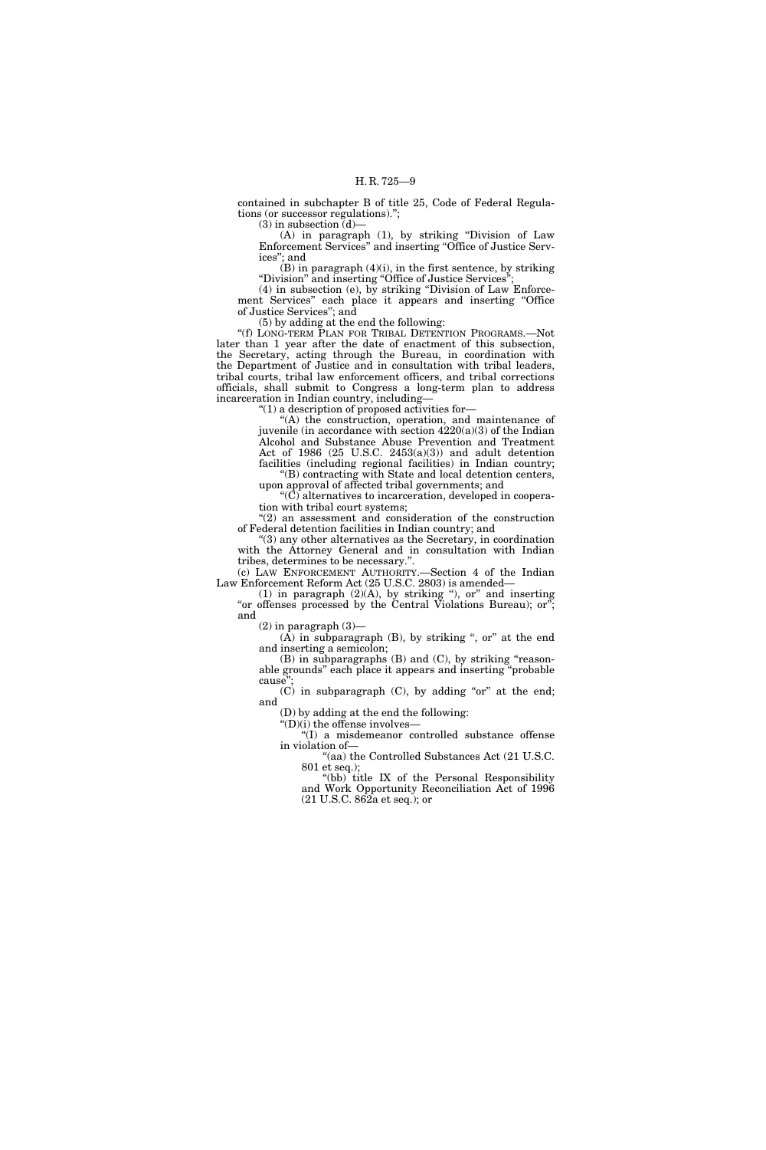contained in subchapter B of title 25, Code of Federal Regulations (or successor regulations).'';

 $(3)$  in subsection  $(d)$ –

(A) in paragraph (1), by striking ''Division of Law Enforcement Services'' and inserting ''Office of Justice Services''; and

 $(B)$  in paragraph  $(4)(i)$ , in the first sentence, by striking ''Division'' and inserting ''Office of Justice Services'';

(4) in subsection (e), by striking ''Division of Law Enforcement Services'' each place it appears and inserting ''Office of Justice Services''; and

(5) by adding at the end the following:

''(f) LONG-TERM PLAN FOR TRIBAL DETENTION PROGRAMS.—Not later than 1 year after the date of enactment of this subsection, the Secretary, acting through the Bureau, in coordination with the Department of Justice and in consultation with tribal leaders, tribal courts, tribal law enforcement officers, and tribal corrections officials, shall submit to Congress a long-term plan to address incarceration in Indian country, including—

" $(1)$  a description of proposed activities for-

''(A) the construction, operation, and maintenance of juvenile (in accordance with section 4220(a)(3) of the Indian Alcohol and Substance Abuse Prevention and Treatment Act of 1986 (25 U.S.C. 2453(a)(3)) and adult detention facilities (including regional facilities) in Indian country;

''(B) contracting with State and local detention centers, upon approval of affected tribal governments; and

 $(C)$  alternatives to incarceration, developed in cooperation with tribal court systems;

 $''(2)$  an assessment and consideration of the construction of Federal detention facilities in Indian country; and

''(3) any other alternatives as the Secretary, in coordination with the Attorney General and in consultation with Indian tribes, determines to be necessary.''.

(c) LAW ENFORCEMENT AUTHORITY.—Section 4 of the Indian Law Enforcement Reform Act (25 U.S.C. 2803) is amended—

 $(1)$  in paragraph  $(2)(A)$ , by striking "), or" and inserting "or offenses processed by the Central Violations Bureau); or"; and

 $(2)$  in paragraph  $(3)$ —

(A) in subparagraph  $(B)$ , by striking ", or" at the end and inserting a semicolon;

(B) in subparagraphs (B) and (C), by striking ''reasonable grounds'' each place it appears and inserting ''probable cause"

 $(C)$  in subparagraph  $(C)$ , by adding "or" at the end; and

(D) by adding at the end the following:

''(D)(i) the offense involves— ''(I) a misdemeanor controlled substance offense in violation of—

''(aa) the Controlled Substances Act (21 U.S.C. 801 et seq.);

"(bb) title IX of the Personal Responsibility and Work Opportunity Reconciliation Act of 1996 (21 U.S.C. 862a et seq.); or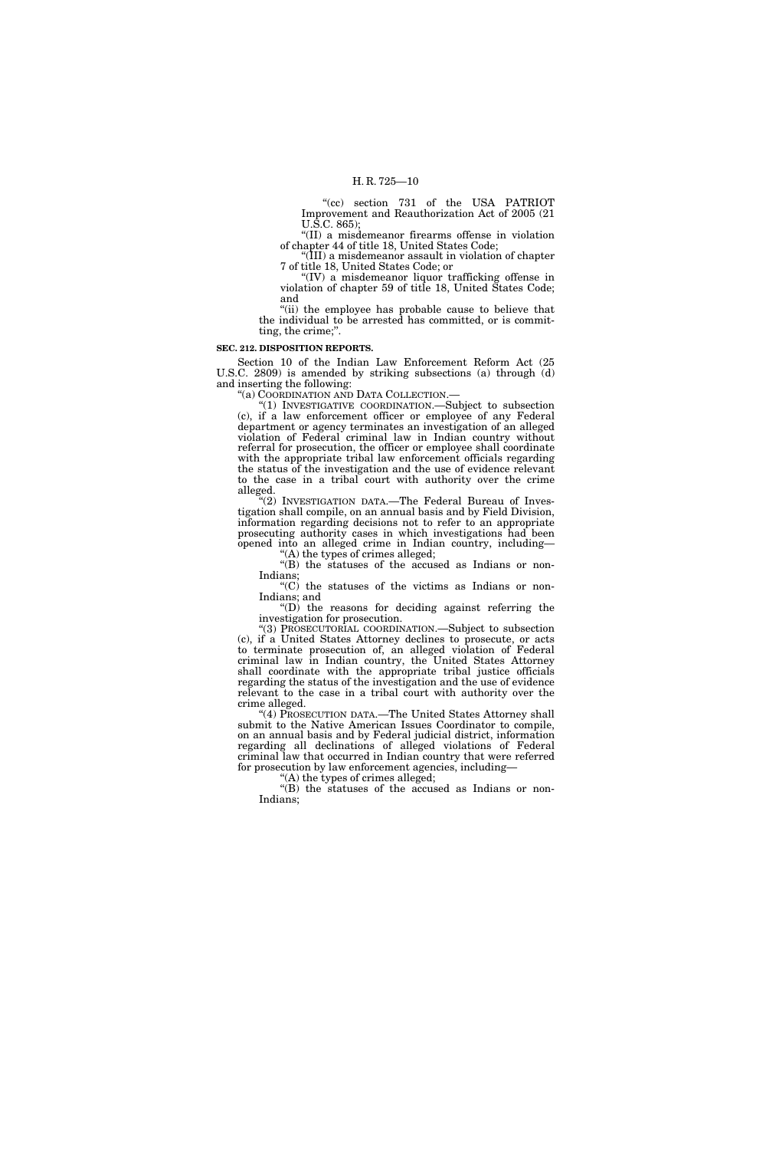"(cc) section 731 of the USA PATRIOT Improvement and Reauthorization Act of 2005 (21 U.S.C. 865);

''(II) a misdemeanor firearms offense in violation of chapter 44 of title 18, United States Code;

''(III) a misdemeanor assault in violation of chapter 7 of title 18, United States Code; or

''(IV) a misdemeanor liquor trafficking offense in violation of chapter 59 of title 18, United States Code; and

"(ii) the employee has probable cause to believe that the individual to be arrested has committed, or is committing, the crime;''.

### **SEC. 212. DISPOSITION REPORTS.**

Section 10 of the Indian Law Enforcement Reform Act (25 U.S.C. 2809) is amended by striking subsections (a) through (d) and inserting the following:

''(a) COORDINATION AND DATA COLLECTION.—

''(1) INVESTIGATIVE COORDINATION.—Subject to subsection (c), if a law enforcement officer or employee of any Federal department or agency terminates an investigation of an alleged violation of Federal criminal law in Indian country without referral for prosecution, the officer or employee shall coordinate with the appropriate tribal law enforcement officials regarding the status of the investigation and the use of evidence relevant to the case in a tribal court with authority over the crime alleged.

"(2) INVESTIGATION DATA.—The Federal Bureau of Investigation shall compile, on an annual basis and by Field Division, information regarding decisions not to refer to an appropriate prosecuting authority cases in which investigations had been opened into an alleged crime in Indian country, including—

''(A) the types of crimes alleged;

''(B) the statuses of the accused as Indians or non-Indians;

''(C) the statuses of the victims as Indians or non-Indians; and

 $\mathrm{``(D)}$  the reasons for deciding against referring the investigation for prosecution.

''(3) PROSECUTORIAL COORDINATION.—Subject to subsection (c), if a United States Attorney declines to prosecute, or acts to terminate prosecution of, an alleged violation of Federal criminal law in Indian country, the United States Attorney shall coordinate with the appropriate tribal justice officials regarding the status of the investigation and the use of evidence relevant to the case in a tribal court with authority over the crime alleged.

''(4) PROSECUTION DATA.—The United States Attorney shall submit to the Native American Issues Coordinator to compile, on an annual basis and by Federal judicial district, information regarding all declinations of alleged violations of Federal criminal law that occurred in Indian country that were referred for prosecution by law enforcement agencies, including—

''(A) the types of crimes alleged;

''(B) the statuses of the accused as Indians or non-Indians;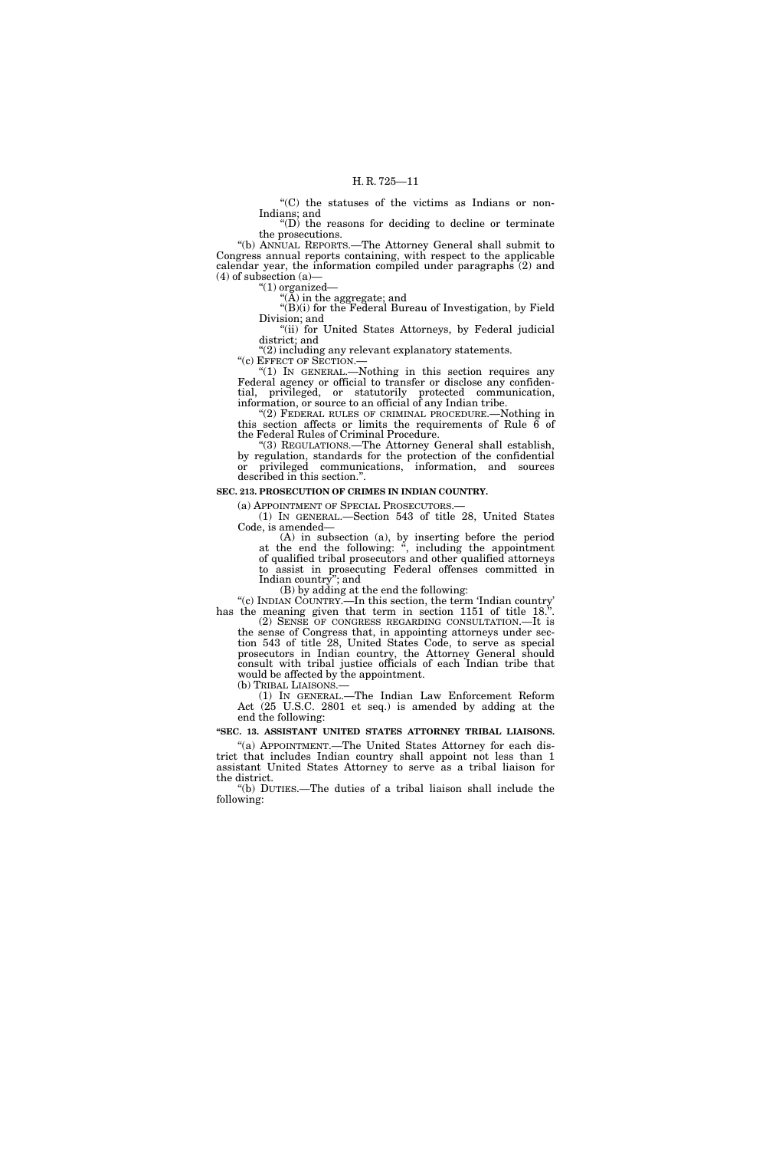''(C) the statuses of the victims as Indians or non-Indians; and

''(D) the reasons for deciding to decline or terminate the prosecutions.

''(b) ANNUAL REPORTS.—The Attorney General shall submit to Congress annual reports containing, with respect to the applicable calendar year, the information compiled under paragraphs (2) and  $(4)$  of subsection  $(a)$ 

''(1) organized—

''(A) in the aggregate; and

''(B)(i) for the Federal Bureau of Investigation, by Field Division; and "(ii) for United States Attorneys, by Federal judicial

district; and

"(2) including any relevant explanatory statements.<br>"(c)  $E$ FFECT OF SECTION.—

"(1) IN GENERAL.—Nothing in this section requires any Federal agency or official to transfer or disclose any confidential, privileged, or statutorily protected communication, information, or source to an official of any Indian tribe.

''(2) FEDERAL RULES OF CRIMINAL PROCEDURE.—Nothing in this section affects or limits the requirements of Rule 6 of the Federal Rules of Criminal Procedure.

''(3) REGULATIONS.—The Attorney General shall establish, by regulation, standards for the protection of the confidential or privileged communications, information, and sources described in this section.''.

### **SEC. 213. PROSECUTION OF CRIMES IN INDIAN COUNTRY.**

(a) APPOINTMENT OF SPECIAL PROSECUTORS.— (1) IN GENERAL.—Section 543 of title 28, United States Code, is amended—

(A) in subsection (a), by inserting before the period at the end the following: '', including the appointment of qualified tribal prosecutors and other qualified attorneys to assist in prosecuting Federal offenses committed in Indian country''; and

(B) by adding at the end the following:

''(c) INDIAN COUNTRY.—In this section, the term 'Indian country' has the meaning given that term in section 1151 of title 18.".

(2) SENSE OF CONGRESS REGARDING CONSULTATION.—It is the sense of Congress that, in appointing attorneys under section 543 of title 28, United States Code, to serve as special prosecutors in Indian country, the Attorney General should consult with tribal justice officials of each Indian tribe that would be affected by the appointment.<br>(b) TRIBAL LIAISONS.—

(1) IN GENERAL.—The Indian Law Enforcement Reform Act (25 U.S.C. 2801 et seq.) is amended by adding at the end the following:

### **''SEC. 13. ASSISTANT UNITED STATES ATTORNEY TRIBAL LIAISONS.**

''(a) APPOINTMENT.—The United States Attorney for each district that includes Indian country shall appoint not less than 1 assistant United States Attorney to serve as a tribal liaison for the district.

''(b) DUTIES.—The duties of a tribal liaison shall include the following: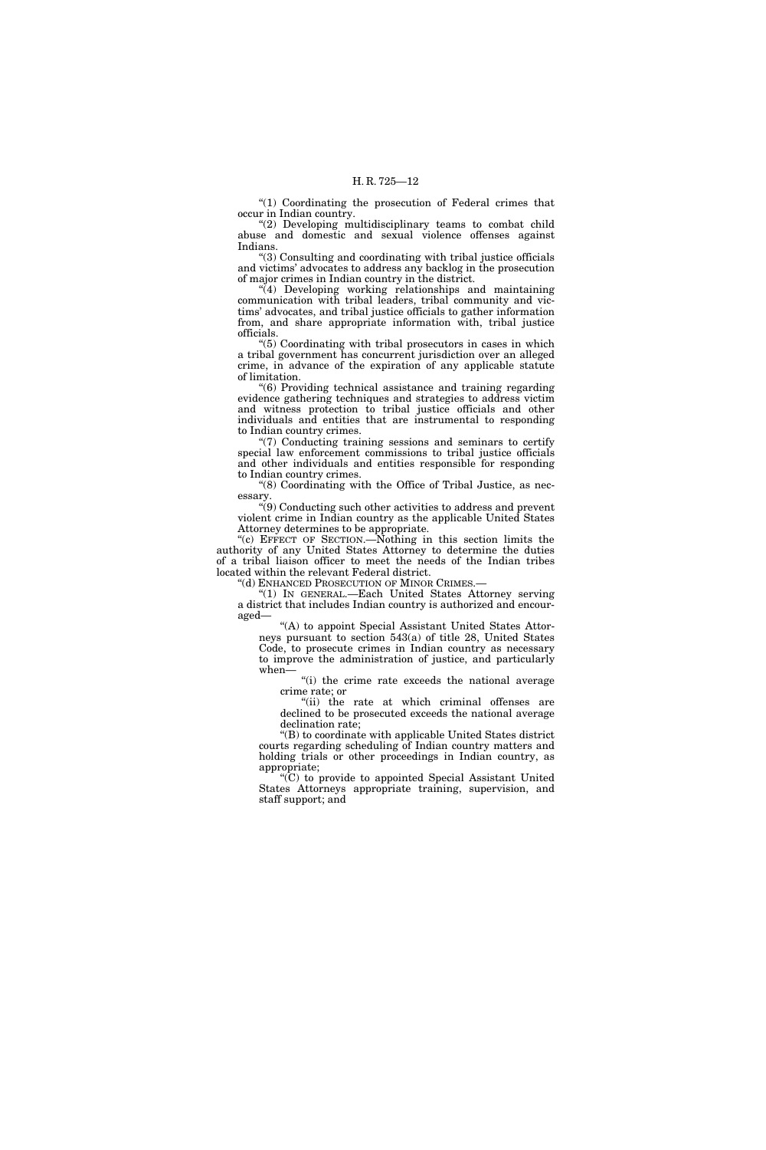"(1) Coordinating the prosecution of Federal crimes that occur in Indian country.

"(2) Developing multidisciplinary teams to combat child abuse and domestic and sexual violence offenses against Indians.

''(3) Consulting and coordinating with tribal justice officials and victims' advocates to address any backlog in the prosecution of major crimes in Indian country in the district.

"(4) Developing working relationships and maintaining communication with tribal leaders, tribal community and victims' advocates, and tribal justice officials to gather information from, and share appropriate information with, tribal justice officials.

''(5) Coordinating with tribal prosecutors in cases in which a tribal government has concurrent jurisdiction over an alleged crime, in advance of the expiration of any applicable statute of limitation.

''(6) Providing technical assistance and training regarding evidence gathering techniques and strategies to address victim and witness protection to tribal justice officials and other individuals and entities that are instrumental to responding to Indian country crimes.

''(7) Conducting training sessions and seminars to certify special law enforcement commissions to tribal justice officials and other individuals and entities responsible for responding to Indian country crimes.

''(8) Coordinating with the Office of Tribal Justice, as necessary.

''(9) Conducting such other activities to address and prevent violent crime in Indian country as the applicable United States Attorney determines to be appropriate.

''(c) EFFECT OF SECTION.—Nothing in this section limits the authority of any United States Attorney to determine the duties of a tribal liaison officer to meet the needs of the Indian tribes located within the relevant Federal district.

''(d) ENHANCED PROSECUTION OF MINOR CRIMES.—

''(1) IN GENERAL.—Each United States Attorney serving a district that includes Indian country is authorized and encouraged—

"(A) to appoint Special Assistant United States Attorneys pursuant to section 543(a) of title 28, United States Code, to prosecute crimes in Indian country as necessary to improve the administration of justice, and particularly when—

"(i) the crime rate exceeds the national average crime rate; or

"(ii) the rate at which criminal offenses are declined to be prosecuted exceeds the national average declination rate;

''(B) to coordinate with applicable United States district courts regarding scheduling of Indian country matters and holding trials or other proceedings in Indian country, as appropriate;

''(C) to provide to appointed Special Assistant United States Attorneys appropriate training, supervision, and staff support; and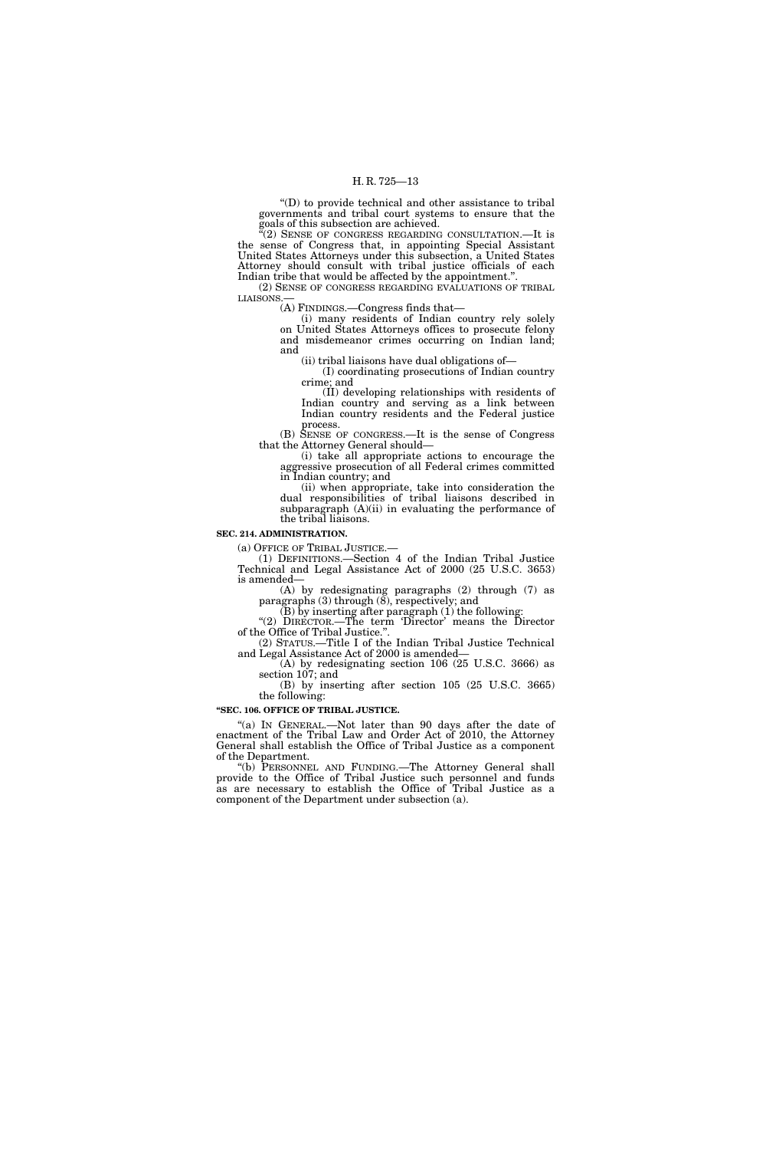''(D) to provide technical and other assistance to tribal governments and tribal court systems to ensure that the goals of this subsection are achieved.

 $\mathbf{C}(2)$  SENSE OF CONGRESS REGARDING CONSULTATION.—It is the sense of Congress that, in appointing Special Assistant United States Attorneys under this subsection, a United States Attorney should consult with tribal justice officials of each Indian tribe that would be affected by the appointment.''.

(2) SENSE OF CONGRESS REGARDING EVALUATIONS OF TRIBAL LIAISONS.

(A) FINDINGS.—Congress finds that—

(i) many residents of Indian country rely solely on United States Attorneys offices to prosecute felony and misdemeanor crimes occurring on Indian land; and

(ii) tribal liaisons have dual obligations of—

(I) coordinating prosecutions of Indian country crime; and

(II) developing relationships with residents of Indian country and serving as a link between Indian country residents and the Federal justice process.

(B) SENSE OF CONGRESS.—It is the sense of Congress that the Attorney General should—

(i) take all appropriate actions to encourage the aggressive prosecution of all Federal crimes committed in Indian country; and

(ii) when appropriate, take into consideration the dual responsibilities of tribal liaisons described in subparagraph  $(A)(ii)$  in evaluating the performance of the tribal liaisons.

### **SEC. 214. ADMINISTRATION.**

(a) OFFICE OF TRIBAL JUSTICE.— (1) DEFINITIONS.—Section 4 of the Indian Tribal Justice Technical and Legal Assistance Act of 2000 (25 U.S.C. 3653) is amended—

(A) by redesignating paragraphs (2) through (7) as paragraphs (3) through (8), respectively; and

 $(B)$  by inserting after paragraph  $(1)$  the following: "(2) DIRECTOR.—The term 'Director' means the Director

of the Office of Tribal Justice.''. (2) STATUS.—Title I of the Indian Tribal Justice Technical

and Legal Assistance Act of 2000 is amended— (A) by redesignating section 106 (25 U.S.C. 3666) as

section 107; and (B) by inserting after section 105 (25 U.S.C. 3665) the following:

#### **''SEC. 106. OFFICE OF TRIBAL JUSTICE.**

"(a) IN GENERAL.—Not later than 90 days after the date of enactment of the Tribal Law and Order Act of 2010, the Attorney General shall establish the Office of Tribal Justice as a component of the Department.

''(b) PERSONNEL AND FUNDING.—The Attorney General shall provide to the Office of Tribal Justice such personnel and funds as are necessary to establish the Office of Tribal Justice as a component of the Department under subsection (a).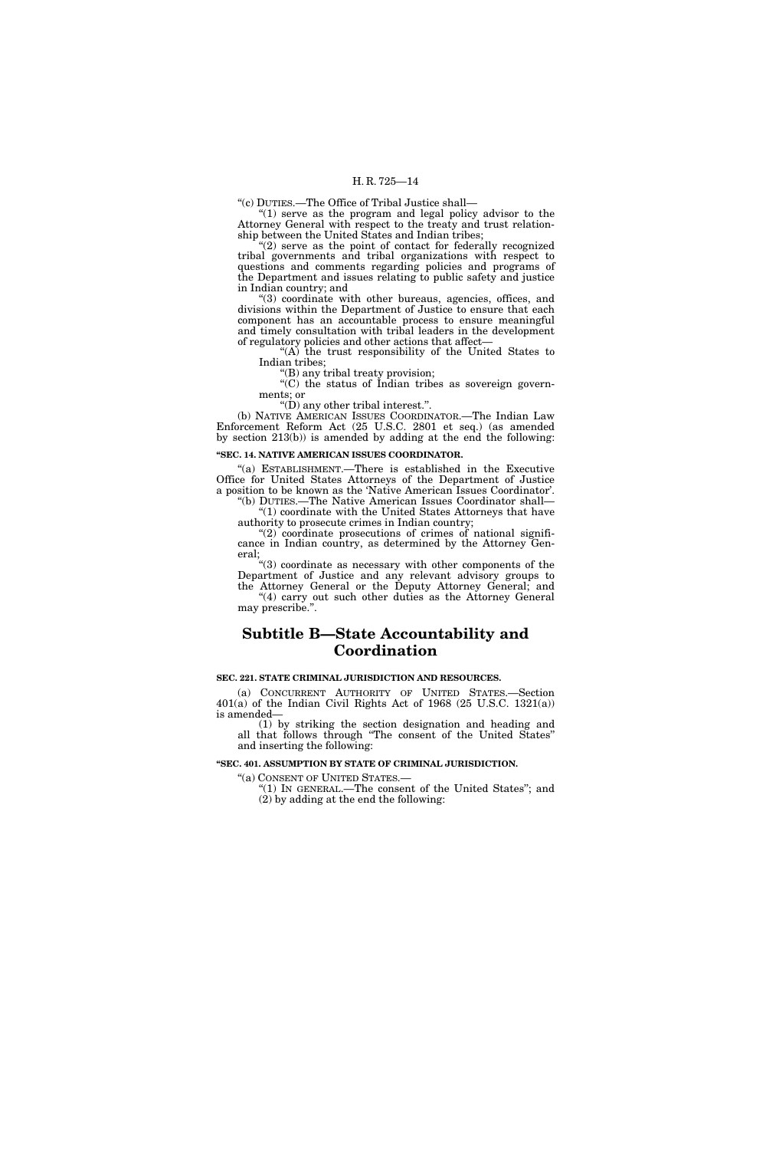''(c) DUTIES.—The Office of Tribal Justice shall—

" $(1)$  serve as the program and legal policy advisor to the Attorney General with respect to the treaty and trust relationship between the United States and Indian tribes;

 $(2)$  serve as the point of contact for federally recognized tribal governments and tribal organizations with respect to questions and comments regarding policies and programs of the Department and issues relating to public safety and justice in Indian country; and

''(3) coordinate with other bureaus, agencies, offices, and divisions within the Department of Justice to ensure that each component has an accountable process to ensure meaningful and timely consultation with tribal leaders in the development of regulatory policies and other actions that affect—

''(A) the trust responsibility of the United States to Indian tribes;

''(B) any tribal treaty provision;

"(C) the status of Indian tribes as sovereign governments; or

''(D) any other tribal interest.''.

(b) NATIVE AMERICAN ISSUES COORDINATOR.—The Indian Law Enforcement Reform Act (25 U.S.C. 2801 et seq.) (as amended by section 213(b)) is amended by adding at the end the following:

### **''SEC. 14. NATIVE AMERICAN ISSUES COORDINATOR.**

''(a) ESTABLISHMENT.—There is established in the Executive Office for United States Attorneys of the Department of Justice a position to be known as the 'Native American Issues Coordinator'. ''(b) DUTIES.—The Native American Issues Coordinator shall—

''(1) coordinate with the United States Attorneys that have authority to prosecute crimes in Indian country;

" $(2)$  coordinate prosecutions of crimes of national significance in Indian country, as determined by the Attorney General;

''(3) coordinate as necessary with other components of the Department of Justice and any relevant advisory groups to the Attorney General or the Deputy Attorney General; and "(4) carry out such other duties as the Attorney General may prescribe.''.

### **Subtitle B—State Accountability and Coordination**

### **SEC. 221. STATE CRIMINAL JURISDICTION AND RESOURCES.**

(a) CONCURRENT AUTHORITY OF UNITED STATES.—Section 401(a) of the Indian Civil Rights Act of 1968 (25 U.S.C. 1321(a)) is amended—

(1) by striking the section designation and heading and all that follows through ''The consent of the United States'' and inserting the following:

### **''SEC. 401. ASSUMPTION BY STATE OF CRIMINAL JURISDICTION.**

''(a) CONSENT OF UNITED STATES.— ''(1) IN GENERAL.—The consent of the United States''; and (2) by adding at the end the following: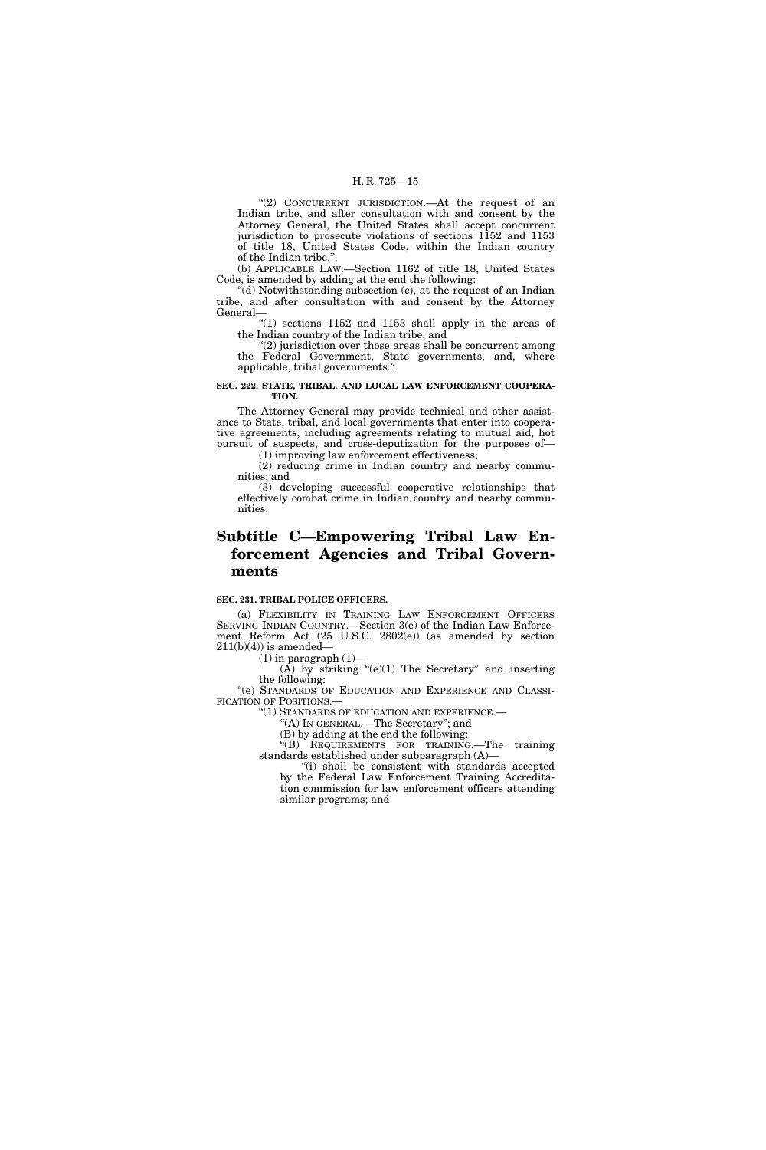"(2) CONCURRENT JURISDICTION.—At the request of an Indian tribe, and after consultation with and consent by the Attorney General, the United States shall accept concurrent jurisdiction to prosecute violations of sections 1152 and 1153 of title 18, United States Code, within the Indian country of the Indian tribe.''.

(b) APPLICABLE LAW.—Section 1162 of title 18, United States Code, is amended by adding at the end the following:

''(d) Notwithstanding subsection (c), at the request of an Indian tribe, and after consultation with and consent by the Attorney General—

" $(1)$  sections 1152 and 1153 shall apply in the areas of the Indian country of the Indian tribe; and

" $(2)$  jurisdiction over those areas shall be concurrent among the Federal Government, State governments, and, where applicable, tribal governments.''.

### **SEC. 222. STATE, TRIBAL, AND LOCAL LAW ENFORCEMENT COOPERA-TION.**

The Attorney General may provide technical and other assistance to State, tribal, and local governments that enter into cooperative agreements, including agreements relating to mutual aid, hot pursuit of suspects, and cross-deputization for the purposes of— (1) improving law enforcement effectiveness;

(2) reducing crime in Indian country and nearby communities; and

(3) developing successful cooperative relationships that effectively combat crime in Indian country and nearby communities.

## **Subtitle C—Empowering Tribal Law Enforcement Agencies and Tribal Governments**

### **SEC. 231. TRIBAL POLICE OFFICERS.**

(a) FLEXIBILITY IN TRAINING LAW ENFORCEMENT OFFICERS SERVING INDIAN COUNTRY.—Section 3(e) of the Indian Law Enforcement Reform Act (25 U.S.C. 2802(e)) (as amended by section  $211(b)(4)$  is amended—

 $(1)$  in paragraph  $(1)$ —

 $(\overrightarrow{A})$  by striking "(e)(1) The Secretary" and inserting the following:

''(e) STANDARDS OF EDUCATION AND EXPERIENCE AND CLASSI-FICATION OF POSITIONS.

''(1) STANDARDS OF EDUCATION AND EXPERIENCE.—

''(A) IN GENERAL.—The Secretary''; and (B) by adding at the end the following:

''(B) REQUIREMENTS FOR TRAINING.—The training standards established under subparagraph (A)—

''(i) shall be consistent with standards accepted by the Federal Law Enforcement Training Accreditation commission for law enforcement officers attending similar programs; and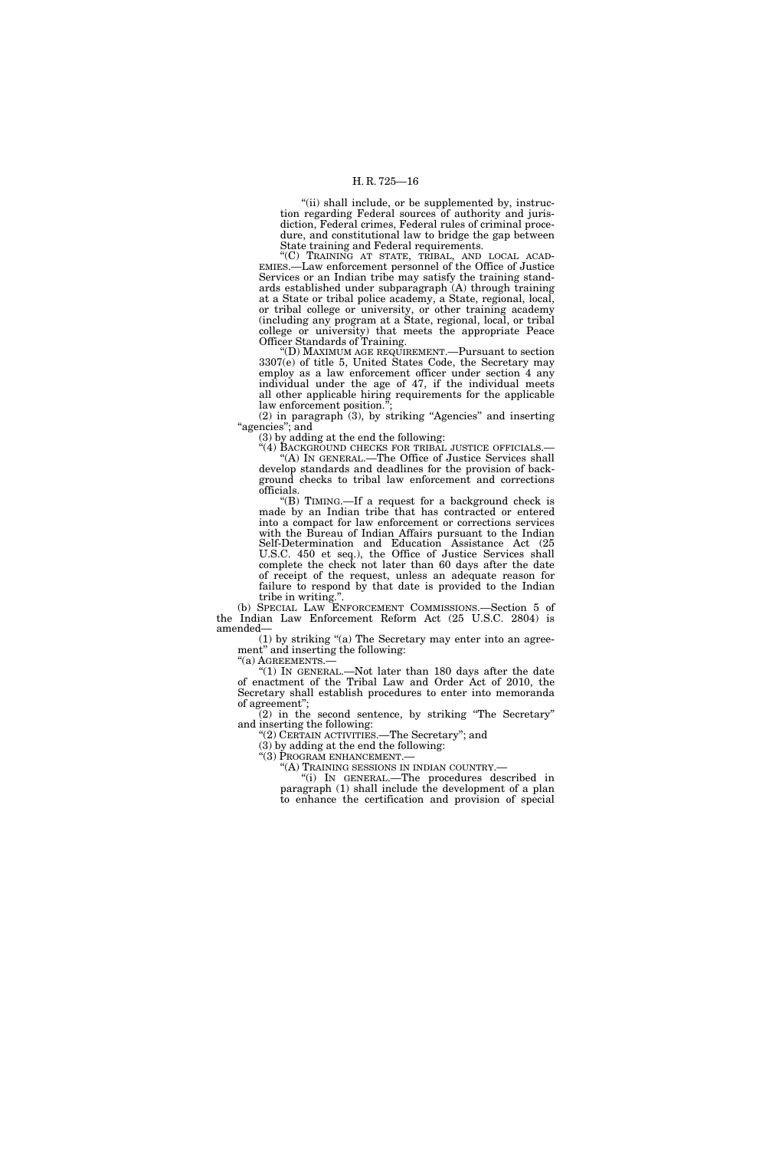"(ii) shall include, or be supplemented by, instruction regarding Federal sources of authority and jurisdiction, Federal crimes, Federal rules of criminal procedure, and constitutional law to bridge the gap between State training and Federal requirements.

"(C) TRAINING AT STATE, TRIBAL, AND LOCAL ACAD-EMIES.—Law enforcement personnel of the Office of Justice Services or an Indian tribe may satisfy the training standards established under subparagraph (A) through training at a State or tribal police academy, a State, regional, local, or tribal college or university, or other training academy (including any program at a State, regional, local, or tribal college or university) that meets the appropriate Peace Officer Standards of Training.

''(D) MAXIMUM AGE REQUIREMENT.—Pursuant to section 3307(e) of title 5, United States Code, the Secretary may employ as a law enforcement officer under section 4 any individual under the age of 47, if the individual meets all other applicable hiring requirements for the applicable law enforcement position.<sup>"</sup>

 $(2)$  in paragraph  $(3)$ , by striking "Agencies" and inserting "agencies"; and

(3) by adding at the end the following:

"(4) BACKGROUND CHECKS FOR TRIBAL JUSTICE OFFICIALS. "(A) IN GENERAL.—The Office of Justice Services shall develop standards and deadlines for the provision of background checks to tribal law enforcement and corrections officials.

''(B) TIMING.—If a request for a background check is made by an Indian tribe that has contracted or entered into a compact for law enforcement or corrections services with the Bureau of Indian Affairs pursuant to the Indian Self-Determination and Education Assistance Act (25 U.S.C. 450 et seq.), the Office of Justice Services shall complete the check not later than 60 days after the date of receipt of the request, unless an adequate reason for failure to respond by that date is provided to the Indian tribe in writing.''.

(b) SPECIAL LAW ENFORCEMENT COMMISSIONS.—Section 5 of the Indian Law Enforcement Reform Act (25 U.S.C. 2804) is amended—

(1) by striking ''(a) The Secretary may enter into an agreement'' and inserting the following:

"(a) AGREEMENTS.-

" $(1)$  In GENERAL.—Not later than 180 days after the date of enactment of the Tribal Law and Order Act of 2010, the Secretary shall establish procedures to enter into memoranda of agreement'';

(2) in the second sentence, by striking ''The Secretary'' and inserting the following:

''(2) CERTAIN ACTIVITIES.—The Secretary''; and

(3) by adding at the end the following:

"(3) PROGRAM ENHANCEMENT.—<br>"(A) TRAINING SESSIONS IN INDIAN COUNTRY.—

"(i) IN GENERAL.—The procedures described in paragraph (1) shall include the development of a plan to enhance the certification and provision of special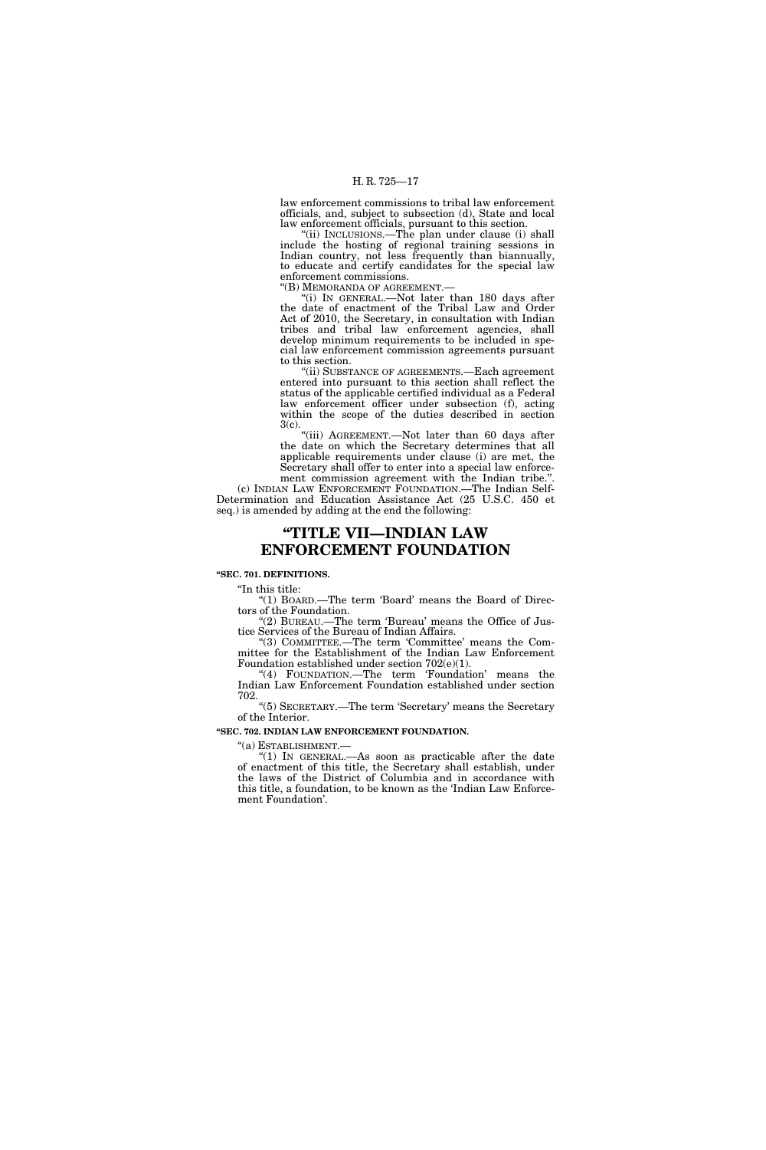law enforcement commissions to tribal law enforcement officials, and, subject to subsection (d), State and local law enforcement officials, pursuant to this section.

''(ii) INCLUSIONS.—The plan under clause (i) shall include the hosting of regional training sessions in Indian country, not less frequently than biannually, to educate and certify candidates for the special law enforcement commissions.<br>"(B) MEMORANDA OF AGREEMENT.-

 $\frac{1}{10}$  IN GENERAL.—Not later than 180 days after the date of enactment of the Tribal Law and Order Act of 2010, the Secretary, in consultation with Indian tribes and tribal law enforcement agencies, shall develop minimum requirements to be included in special law enforcement commission agreements pursuant to this section.

''(ii) SUBSTANCE OF AGREEMENTS.—Each agreement entered into pursuant to this section shall reflect the status of the applicable certified individual as a Federal law enforcement officer under subsection (f), acting within the scope of the duties described in section 3(c).

"(iii) AGREEMENT.—Not later than 60 days after the date on which the Secretary determines that all applicable requirements under clause (i) are met, the Secretary shall offer to enter into a special law enforcement commission agreement with the Indian tribe.''.

(c) INDIAN LAW ENFORCEMENT FOUNDATION.—The Indian Self-Determination and Education Assistance Act (25 U.S.C. 450 et seq.) is amended by adding at the end the following:

### **''TITLE VII—INDIAN LAW ENFORCEMENT FOUNDATION**

**''SEC. 701. DEFINITIONS.** 

''In this title:

"(1) BOARD.—The term 'Board' means the Board of Directors of the Foundation.

''(2) BUREAU.—The term 'Bureau' means the Office of Justice Services of the Bureau of Indian Affairs.

''(3) COMMITTEE.—The term 'Committee' means the Committee for the Establishment of the Indian Law Enforcement Foundation established under section 702(e)(1).

"(4) FOUNDATION.—The term 'Foundation' means the Indian Law Enforcement Foundation established under section 702.

''(5) SECRETARY.—The term 'Secretary' means the Secretary of the Interior.

### **''SEC. 702. INDIAN LAW ENFORCEMENT FOUNDATION.**

''(a) ESTABLISHMENT.—

" $(1)$  In GENERAL.—As soon as practicable after the date of enactment of this title, the Secretary shall establish, under the laws of the District of Columbia and in accordance with this title, a foundation, to be known as the 'Indian Law Enforcement Foundation'.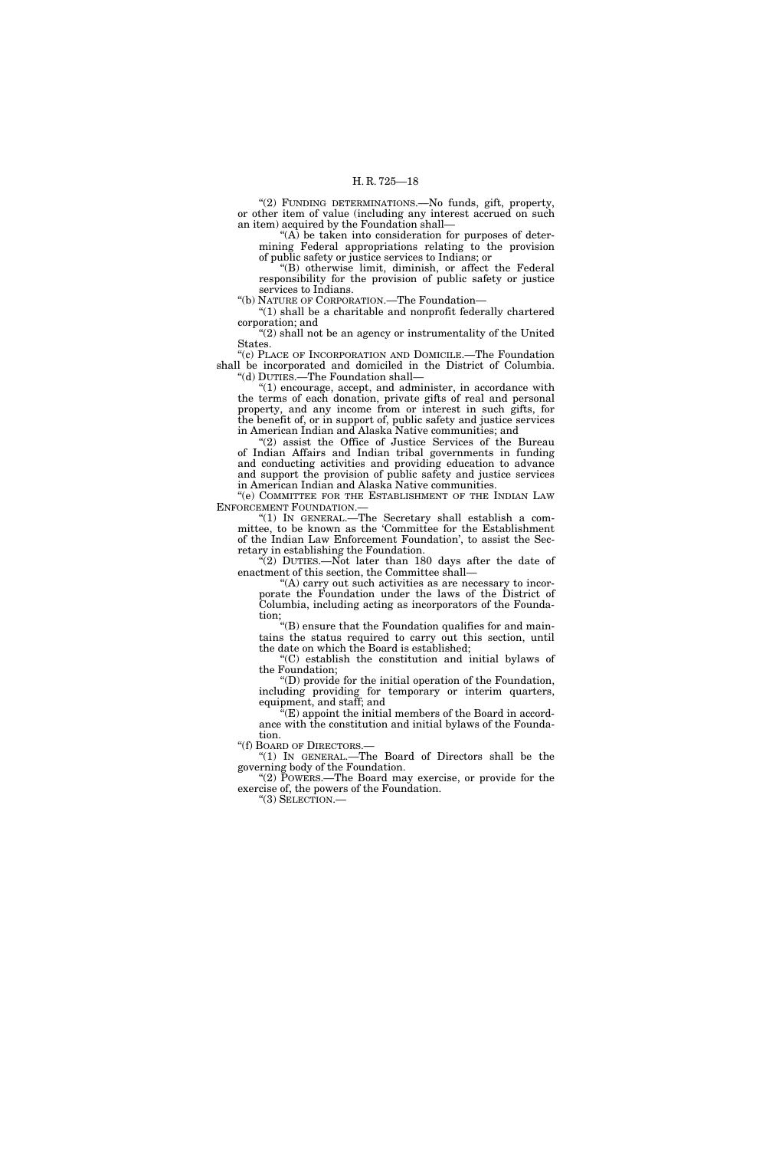''(2) FUNDING DETERMINATIONS.—No funds, gift, property, or other item of value (including any interest accrued on such an item) acquired by the Foundation shall—

 $(A)$  be taken into consideration for purposes of determining Federal appropriations relating to the provision of public safety or justice services to Indians; or

''(B) otherwise limit, diminish, or affect the Federal responsibility for the provision of public safety or justice services to Indians.

''(b) NATURE OF CORPORATION.—The Foundation—

" $(1)$  shall be a charitable and nonprofit federally chartered corporation; and

"(2) shall not be an agency or instrumentality of the United States.

''(c) PLACE OF INCORPORATION AND DOMICILE.—The Foundation shall be incorporated and domiciled in the District of Columbia. ''(d) DUTIES.—The Foundation shall—

 $!(1)$  encourage, accept, and administer, in accordance with the terms of each donation, private gifts of real and personal property, and any income from or interest in such gifts, for the benefit of, or in support of, public safety and justice services in American Indian and Alaska Native communities; and

'(2) assist the Office of Justice Services of the Bureau of Indian Affairs and Indian tribal governments in funding and conducting activities and providing education to advance and support the provision of public safety and justice services in American Indian and Alaska Native communities.

"(e) COMMITTEE FOR THE ESTABLISHMENT OF THE INDIAN LAW ENFORCEMENT FOUNDATION.

"(1) IN GENERAL.—The Secretary shall establish a committee, to be known as the 'Committee for the Establishment of the Indian Law Enforcement Foundation', to assist the Secretary in establishing the Foundation.

"(2) DUTIES.—Not later than 180 days after the date of enactment of this section, the Committee shall—

''(A) carry out such activities as are necessary to incorporate the Foundation under the laws of the District of Columbia, including acting as incorporators of the Foundation;

''(B) ensure that the Foundation qualifies for and maintains the status required to carry out this section, until the date on which the Board is established;

''(C) establish the constitution and initial bylaws of the Foundation;

''(D) provide for the initial operation of the Foundation, including providing for temporary or interim quarters, equipment, and staff; and

 $\sqrt[a]{E}$  appoint the initial members of the Board in accordance with the constitution and initial bylaws of the Foundation.

''(f) BOARD OF DIRECTORS.—

''(1) IN GENERAL.—The Board of Directors shall be the governing body of the Foundation.

"(2) POWERS.—The Board may exercise, or provide for the exercise of, the powers of the Foundation.

''(3) SELECTION.—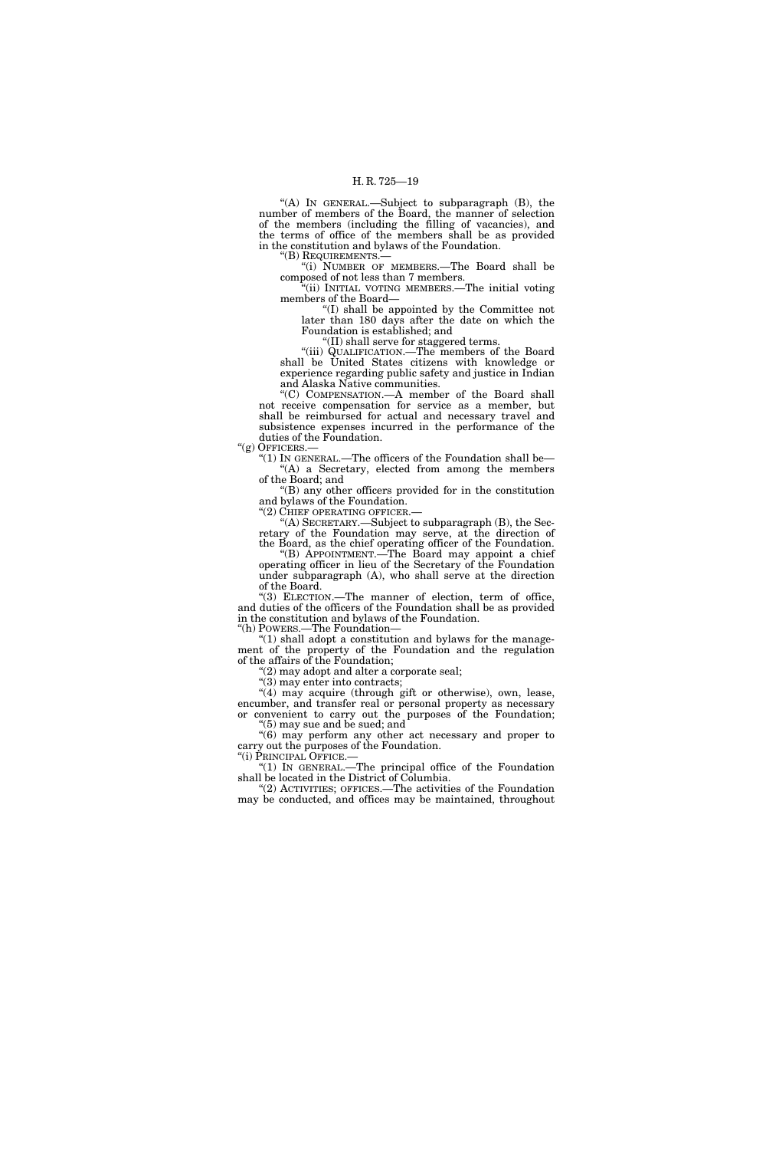''(A) IN GENERAL.—Subject to subparagraph (B), the number of members of the Board, the manner of selection of the members (including the filling of vacancies), and the terms of office of the members shall be as provided in the constitution and bylaws of the Foundation.

''(B) REQUIREMENTS.—

''(i) NUMBER OF MEMBERS.—The Board shall be composed of not less than 7 members.

''(ii) INITIAL VOTING MEMBERS.—The initial voting members of the Board—

''(I) shall be appointed by the Committee not later than 180 days after the date on which the Foundation is established; and

''(II) shall serve for staggered terms.

''(iii) QUALIFICATION.—The members of the Board shall be United States citizens with knowledge or experience regarding public safety and justice in Indian and Alaska Native communities.

''(C) COMPENSATION.—A member of the Board shall not receive compensation for service as a member, but shall be reimbursed for actual and necessary travel and subsistence expenses incurred in the performance of the duties of the Foundation.

''(g) OFFICERS.—

"(1) IN GENERAL.—The officers of the Foundation shall be- $(A)$  a Secretary, elected from among the members of the Board; and

''(B) any other officers provided for in the constitution and bylaws of the Foundation.<br>"(2) CHIEF OPERATING OFFICER.

"(A) SECRETARY.—Subject to subparagraph  $(B)$ , the Secretary of the Foundation may serve, at the direction of the Board, as the chief operating officer of the Foundation.

''(B) APPOINTMENT.—The Board may appoint a chief operating officer in lieu of the Secretary of the Foundation under subparagraph (A), who shall serve at the direction of the Board.

''(3) ELECTION.—The manner of election, term of office, and duties of the officers of the Foundation shall be as provided in the constitution and bylaws of the Foundation. ''(h) POWERS.—The Foundation—

 $(1)$  shall adopt a constitution and bylaws for the management of the property of the Foundation and the regulation of the affairs of the Foundation;

 $(2)$  may adopt and alter a corporate seal;

 $\sqrt{\frac{3}{3}}$  may enter into contracts;

"(4) may acquire (through gift or otherwise), own, lease, encumber, and transfer real or personal property as necessary or convenient to carry out the purposes of the Foundation; ''(5) may sue and be sued; and

''(6) may perform any other act necessary and proper to carry out the purposes of the Foundation.

''(i) PRINCIPAL OFFICE.— ''(1) IN GENERAL.—The principal office of the Foundation shall be located in the District of Columbia.

"(2) ACTIVITIES; OFFICES.—The activities of the Foundation may be conducted, and offices may be maintained, throughout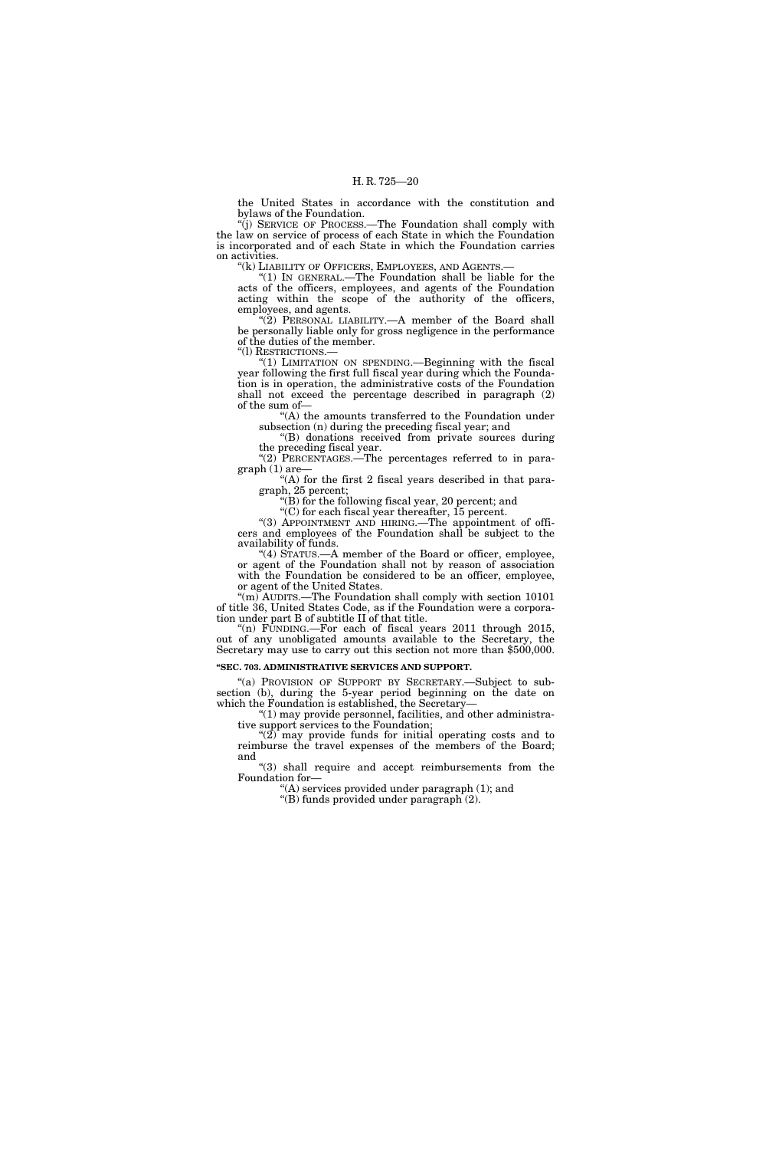the United States in accordance with the constitution and bylaws of the Foundation.

''(j) SERVICE OF PROCESS.—The Foundation shall comply with the law on service of process of each State in which the Foundation is incorporated and of each State in which the Foundation carries on activities.

"(k) LIABILITY OF OFFICERS, EMPLOYEES, AND AGENTS.

"(1) IN GENERAL.—The Foundation shall be liable for the acts of the officers, employees, and agents of the Foundation acting within the scope of the authority of the officers, employees, and agents.

"(2) PERSONAL LIABILITY.—A member of the Board shall be personally liable only for gross negligence in the performance of the duties of the member. ''(l) RESTRICTIONS.—

"(1) LIMITATION ON SPENDING.—Beginning with the fiscal year following the first full fiscal year during which the Foundation is in operation, the administrative costs of the Foundation shall not exceed the percentage described in paragraph (2) of the sum of—

''(A) the amounts transferred to the Foundation under

subsection (n) during the preceding fiscal year; and ''(B) donations received from private sources during the preceding fiscal year.

" $(2)$ <sup> $\Gamma$ </sup>PERCENTAGES.—The percentages referred to in paragraph (1) are—

 $H(A)$  for the first 2 fiscal years described in that paragraph, 25 percent;

"(B) for the following fiscal year, 20 percent; and  $\mathcal{C}(C)$  for each fiscal year thereafter, 15 percent.

''(3) APPOINTMENT AND HIRING.—The appointment of officers and employees of the Foundation shall be subject to the availability of funds.

"(4) STATUS.—A member of the Board or officer, employee, or agent of the Foundation shall not by reason of association with the Foundation be considered to be an officer, employee, or agent of the United States.

"(m) AUDITS.—The Foundation shall comply with section 10101 of title 36, United States Code, as if the Foundation were a corporation under part B of subtitle II of that title.

''(n) FUNDING.—For each of fiscal years 2011 through 2015, out of any unobligated amounts available to the Secretary, the Secretary may use to carry out this section not more than \$500,000.

### **''SEC. 703. ADMINISTRATIVE SERVICES AND SUPPORT.**

"(a) PROVISION OF SUPPORT BY SECRETARY.—Subject to subsection (b), during the 5-year period beginning on the date on which the Foundation is established, the Secretary—

''(1) may provide personnel, facilities, and other administrative support services to the Foundation;

" $(2)$  may provide funds for initial operating costs and to reimburse the travel expenses of the members of the Board; and

"(3) shall require and accept reimbursements from the Foundation for—

''(A) services provided under paragraph (1); and

''(B) funds provided under paragraph (2).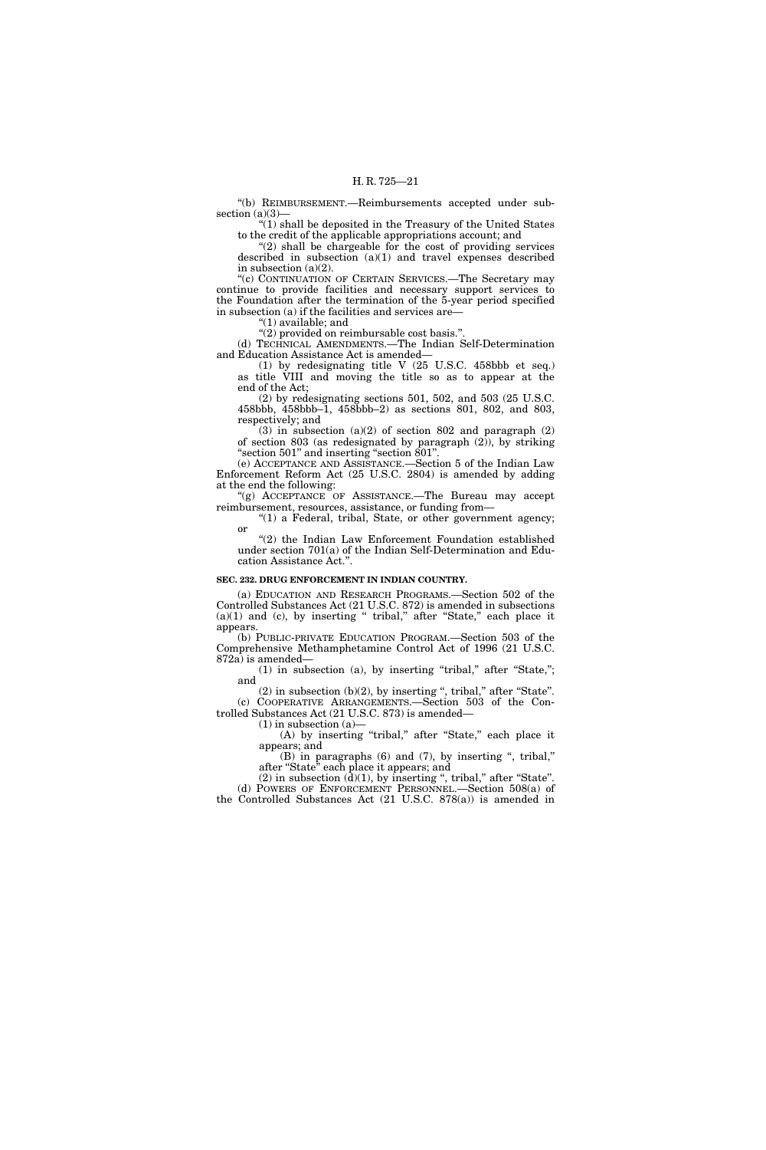''(b) REIMBURSEMENT.—Reimbursements accepted under subsection (a)(3)-

''(1) shall be deposited in the Treasury of the United States to the credit of the applicable appropriations account; and

 $''(2)$  shall be chargeable for the cost of providing services described in subsection  $(a)(1)$  and travel expenses described in subsection (a)(2).

''(c) CONTINUATION OF CERTAIN SERVICES.—The Secretary may continue to provide facilities and necessary support services to the Foundation after the termination of the 5-year period specified in subsection (a) if the facilities and services are—

''(1) available; and

"(2) provided on reimbursable cost basis.". (d) TECHNICAL AMENDMENTS.—The Indian Self-Determination and Education Assistance Act is amended—

(1) by redesignating title V (25 U.S.C. 458bbb et seq.) as title VIII and moving the title so as to appear at the end of the Act;

(2) by redesignating sections 501, 502, and 503 (25 U.S.C. 458bbb, 458bbb–1, 458bbb–2) as sections 801, 802, and 803, respectively; and

 $(3)$  in subsection  $(a)(2)$  of section 802 and paragraph  $(2)$ of section 803 (as redesignated by paragraph  $(2)$ ), by striking ''section 501'' and inserting ''section 801''.

(e) ACCEPTANCE AND ASSISTANCE.—Section 5 of the Indian Law Enforcement Reform Act (25 U.S.C. 2804) is amended by adding at the end the following:

"(g) ACCEPTANCE OF ASSISTANCE.—The Bureau may accept reimbursement, resources, assistance, or funding from—

" $(1)$  a Federal, tribal, State, or other government agency; or

''(2) the Indian Law Enforcement Foundation established under section 701(a) of the Indian Self-Determination and Education Assistance Act."

### **SEC. 232. DRUG ENFORCEMENT IN INDIAN COUNTRY.**

(a) EDUCATION AND RESEARCH PROGRAMS.—Section 502 of the Controlled Substances Act (21 U.S.C. 872) is amended in subsections  $(a)(1)$  and  $(c)$ , by inserting " tribal," after "State," each place it appears.

(b) PUBLIC-PRIVATE EDUCATION PROGRAM.—Section 503 of the Comprehensive Methamphetamine Control Act of 1996 (21 U.S.C. 872a) is amended—

(1) in subsection (a), by inserting ''tribal,'' after ''State,''; and

 $(2)$  in subsection  $(b)(2)$ , by inserting ", tribal," after "State". (c) COOPERATIVE ARRANGEMENTS.—Section 503 of the Controlled Substances Act (21 U.S.C. 873) is amended—

 $(1)$  in subsection  $(a)$ 

(A) by inserting "tribal," after "State," each place it appears; and

(B) in paragraphs (6) and (7), by inserting '', tribal,'' after ''State'' each place it appears; and

 $(2)$  in subsection  $(d)(1)$ , by inserting ", tribal," after "State". (d) POWERS OF ENFORCEMENT PERSONNEL.—Section 508(a) of the Controlled Substances Act (21 U.S.C. 878(a)) is amended in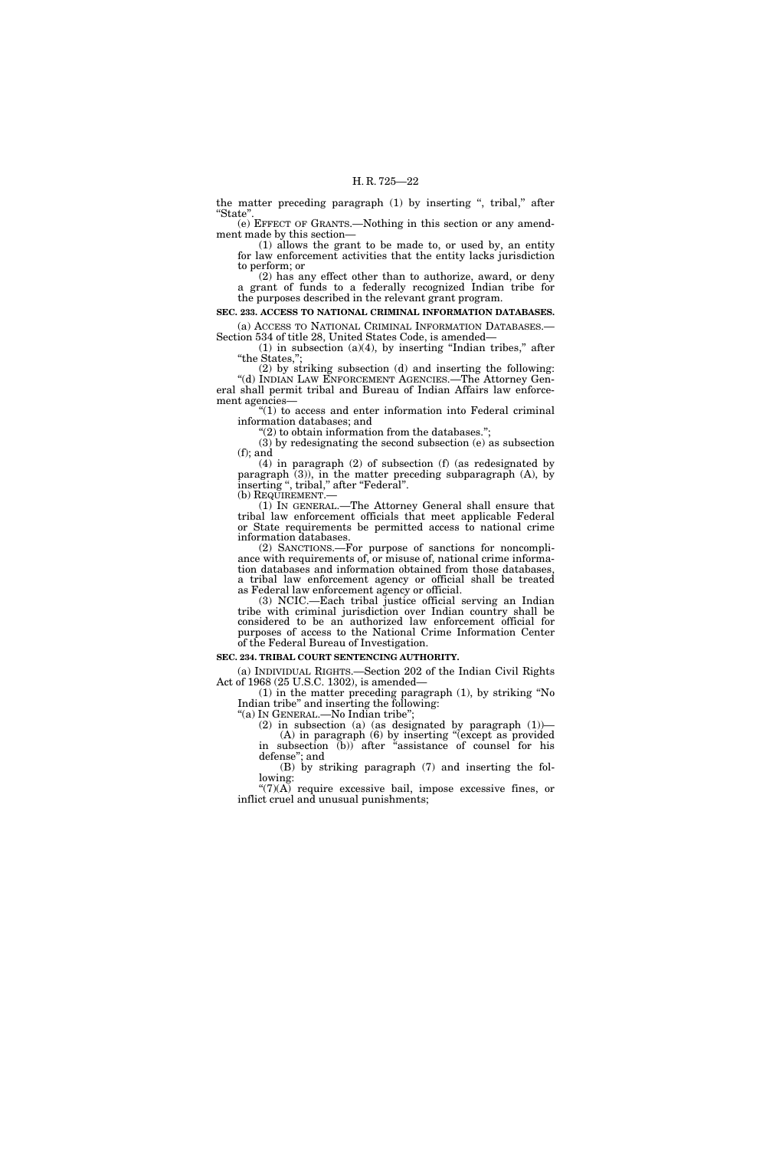the matter preceding paragraph (1) by inserting ", tribal," after ''State''.

(e) EFFECT OF GRANTS.—Nothing in this section or any amendment made by this section—

(1) allows the grant to be made to, or used by, an entity for law enforcement activities that the entity lacks jurisdiction to perform; or

(2) has any effect other than to authorize, award, or deny a grant of funds to a federally recognized Indian tribe for the purposes described in the relevant grant program.

**SEC. 233. ACCESS TO NATIONAL CRIMINAL INFORMATION DATABASES.** 

(a) ACCESS TO NATIONAL CRIMINAL INFORMATION DATABASES.— Section 534 of title 28, United States Code, is amended—  $(1)$  in subsection  $(a)(4)$ , by inserting "Indian tribes," after

"the States," (2) by striking subsection (d) and inserting the following:

"(d) INDIAN LAW ENFORCEMENT AGENCIES.—The Attorney General shall permit tribal and Bureau of Indian Affairs law enforcement agencies—

''(1) to access and enter information into Federal criminal information databases; and

" $(2)$  to obtain information from the databases.";

(3) by redesignating the second subsection (e) as subsection (f); and

(4) in paragraph (2) of subsection (f) (as redesignated by paragraph (3)), in the matter preceding subparagraph (A), by inserting ", tribal," after "Federal".

(b) REQUIREMENT.— (1) IN GENERAL.—The Attorney General shall ensure that (1) IN GENERAL.—The Attorney General shall ensure that tribal law enforcement officials that meet applicable Federal or State requirements be permitted access to national crime information databases.

(2) SANCTIONS.—For purpose of sanctions for noncompliance with requirements of, or misuse of, national crime information databases and information obtained from those databases, a tribal law enforcement agency or official shall be treated as Federal law enforcement agency or official.

(3) NCIC.—Each tribal justice official serving an Indian tribe with criminal jurisdiction over Indian country shall be considered to be an authorized law enforcement official for purposes of access to the National Crime Information Center of the Federal Bureau of Investigation.

#### **SEC. 234. TRIBAL COURT SENTENCING AUTHORITY.**

(a) INDIVIDUAL RIGHTS.—Section 202 of the Indian Civil Rights Act of 1968 (25 U.S.C. 1302), is amended—

(1) in the matter preceding paragraph (1), by striking ''No Indian tribe'' and inserting the following:

''(a) IN GENERAL.—No Indian tribe'';

(2) in subsection (a) (as designated by paragraph  $(1)$ ) (A) in paragraph (6) by inserting ''(except as provided in subsection (b)) after ''assistance of counsel for his defense''; and

(B) by striking paragraph (7) and inserting the following:

 $\mathcal{L}(7)(\overline{A})$  require excessive bail, impose excessive fines, or inflict cruel and unusual punishments;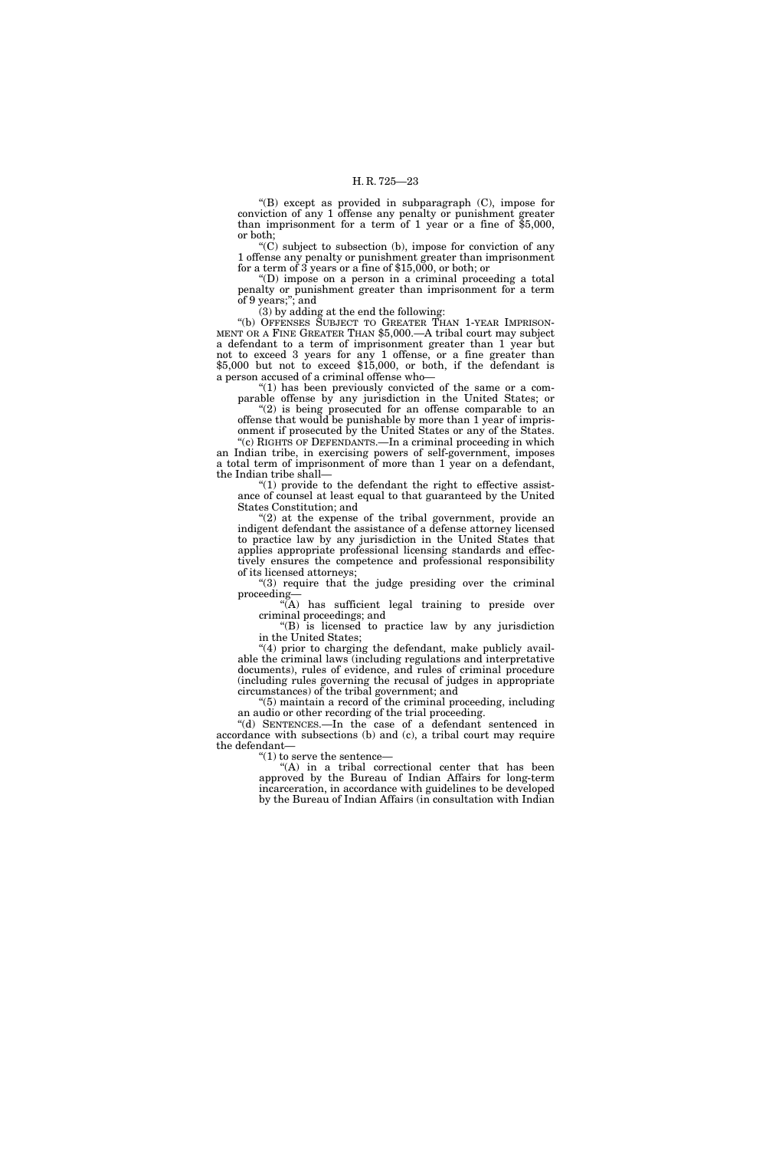''(B) except as provided in subparagraph (C), impose for conviction of any 1 offense any penalty or punishment greater than imprisonment for a term of 1 year or a fine of \$5,000, or both;

''(C) subject to subsection (b), impose for conviction of any 1 offense any penalty or punishment greater than imprisonment for a term of 3 years or a fine of \$15,000, or both; or

''(D) impose on a person in a criminal proceeding a total penalty or punishment greater than imprisonment for a term of 9 years;''; and

(3) by adding at the end the following:

''(b) OFFENSES SUBJECT TO GREATER THAN 1-YEAR IMPRISON-MENT OR A FINE GREATER THAN \$5,000.—A tribal court may subject a defendant to a term of imprisonment greater than 1 year but not to exceed 3 years for any 1 offense, or a fine greater than \$5,000 but not to exceed \$15,000, or both, if the defendant is a person accused of a criminal offense who—

"(1) has been previously convicted of the same or a comparable offense by any jurisdiction in the United States; or

"(2) is being prosecuted for an offense comparable to an offense that would be punishable by more than 1 year of imprisonment if prosecuted by the United States or any of the States.

"(c) RIGHTS OF DEFENDANTS.—In a criminal proceeding in which an Indian tribe, in exercising powers of self-government, imposes a total term of imprisonment of more than 1 year on a defendant, the Indian tribe shall—

" $(1)$  provide to the defendant the right to effective assistance of counsel at least equal to that guaranteed by the United States Constitution; and

" $(2)$  at the expense of the tribal government, provide an indigent defendant the assistance of a defense attorney licensed to practice law by any jurisdiction in the United States that applies appropriate professional licensing standards and effectively ensures the competence and professional responsibility of its licensed attorneys;

"(3) require that the judge presiding over the criminal proceeding—

''(A) has sufficient legal training to preside over criminal proceedings; and

''(B) is licensed to practice law by any jurisdiction in the United States;

 $(4)$  prior to charging the defendant, make publicly available the criminal laws (including regulations and interpretative documents), rules of evidence, and rules of criminal procedure (including rules governing the recusal of judges in appropriate circumstances) of the tribal government; and

''(5) maintain a record of the criminal proceeding, including an audio or other recording of the trial proceeding.

''(d) SENTENCES.—In the case of a defendant sentenced in accordance with subsections (b) and (c), a tribal court may require the defendant—

" $(1)$  to serve the sentence-

"(A) in a tribal correctional center that has been approved by the Bureau of Indian Affairs for long-term incarceration, in accordance with guidelines to be developed by the Bureau of Indian Affairs (in consultation with Indian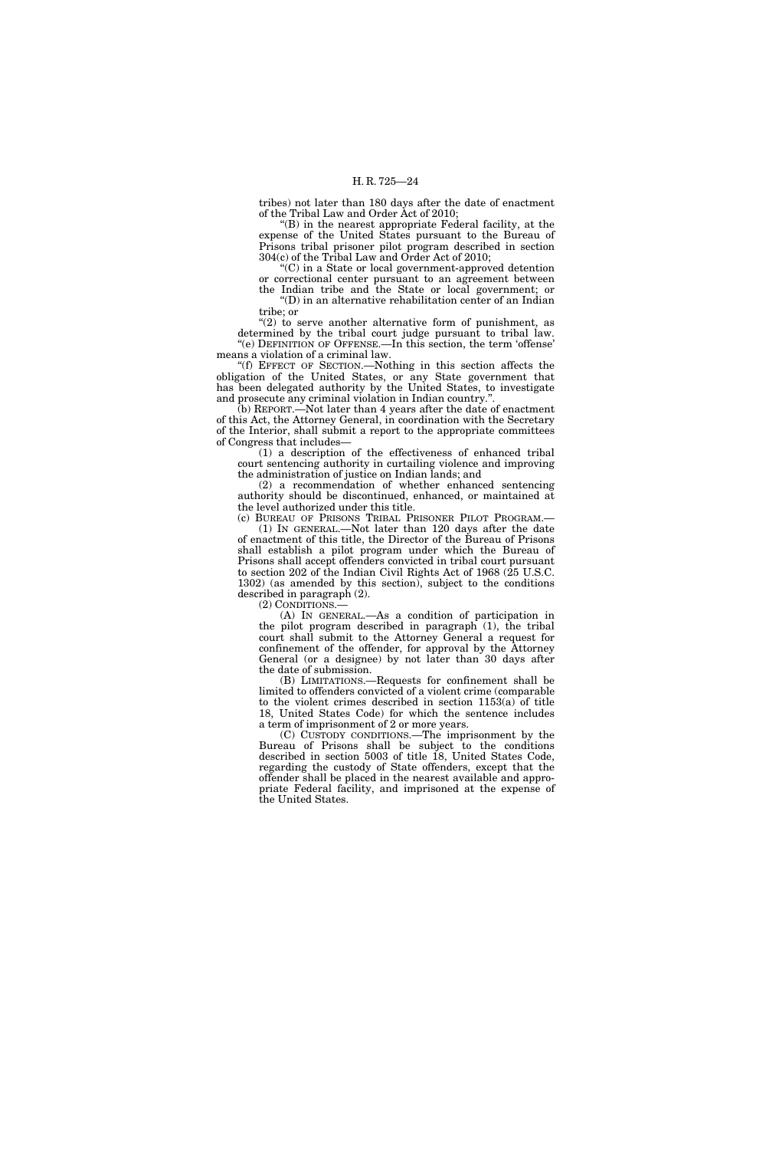tribes) not later than 180 days after the date of enactment of the Tribal Law and Order Act of 2010;

''(B) in the nearest appropriate Federal facility, at the expense of the United States pursuant to the Bureau of Prisons tribal prisoner pilot program described in section 304(c) of the Tribal Law and Order Act of 2010;

 $C$ ) in a State or local government-approved detention or correctional center pursuant to an agreement between the Indian tribe and the State or local government; or

''(D) in an alternative rehabilitation center of an Indian tribe; or

 $(2)$  to serve another alternative form of punishment, as determined by the tribal court judge pursuant to tribal law. "(e) DEFINITION OF OFFENSE.—In this section, the term 'offense' means a violation of a criminal law.

''(f) EFFECT OF SECTION.—Nothing in this section affects the obligation of the United States, or any State government that has been delegated authority by the United States, to investigate and prosecute any criminal violation in Indian country.<sup>'</sup>

(b) REPORT.—Not later than 4 years after the date of enactment of this Act, the Attorney General, in coordination with the Secretary of the Interior, shall submit a report to the appropriate committees of Congress that includes—

(1) a description of the effectiveness of enhanced tribal court sentencing authority in curtailing violence and improving the administration of justice on Indian lands; and

(2) a recommendation of whether enhanced sentencing authority should be discontinued, enhanced, or maintained at the level authorized under this title.

(c) BUREAU OF PRISONS TRIBAL PRISONER PILOT PROGRAM.— (1) IN GENERAL.—Not later than 120 days after the date of enactment of this title, the Director of the Bureau of Prisons shall establish a pilot program under which the Bureau of Prisons shall accept offenders convicted in tribal court pursuant to section 202 of the Indian Civil Rights Act of 1968 (25 U.S.C. 1302) (as amended by this section), subject to the conditions described in paragraph (2).

(2) CONDITIONS.—

(A) IN GENERAL.—As a condition of participation in the pilot program described in paragraph (1), the tribal court shall submit to the Attorney General a request for confinement of the offender, for approval by the Attorney General (or a designee) by not later than 30 days after the date of submission.

(B) LIMITATIONS.—Requests for confinement shall be limited to offenders convicted of a violent crime (comparable to the violent crimes described in section 1153(a) of title 18, United States Code) for which the sentence includes a term of imprisonment of 2 or more years.

(C) CUSTODY CONDITIONS.—The imprisonment by the Bureau of Prisons shall be subject to the conditions described in section 5003 of title 18, United States Code, regarding the custody of State offenders, except that the offender shall be placed in the nearest available and appropriate Federal facility, and imprisoned at the expense of the United States.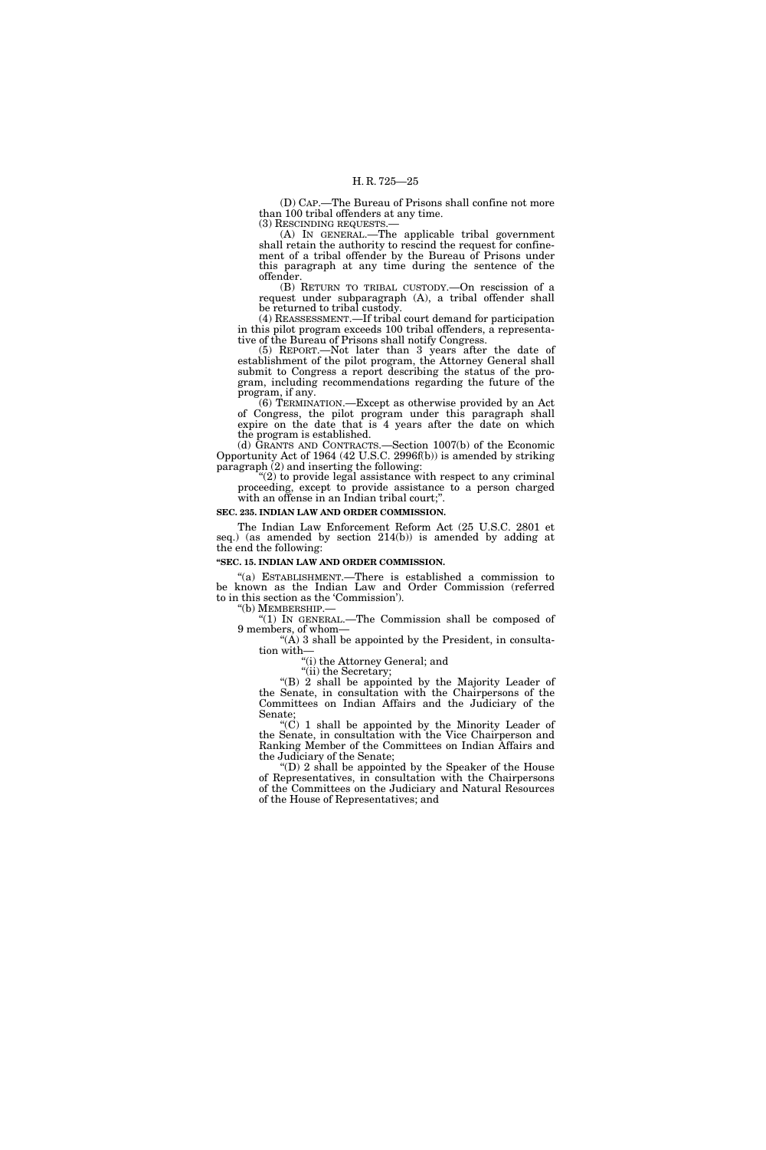(D) CAP.—The Bureau of Prisons shall confine not more than 100 tribal offenders at any time.<br>(3) RESCINDING REQUESTS.—

(A) IN GENERAL.—The applicable tribal government shall retain the authority to rescind the request for confinement of a tribal offender by the Bureau of Prisons under this paragraph at any time during the sentence of the offender.

(B) RETURN TO TRIBAL CUSTODY.—On rescission of a request under subparagraph (A), a tribal offender shall be returned to tribal custody.

(4) REASSESSMENT.—If tribal court demand for participation in this pilot program exceeds 100 tribal offenders, a representative of the Bureau of Prisons shall notify Congress.

(5) REPORT.—Not later than 3 years after the date of establishment of the pilot program, the Attorney General shall submit to Congress a report describing the status of the program, including recommendations regarding the future of the program, if any.

(6) TERMINATION.—Except as otherwise provided by an Act of Congress, the pilot program under this paragraph shall expire on the date that is 4 years after the date on which the program is established.

(d) GRANTS AND CONTRACTS.—Section 1007(b) of the Economic Opportunity Act of 1964 (42 U.S.C. 2996f(b)) is amended by striking paragraph (2) and inserting the following:

 $(2)$  to provide legal assistance with respect to any criminal proceeding, except to provide assistance to a person charged with an offense in an Indian tribal court;''.

#### **SEC. 235. INDIAN LAW AND ORDER COMMISSION.**

The Indian Law Enforcement Reform Act (25 U.S.C. 2801 et seq.) (as amended by section 214(b)) is amended by adding at the end the following:

### **''SEC. 15. INDIAN LAW AND ORDER COMMISSION.**

''(a) ESTABLISHMENT.—There is established a commission to be known as the Indian Law and Order Commission (referred to in this section as the 'Commission').

''(b) MEMBERSHIP.— ''(1) IN GENERAL.—The Commission shall be composed of 9 members, of whom—

 $(A)$  3 shall be appointed by the President, in consultation with—

''(i) the Attorney General; and

"(ii) the Secretary; ''(B) 2 shall be appointed by the Majority Leader of the Senate, in consultation with the Chairpersons of the Committees on Indian Affairs and the Judiciary of the Senate;

 $(C)$  1 shall be appointed by the Minority Leader of the Senate, in consultation with the Vice Chairperson and Ranking Member of the Committees on Indian Affairs and the Judiciary of the Senate;

''(D) 2 shall be appointed by the Speaker of the House of Representatives, in consultation with the Chairpersons of the Committees on the Judiciary and Natural Resources of the House of Representatives; and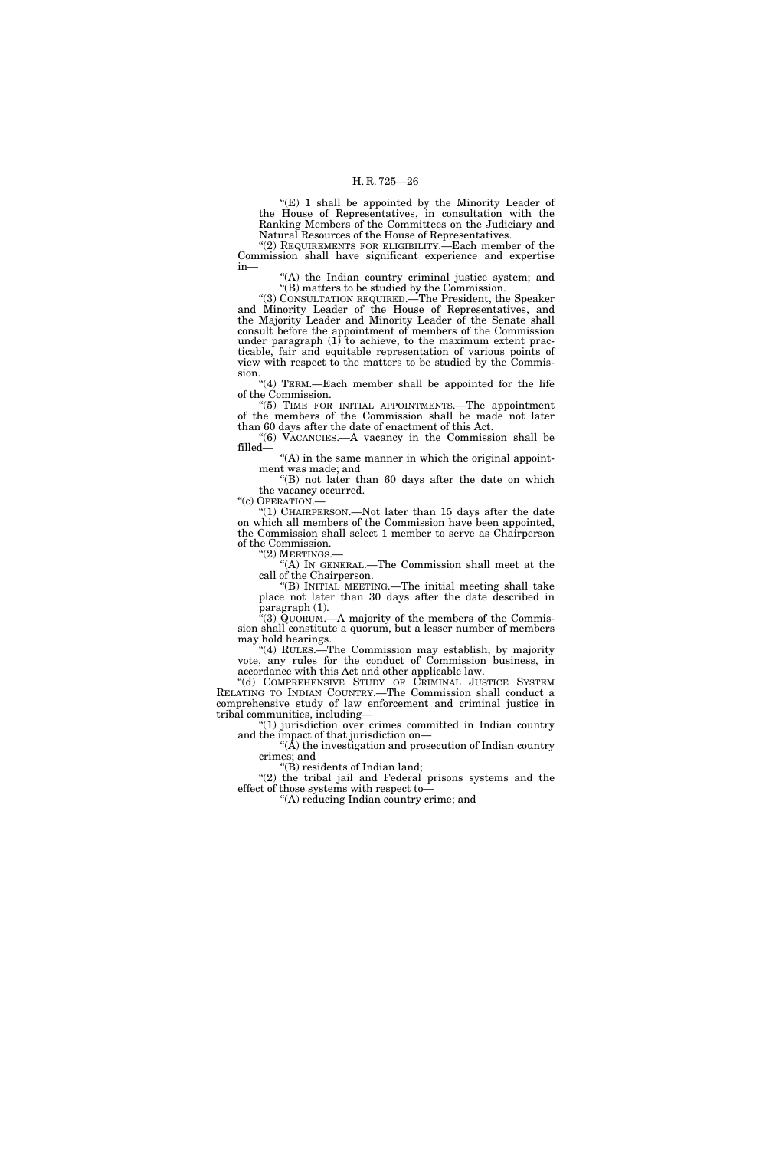"(E) 1 shall be appointed by the Minority Leader of the House of Representatives, in consultation with the Ranking Members of the Committees on the Judiciary and Natural Resources of the House of Representatives.

"(2) REQUIREMENTS FOR ELIGIBILITY.—Each member of the Commission shall have significant experience and expertise in—

"(A) the Indian country criminal justice system; and ''(B) matters to be studied by the Commission.

''(3) CONSULTATION REQUIRED.—The President, the Speaker and Minority Leader of the House of Representatives, and the Majority Leader and Minority Leader of the Senate shall consult before the appointment of members of the Commission under paragraph  $(1)$  to achieve, to the maximum extent practicable, fair and equitable representation of various points of view with respect to the matters to be studied by the Commission.

''(4) TERM.—Each member shall be appointed for the life of the Commission.

''(5) TIME FOR INITIAL APPOINTMENTS.—The appointment of the members of the Commission shall be made not later than 60 days after the date of enactment of this Act.

''(6) VACANCIES.—A vacancy in the Commission shall be filled—

"(A) in the same manner in which the original appointment was made; and

" $(B)$  not later than 60 days after the date on which the vacancy occurred.

"(c) OPERATION.-

" $(1)$  CHAIRPERSON.—Not later than 15 days after the date on which all members of the Commission have been appointed, the Commission shall select 1 member to serve as Chairperson of the Commission.

''(2) MEETINGS.— ''(A) IN GENERAL.—The Commission shall meet at the call of the Chairperson.

''(B) INITIAL MEETING.—The initial meeting shall take place not later than 30 days after the date described in paragraph (1).

 $\Gamma(3)$  QUORUM.—A majority of the members of the Commission shall constitute a quorum, but a lesser number of members may hold hearings.

''(4) RULES.—The Commission may establish, by majority vote, any rules for the conduct of Commission business, in accordance with this Act and other applicable law.

''(d) COMPREHENSIVE STUDY OF CRIMINAL JUSTICE SYSTEM RELATING TO INDIAN COUNTRY.—The Commission shall conduct a comprehensive study of law enforcement and criminal justice in tribal communities, including—

''(1) jurisdiction over crimes committed in Indian country and the impact of that jurisdiction on—

 $\mathcal{H}(A)$  the investigation and prosecution of Indian country crimes; and

''(B) residents of Indian land;

"(2) the tribal jail and Federal prisons systems and the effect of those systems with respect to—

''(A) reducing Indian country crime; and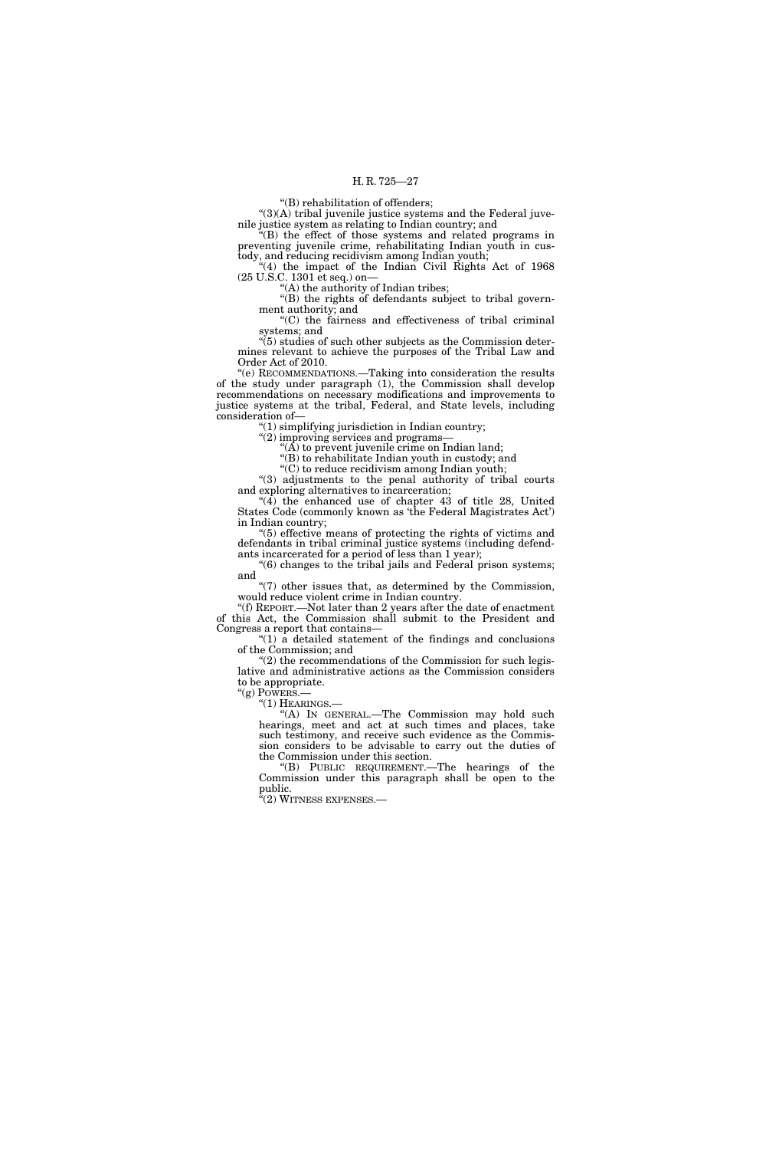''(B) rehabilitation of offenders;

 $"(3)(A)$  tribal juvenile justice systems and the Federal juvenile justice system as relating to Indian country; and

''(B) the effect of those systems and related programs in preventing juvenile crime, rehabilitating Indian youth in custody, and reducing recidivism among Indian youth;

"(4) the impact of the Indian Civil Rights Act of 1968 (25 U.S.C. 1301 et seq.) on—

''(A) the authority of Indian tribes;

''(B) the rights of defendants subject to tribal government authority; and ''(C) the fairness and effectiveness of tribal criminal

systems; and

systems; and<br>
"(5) studies of such other subjects as the Commission deter-<br>  $f_{\text{the}}$  Tribel Lew and mines relevant to achieve the purposes of the Tribal Law and Order Act of 2010.

''(e) RECOMMENDATIONS.—Taking into consideration the results of the study under paragraph (1), the Commission shall develop recommendations on necessary modifications and improvements to justice systems at the tribal, Federal, and State levels, including consideration of—

 $(1)$  simplifying jurisdiction in Indian country;

"(2) improving services and programs-

" $(\overline{A})$  to prevent juvenile crime on Indian land;

''(B) to rehabilitate Indian youth in custody; and ''(C) to reduce recidivism among Indian youth;

''(3) adjustments to the penal authority of tribal courts and exploring alternatives to incarceration;

"(4) the enhanced use of chapter 43 of title 28, United States Code (commonly known as 'the Federal Magistrates Act') in Indian country;

''(5) effective means of protecting the rights of victims and defendants in tribal criminal justice systems (including defendants incarcerated for a period of less than 1 year);

''(6) changes to the tribal jails and Federal prison systems; and

''(7) other issues that, as determined by the Commission, would reduce violent crime in Indian country.

''(f) REPORT.—Not later than 2 years after the date of enactment of this Act, the Commission shall submit to the President and Congress a report that contains—

 $''(1)$  a detailed statement of the findings and conclusions of the Commission; and

 $"(2)$  the recommendations of the Commission for such legislative and administrative actions as the Commission considers to be appropriate.<br>"(g) POWERS.—

"(1) HEARINGS.—<br>"(A) IN GENERAL.—The Commission may hold such hearings, meet and act at such times and places, take such testimony, and receive such evidence as the Commission considers to be advisable to carry out the duties of the Commission under this section.

''(B) PUBLIC REQUIREMENT.—The hearings of the Commission under this paragraph shall be open to the public.

 $\cdot^{\alpha}(2)$  Witness expenses.—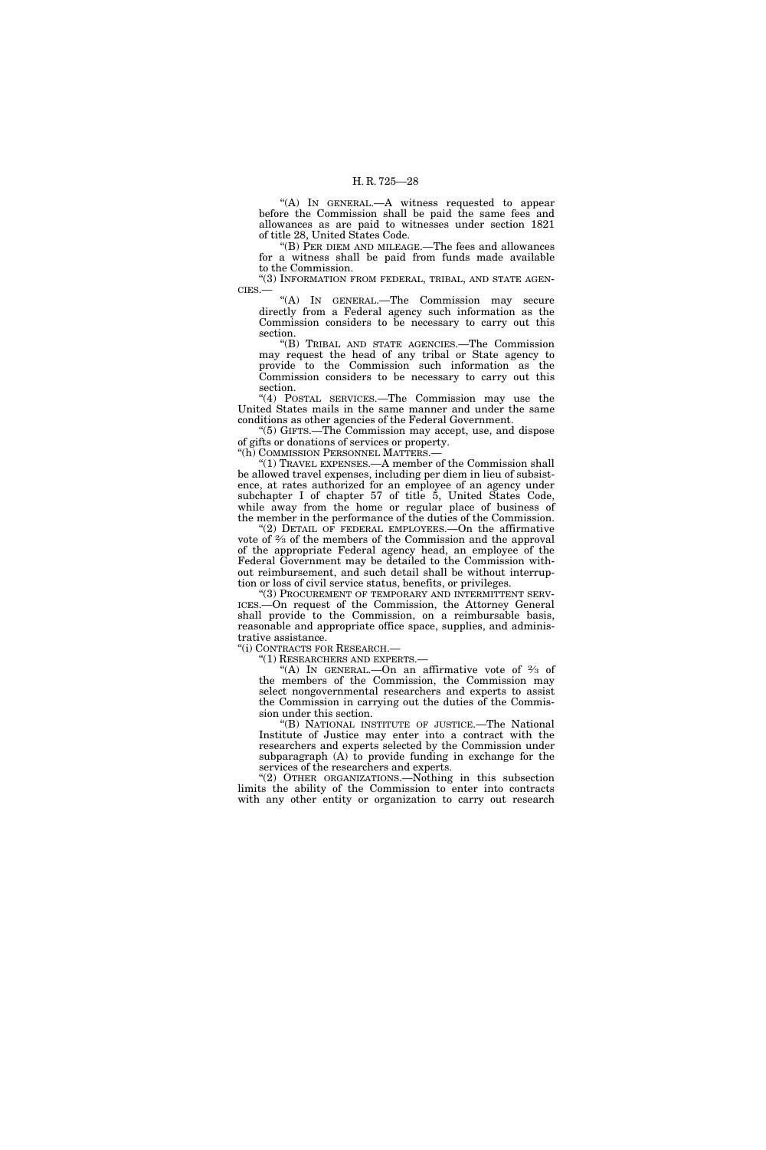''(A) IN GENERAL.—A witness requested to appear before the Commission shall be paid the same fees and allowances as are paid to witnesses under section 1821 of title 28, United States Code.

''(B) PER DIEM AND MILEAGE.—The fees and allowances for a witness shall be paid from funds made available to the Commission.

"(3) INFORMATION FROM FEDERAL, TRIBAL, AND STATE AGEN-CIES.—

''(A) IN GENERAL.—The Commission may secure directly from a Federal agency such information as the Commission considers to be necessary to carry out this section.

''(B) TRIBAL AND STATE AGENCIES.—The Commission may request the head of any tribal or State agency to provide to the Commission such information as the Commission considers to be necessary to carry out this section.

''(4) POSTAL SERVICES.—The Commission may use the United States mails in the same manner and under the same conditions as other agencies of the Federal Government.

''(5) GIFTS.—The Commission may accept, use, and dispose of gifts or donations of services or property.

''(h) COMMISSION PERSONNEL MATTERS.—

''(1) TRAVEL EXPENSES.—A member of the Commission shall be allowed travel expenses, including per diem in lieu of subsistence, at rates authorized for an employee of an agency under subchapter I of chapter 57 of title 5, United States Code, while away from the home or regular place of business of the member in the performance of the duties of the Commission.

 $(2)$  DETAIL OF FEDERAL EMPLOYEES.—On the affirmative vote of 2⁄3 of the members of the Commission and the approval of the appropriate Federal agency head, an employee of the Federal Government may be detailed to the Commission without reimbursement, and such detail shall be without interruption or loss of civil service status, benefits, or privileges.

'(3) PROCUREMENT OF TEMPORARY AND INTERMITTENT SERV-ICES.—On request of the Commission, the Attorney General shall provide to the Commission, on a reimbursable basis, reasonable and appropriate office space, supplies, and administrative assistance.

''(i) CONTRACTS FOR RESEARCH.—

''(1) RESEARCHERS AND EXPERTS.—

"(A) IN GENERAL.—On an affirmative vote of  $\frac{2}{3}$  of the members of the Commission, the Commission may select nongovernmental researchers and experts to assist the Commission in carrying out the duties of the Commission under this section.

''(B) NATIONAL INSTITUTE OF JUSTICE.—The National Institute of Justice may enter into a contract with the researchers and experts selected by the Commission under subparagraph (A) to provide funding in exchange for the services of the researchers and experts.

''(2) OTHER ORGANIZATIONS.—Nothing in this subsection limits the ability of the Commission to enter into contracts with any other entity or organization to carry out research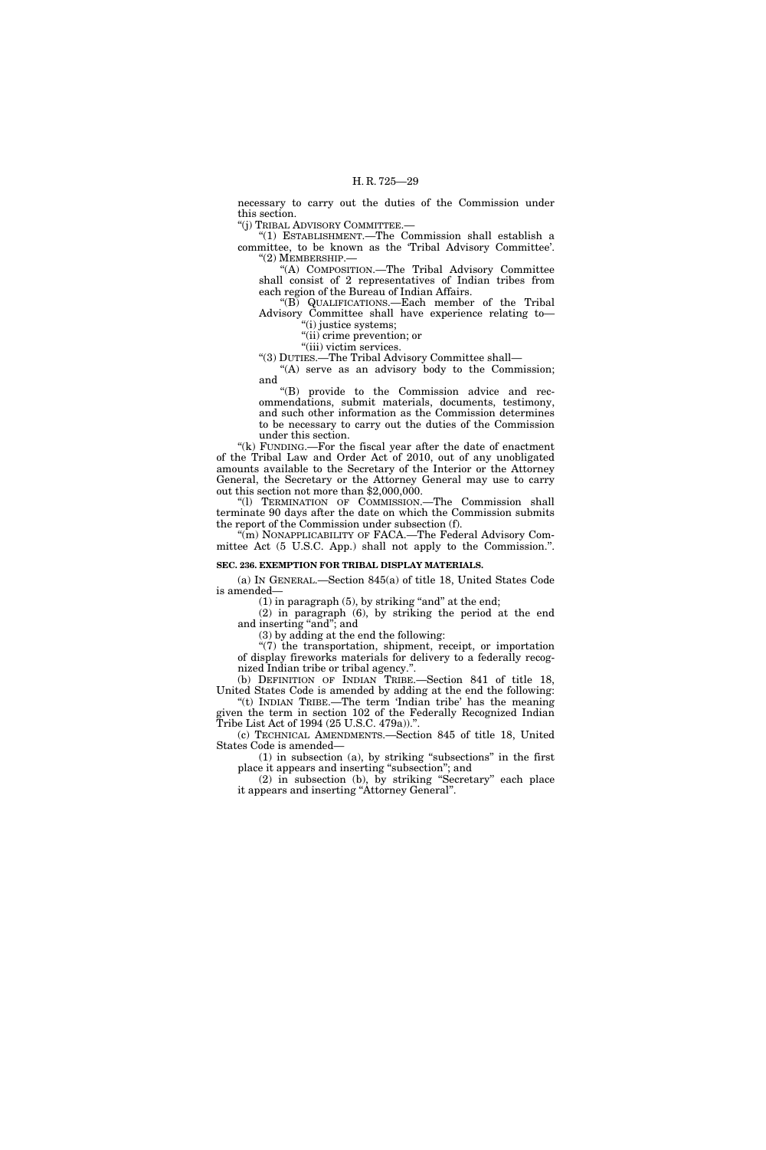necessary to carry out the duties of the Commission under this section.

''(j) TRIBAL ADVISORY COMMITTEE.—

''(1) ESTABLISHMENT.—The Commission shall establish a committee, to be known as the 'Tribal Advisory Committee'. ''(2) MEMBERSHIP.—

''(A) COMPOSITION.—The Tribal Advisory Committee shall consist of 2 representatives of Indian tribes from each region of the Bureau of Indian Affairs.

''(B) QUALIFICATIONS.—Each member of the Tribal Advisory Committee shall have experience relating to—

''(i) justice systems;

''(ii) crime prevention; or "(iii) victim services.

''(3) DUTIES.—The Tribal Advisory Committee shall—

"(A) serve as an advisory body to the Commission; and

''(B) provide to the Commission advice and recommendations, submit materials, documents, testimony, and such other information as the Commission determines to be necessary to carry out the duties of the Commission under this section.

"(k) FUNDING.—For the fiscal year after the date of enactment of the Tribal Law and Order Act of 2010, out of any unobligated amounts available to the Secretary of the Interior or the Attorney General, the Secretary or the Attorney General may use to carry out this section not more than \$2,000,000.

''(l) TERMINATION OF COMMISSION.—The Commission shall terminate 90 days after the date on which the Commission submits the report of the Commission under subsection (f).

"(m) NONAPPLICABILITY OF FACA.—The Federal Advisory Committee Act (5 U.S.C. App.) shall not apply to the Commission.''.

### **SEC. 236. EXEMPTION FOR TRIBAL DISPLAY MATERIALS.**

(a) IN GENERAL.—Section 845(a) of title 18, United States Code is amended—

 $(1)$  in paragraph  $(5)$ , by striking "and" at the end;

(2) in paragraph (6), by striking the period at the end and inserting "and"; and

(3) by adding at the end the following:

''(7) the transportation, shipment, receipt, or importation of display fireworks materials for delivery to a federally recognized Indian tribe or tribal agency.''.

(b) DEFINITION OF INDIAN TRIBE.-Section 841 of title 18, United States Code is amended by adding at the end the following: "(t) INDIAN TRIBE.—The term 'Indian tribe' has the meaning

given the term in section 102 of the Federally Recognized Indian Tribe List Act of 1994 (25 U.S.C. 479a)).''.

(c) TECHNICAL AMENDMENTS.—Section 845 of title 18, United States Code is amended—

(1) in subsection (a), by striking ''subsections'' in the first place it appears and inserting ''subsection''; and

(2) in subsection (b), by striking ''Secretary'' each place it appears and inserting "Attorney General".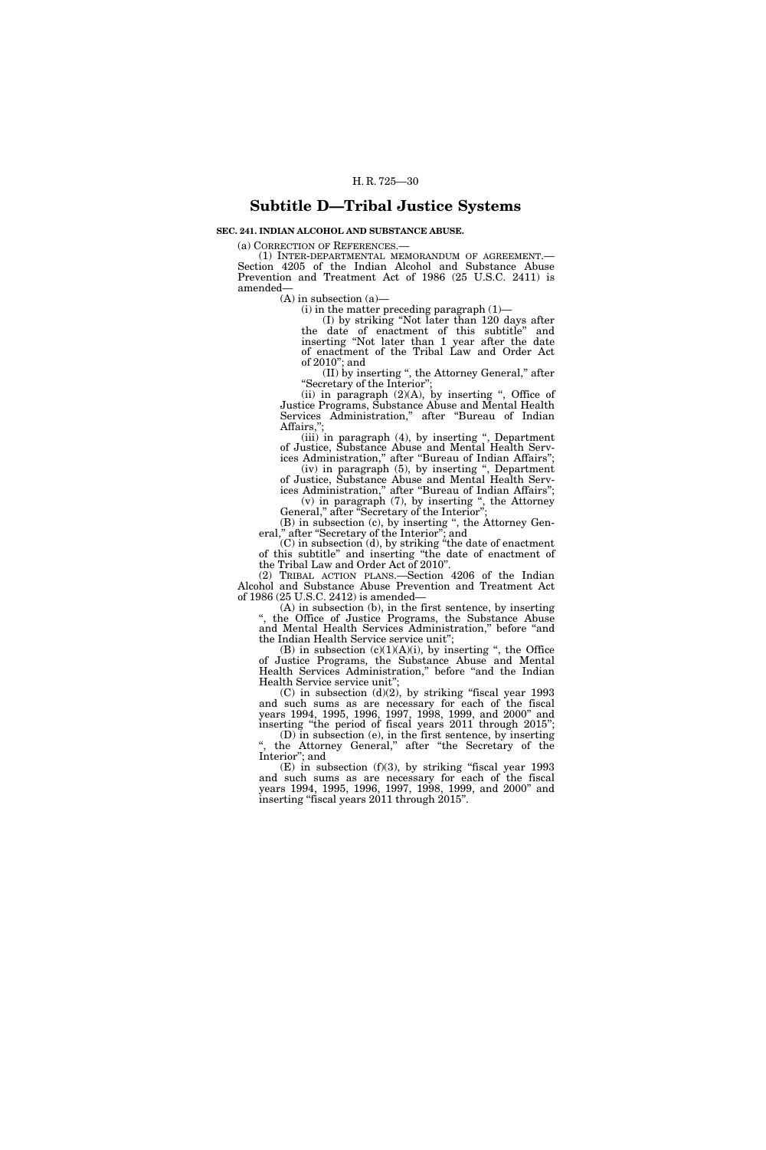### **Subtitle D—Tribal Justice Systems**

**SEC. 241. INDIAN ALCOHOL AND SUBSTANCE ABUSE.** 

(a) CORRECTION OF REFERENCES.—

(1) INTER-DEPARTMENTAL MEMORANDUM OF AGREEMENT.— Section 4205 of the Indian Alcohol and Substance Abuse Prevention and Treatment Act of 1986 (25 U.S.C. 2411) is amended—

 $(A)$  in subsection  $(a)$ —

 $(i)$  in the matter preceding paragraph  $(1)$ —

(I) by striking ''Not later than 120 days after the date of enactment of this subtitle'' and inserting ''Not later than 1 year after the date of enactment of the Tribal Law and Order Act of 2010''; and

(II) by inserting '', the Attorney General,'' after ''Secretary of the Interior'';

(ii) in paragraph  $(2)(A)$ , by inserting ", Office of Justice Programs, Substance Abuse and Mental Health Services Administration,'' after ''Bureau of Indian Affairs,

(iii) in paragraph (4), by inserting '', Department of Justice, Substance Abuse and Mental Health Services Administration,'' after ''Bureau of Indian Affairs'';

(iv) in paragraph (5), by inserting '', Department of Justice, Substance Abuse and Mental Health Services Administration,'' after ''Bureau of Indian Affairs'';  $(v)$  in paragraph  $(7)$ , by inserting ", the Attorney

General," after "Secretary of the Interior"; (B) in subsection (c), by inserting '', the Attorney Gen-

eral,'' after ''Secretary of the Interior''; and (C) in subsection (d), by striking ''the date of enactment

of this subtitle'' and inserting ''the date of enactment of the Tribal Law and Order Act of 2010''.

(2) TRIBAL ACTION PLANS.—Section 4206 of the Indian Alcohol and Substance Abuse Prevention and Treatment Act of 1986 (25 U.S.C. 2412) is amended—

(A) in subsection (b), in the first sentence, by inserting '', the Office of Justice Programs, the Substance Abuse and Mental Health Services Administration,'' before ''and the Indian Health Service service unit'';

(B) in subsection  $(c)(1)(A)(i)$ , by inserting ", the Office of Justice Programs, the Substance Abuse and Mental Health Services Administration," before "and the Indian Health Service service unit'';

 $(C)$  in subsection  $(d)(2)$ , by striking "fiscal year 1993 and such sums as are necessary for each of the fiscal years 1994, 1995, 1996, 1997, 1998, 1999, and 2000'' and inserting "the period of fiscal years 2011 through 2015";

(D) in subsection (e), in the first sentence, by inserting ", the Attorney General," after "the Secretary of the Interior''; and

(E) in subsection (f)(3), by striking ''fiscal year 1993 and such sums as are necessary for each of the fiscal years 1994, 1995, 1996, 1997, 1998, 1999, and 2000'' and inserting "fiscal years 2011 through 2015".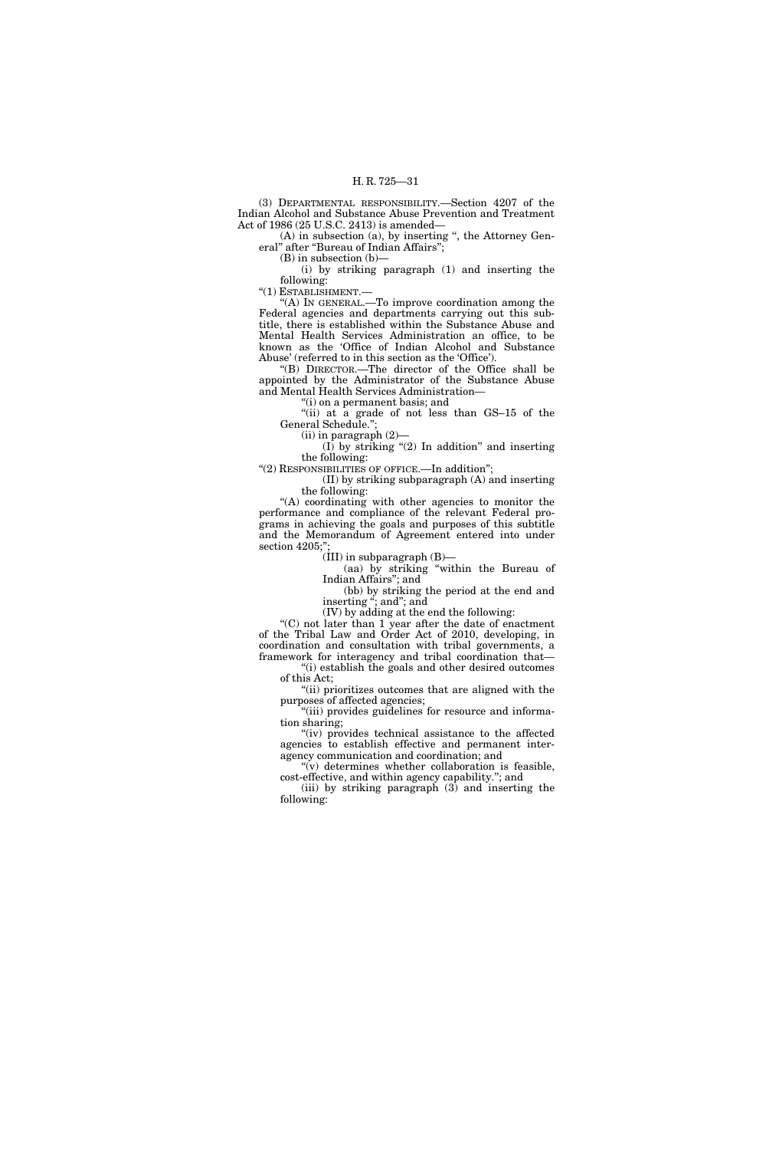(3) DEPARTMENTAL RESPONSIBILITY.—Section 4207 of the Indian Alcohol and Substance Abuse Prevention and Treatment Act of 1986 (25 U.S.C. 2413) is amended—

 $(A)$  in subsection  $(a)$ , by inserting ", the Attorney General" after "Bureau of Indian Affairs";

(B) in subsection (b)—

(i) by striking paragraph (1) and inserting the following:

''(1) ESTABLISHMENT.—

''(A) IN GENERAL.—To improve coordination among the Federal agencies and departments carrying out this subtitle, there is established within the Substance Abuse and Mental Health Services Administration an office, to be known as the 'Office of Indian Alcohol and Substance Abuse' (referred to in this section as the 'Office').

''(B) DIRECTOR.—The director of the Office shall be appointed by the Administrator of the Substance Abuse and Mental Health Services Administration—

(i) on a permanent basis; and

''(ii) at a grade of not less than GS–15 of the General Schedule.'';

(ii) in paragraph (2)—

(I) by striking  $(2)$  In addition" and inserting the following:

''(2) RESPONSIBILITIES OF OFFICE.—In addition'';

(II) by striking subparagraph (A) and inserting the following:

''(A) coordinating with other agencies to monitor the performance and compliance of the relevant Federal programs in achieving the goals and purposes of this subtitle and the Memorandum of Agreement entered into under section 4205;"

 $(III)$  in subparagraph  $(B)$ —

(aa) by striking ''within the Bureau of Indian Affairs''; and

(bb) by striking the period at the end and inserting "; and"; and

(IV) by adding at the end the following:

''(C) not later than 1 year after the date of enactment of the Tribal Law and Order Act of 2010, developing, in coordination and consultation with tribal governments, a framework for interagency and tribal coordination that—

''(i) establish the goals and other desired outcomes of this Act;

''(ii) prioritizes outcomes that are aligned with the purposes of affected agencies;

"(iii) provides guidelines for resource and information sharing;

"(iv) provides technical assistance to the affected agencies to establish effective and permanent interagency communication and coordination; and

" $(v)$  determines whether collaboration is feasible, cost-effective, and within agency capability.''; and

(iii) by striking paragraph (3) and inserting the following: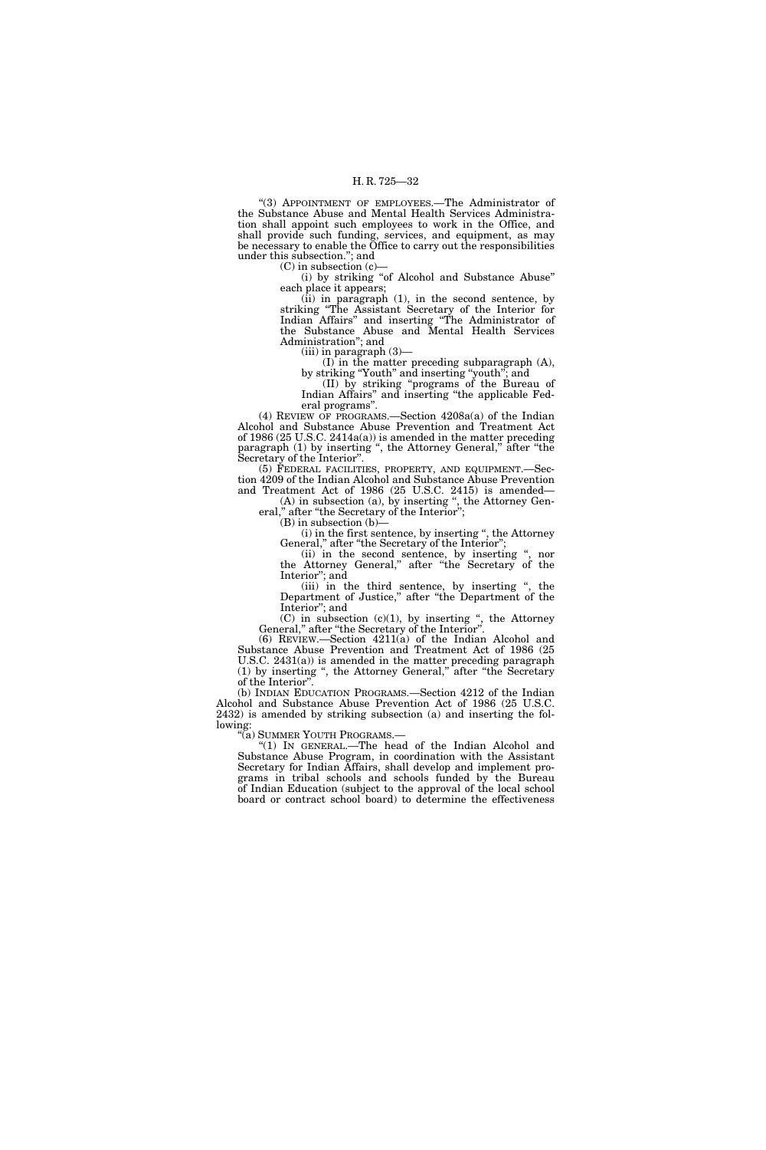''(3) APPOINTMENT OF EMPLOYEES.—The Administrator of the Substance Abuse and Mental Health Services Administration shall appoint such employees to work in the Office, and shall provide such funding, services, and equipment, as may be necessary to enable the Office to carry out the responsibilities under this subsection.''; and

 $(C)$  in subsection  $(c)$ —

(i) by striking ''of Alcohol and Substance Abuse'' each place it appears;

(ii) in paragraph (1), in the second sentence, by striking ''The Assistant Secretary of the Interior for Indian Affairs'' and inserting ''The Administrator of the Substance Abuse and Mental Health Services Administration''; and

 $(iii)$  in paragraph  $(3)$ –

(I) in the matter preceding subparagraph (A), by striking ''Youth'' and inserting ''youth''; and

(II) by striking ''programs of the Bureau of Indian Affairs'' and inserting ''the applicable Federal programs''.

(4) REVIEW OF PROGRAMS.—Section 4208a(a) of the Indian Alcohol and Substance Abuse Prevention and Treatment Act of 1986 (25 U.S.C. 2414a(a)) is amended in the matter preceding paragraph (1) by inserting ", the Attorney General," after "the Secretary of the Interior''.

(5) FEDERAL FACILITIES, PROPERTY, AND EQUIPMENT.—Section 4209 of the Indian Alcohol and Substance Abuse Prevention and Treatment Act of 1986 (25 U.S.C. 2415) is amended—

(A) in subsection (a), by inserting '', the Attorney General," after "the Secretary of the Interior";

(B) in subsection (b)—

(i) in the first sentence, by inserting '', the Attorney General," after "the Secretary of the Interior";

(ii) in the second sentence, by inserting '', nor the Attorney General,'' after ''the Secretary of the Interior''; and

(iii) in the third sentence, by inserting '', the Department of Justice,'' after ''the Department of the Interior''; and

 $(C)$  in subsection  $(c)(1)$ , by inserting ", the Attorney General,'' after ''the Secretary of the Interior''.

(6) REVIEW.—Section 4211(a) of the Indian Alcohol and Substance Abuse Prevention and Treatment Act of 1986 (25 U.S.C. 2431(a)) is amended in the matter preceding paragraph (1) by inserting ", the Attorney General," after "the Secretary of the Interior''.

(b) INDIAN EDUCATION PROGRAMS.—Section 4212 of the Indian Alcohol and Substance Abuse Prevention Act of 1986 (25 U.S.C. 2432) is amended by striking subsection (a) and inserting the following:<br>"(a) SUMMER YOUTH PROGRAMS.—

"(1) IN GENERAL.—The head of the Indian Alcohol and Substance Abuse Program, in coordination with the Assistant Secretary for Indian Affairs, shall develop and implement programs in tribal schools and schools funded by the Bureau of Indian Education (subject to the approval of the local school board or contract school board) to determine the effectiveness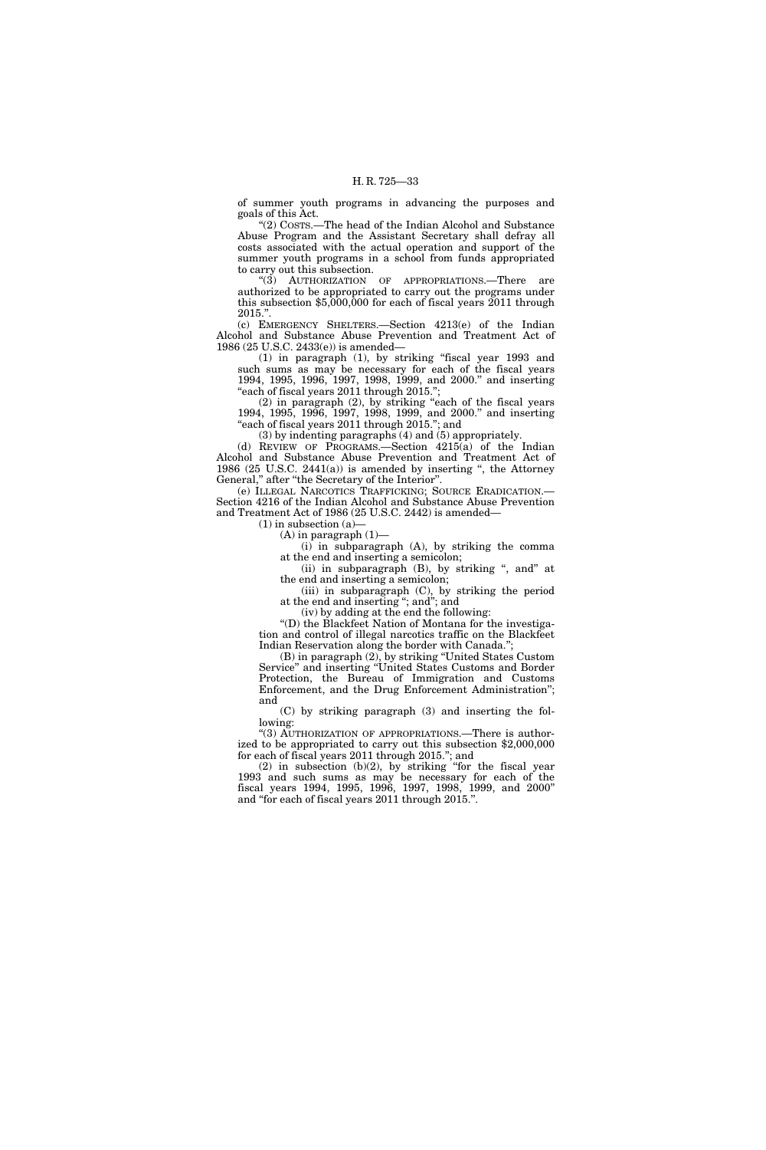of summer youth programs in advancing the purposes and goals of this Act.

''(2) COSTS.—The head of the Indian Alcohol and Substance Abuse Program and the Assistant Secretary shall defray all costs associated with the actual operation and support of the summer youth programs in a school from funds appropriated to carry out this subsection.

''(3) AUTHORIZATION OF APPROPRIATIONS.—There are authorized to be appropriated to carry out the programs under this subsection \$5,000,000 for each of fiscal years 2011 through 2015.''.

(c) EMERGENCY SHELTERS.—Section 4213(e) of the Indian Alcohol and Substance Abuse Prevention and Treatment Act of 1986 (25 U.S.C. 2433(e)) is amended—

(1) in paragraph (1), by striking ''fiscal year 1993 and such sums as may be necessary for each of the fiscal years 1994, 1995, 1996, 1997, 1998, 1999, and 2000.'' and inserting "each of fiscal years 2011 through 2015.";

(2) in paragraph (2), by striking ''each of the fiscal years 1994, 1995, 1996, 1997, 1998, 1999, and 2000.'' and inserting "each of fiscal years 2011 through 2015."; and

(3) by indenting paragraphs (4) and (5) appropriately.

(d) REVIEW OF PROGRAMS.—Section 4215(a) of the Indian Alcohol and Substance Abuse Prevention and Treatment Act of 1986 (25 U.S.C. 2441(a)) is amended by inserting '', the Attorney General," after "the Secretary of the Interior".

(e) ILLEGAL NARCOTICS TRAFFICKING; SOURCE ERADICATION.— Section 4216 of the Indian Alcohol and Substance Abuse Prevention and Treatment Act of 1986 (25 U.S.C. 2442) is amended—

 $(1)$  in subsection  $(a)$ 

 $(A)$  in paragraph  $(1)$ —

(i) in subparagraph (A), by striking the comma at the end and inserting a semicolon;

(ii) in subparagraph  $(B)$ , by striking ", and" at the end and inserting a semicolon;

(iii) in subparagraph (C), by striking the period at the end and inserting ''; and''; and

(iv) by adding at the end the following:

''(D) the Blackfeet Nation of Montana for the investigation and control of illegal narcotics traffic on the Blackfeet Indian Reservation along the border with Canada.'';

(B) in paragraph (2), by striking ''United States Custom Service'' and inserting ''United States Customs and Border Protection, the Bureau of Immigration and Customs Enforcement, and the Drug Enforcement Administration''; and

(C) by striking paragraph (3) and inserting the following:

"(3) AUTHORIZATION OF APPROPRIATIONS.—There is authorized to be appropriated to carry out this subsection \$2,000,000 for each of fiscal years 2011 through 2015.''; and

(2) in subsection (b)(2), by striking ''for the fiscal year 1993 and such sums as may be necessary for each of the fiscal years 1994, 1995, 1996, 1997, 1998, 1999, and 2000'' and ''for each of fiscal years 2011 through 2015.''.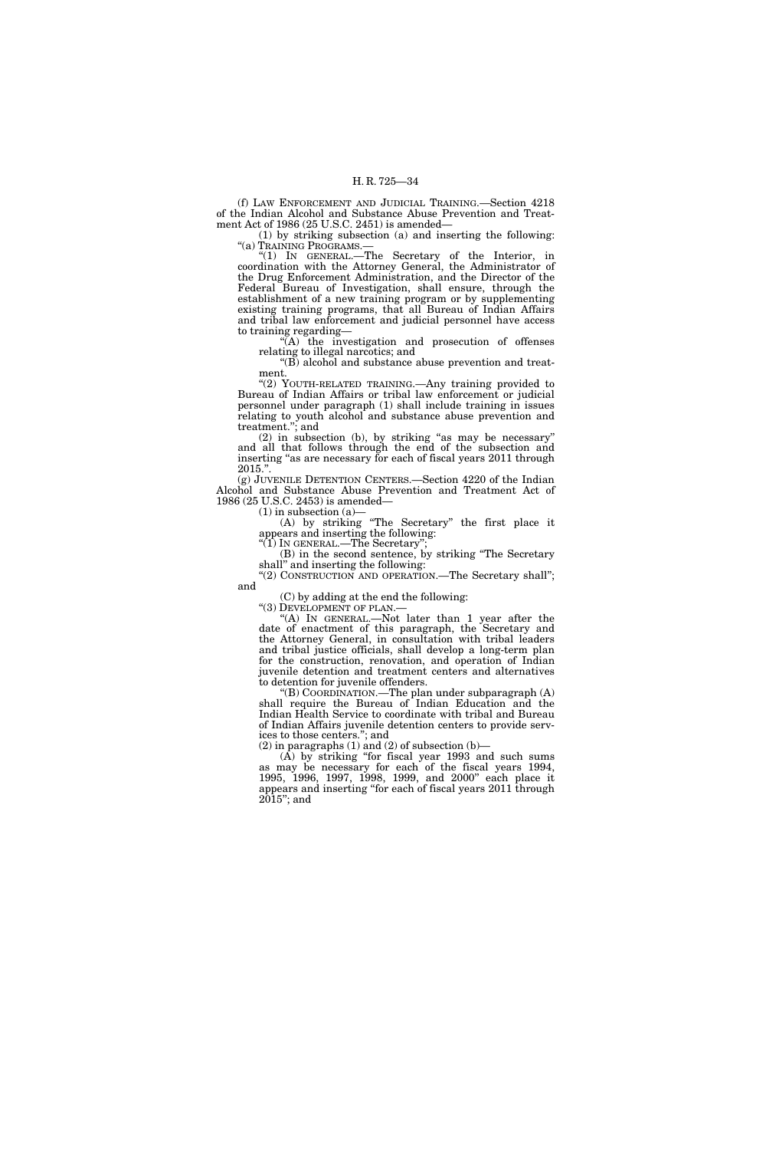(f) LAW ENFORCEMENT AND JUDICIAL TRAINING.—Section 4218 of the Indian Alcohol and Substance Abuse Prevention and Treatment Act of 1986 (25 U.S.C. 2451) is amended—

(1) by striking subsection (a) and inserting the following: "(a) TRAINING PROGRAMS.-

''(1) IN GENERAL.—The Secretary of the Interior, in coordination with the Attorney General, the Administrator of the Drug Enforcement Administration, and the Director of the Federal Bureau of Investigation, shall ensure, through the establishment of a new training program or by supplementing existing training programs, that all Bureau of Indian Affairs and tribal law enforcement and judicial personnel have access to training regarding—

''(A) the investigation and prosecution of offenses relating to illegal narcotics; and

''(B) alcohol and substance abuse prevention and treatment.

"(2) YOUTH-RELATED TRAINING.—Any training provided to Bureau of Indian Affairs or tribal law enforcement or judicial personnel under paragraph (1) shall include training in issues relating to youth alcohol and substance abuse prevention and treatment.''; and

(2) in subsection (b), by striking ''as may be necessary'' and all that follows through the end of the subsection and inserting "as are necessary for each of fiscal years 2011 through  $2015.$ 

(g) JUVENILE DETENTION CENTERS.—Section 4220 of the Indian Alcohol and Substance Abuse Prevention and Treatment Act of 1986 (25 U.S.C. 2453) is amended—

 $(1)$  in subsection  $(a)$ 

(A) by striking ''The Secretary'' the first place it appears and inserting the following:

''(1) IN GENERAL.—The Secretary''; (B) in the second sentence, by striking ''The Secretary

shall'' and inserting the following: ''(2) CONSTRUCTION AND OPERATION.—The Secretary shall'';

and

(C) by adding at the end the following:

"(3) DEVELOPMENT OF PLAN.-

"(A) In GENERAL.—Not later than 1 year after the date of enactment of this paragraph, the Secretary and the Attorney General, in consultation with tribal leaders and tribal justice officials, shall develop a long-term plan for the construction, renovation, and operation of Indian juvenile detention and treatment centers and alternatives to detention for juvenile offenders.

''(B) COORDINATION.—The plan under subparagraph (A) shall require the Bureau of Indian Education and the Indian Health Service to coordinate with tribal and Bureau of Indian Affairs juvenile detention centers to provide services to those centers.''; and

 $(2)$  in paragraphs  $(1)$  and  $(2)$  of subsection  $(b)$ —

(A) by striking ''for fiscal year 1993 and such sums as may be necessary for each of the fiscal years 1994, 1995, 1996, 1997, 1998, 1999, and 2000'' each place it appears and inserting ''for each of fiscal years 2011 through 2015''; and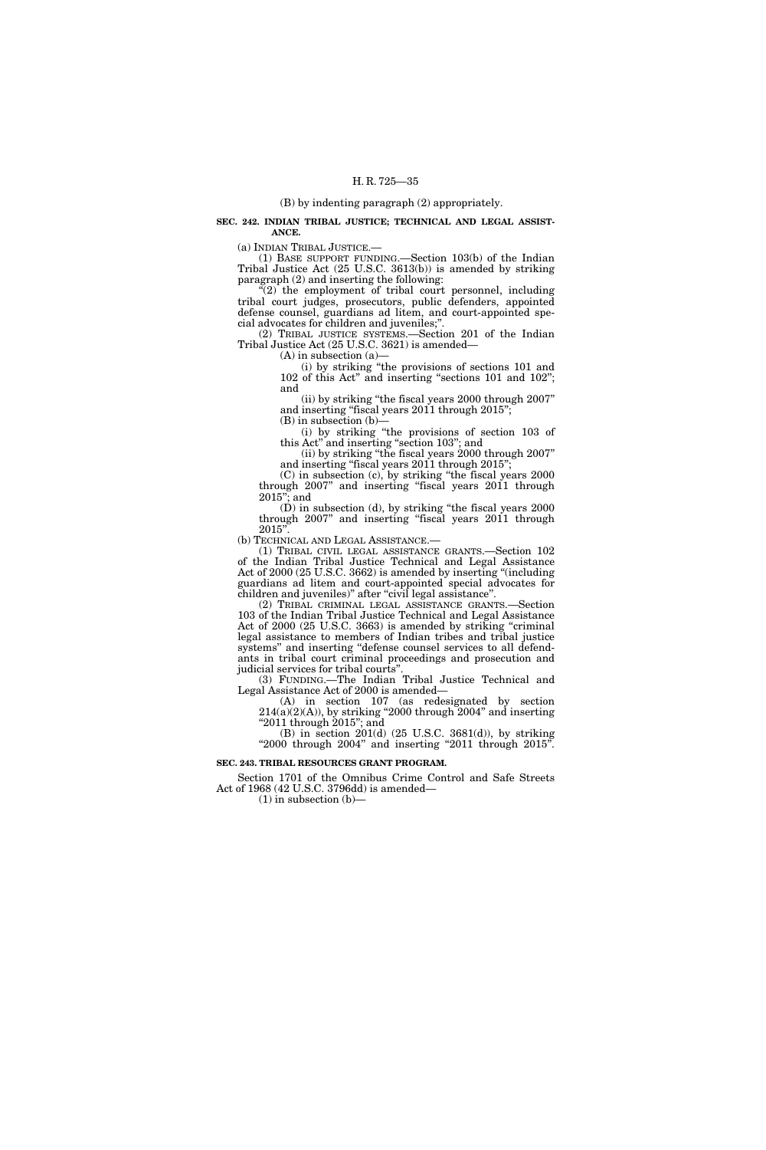### (B) by indenting paragraph (2) appropriately.

**SEC. 242. INDIAN TRIBAL JUSTICE; TECHNICAL AND LEGAL ASSIST-ANCE.** 

(a) INDIAN TRIBAL JUSTICE.—

(1) BASE SUPPORT FUNDING.—Section 103(b) of the Indian Tribal Justice Act (25 U.S.C. 3613(b)) is amended by striking paragraph (2) and inserting the following:

"(2) the employment of tribal court personnel, including tribal court judges, prosecutors, public defenders, appointed defense counsel, guardians ad litem, and court-appointed special advocates for children and juveniles;''.

(2) TRIBAL JUSTICE SYSTEMS.—Section 201 of the Indian Tribal Justice Act (25 U.S.C. 3621) is amended—

(A) in subsection (a)— (i) by striking ''the provisions of sections 101 and

102 of this Act'' and inserting ''sections 101 and 102''; and

(ii) by striking ''the fiscal years 2000 through 2007'' and inserting "fiscal years 2011 through 2015";

(B) in subsection (b)—

(i) by striking ''the provisions of section 103 of this Act" and inserting "section 103"; and

(ii) by striking ''the fiscal years 2000 through 2007'' and inserting "fiscal years 2011 through 2015";

(C) in subsection (c), by striking ''the fiscal years 2000 through 2007" and inserting "fiscal years 2011 through 2015''; and

(D) in subsection (d), by striking ''the fiscal years 2000 through 2007" and inserting "fiscal years 2011 through  $2015'$ 

(b) TECHNICAL AND LEGAL ASSISTANCE.—

(1) TRIBAL CIVIL LEGAL ASSISTANCE GRANTS.—Section 102 of the Indian Tribal Justice Technical and Legal Assistance Act of 2000 (25 U.S.C. 3662) is amended by inserting ''(including guardians ad litem and court-appointed special advocates for children and juveniles)" after "civil legal assistance".

(2) TRIBAL CRIMINAL LEGAL ASSISTANCE GRANTS.—Section 103 of the Indian Tribal Justice Technical and Legal Assistance Act of 2000 (25 U.S.C. 3663) is amended by striking "criminal legal assistance to members of Indian tribes and tribal justice systems'' and inserting ''defense counsel services to all defendants in tribal court criminal proceedings and prosecution and judicial services for tribal courts"

(3) FUNDING.—The Indian Tribal Justice Technical and Legal Assistance Act of 2000 is amended—

(A) in section 107 (as redesignated by section  $214(a)(2)(A)$ , by striking "2000 through 2004" and inserting ''2011 through 2015''; and

(B) in section 201(d) (25 U.S.C. 3681(d)), by striking " $2000$  through  $2004$ " and inserting " $2011$  through  $2015$ ".

### **SEC. 243. TRIBAL RESOURCES GRANT PROGRAM.**

Section 1701 of the Omnibus Crime Control and Safe Streets Act of 1968 (42 U.S.C. 3796dd) is amended—

 $(1)$  in subsection  $(b)$ —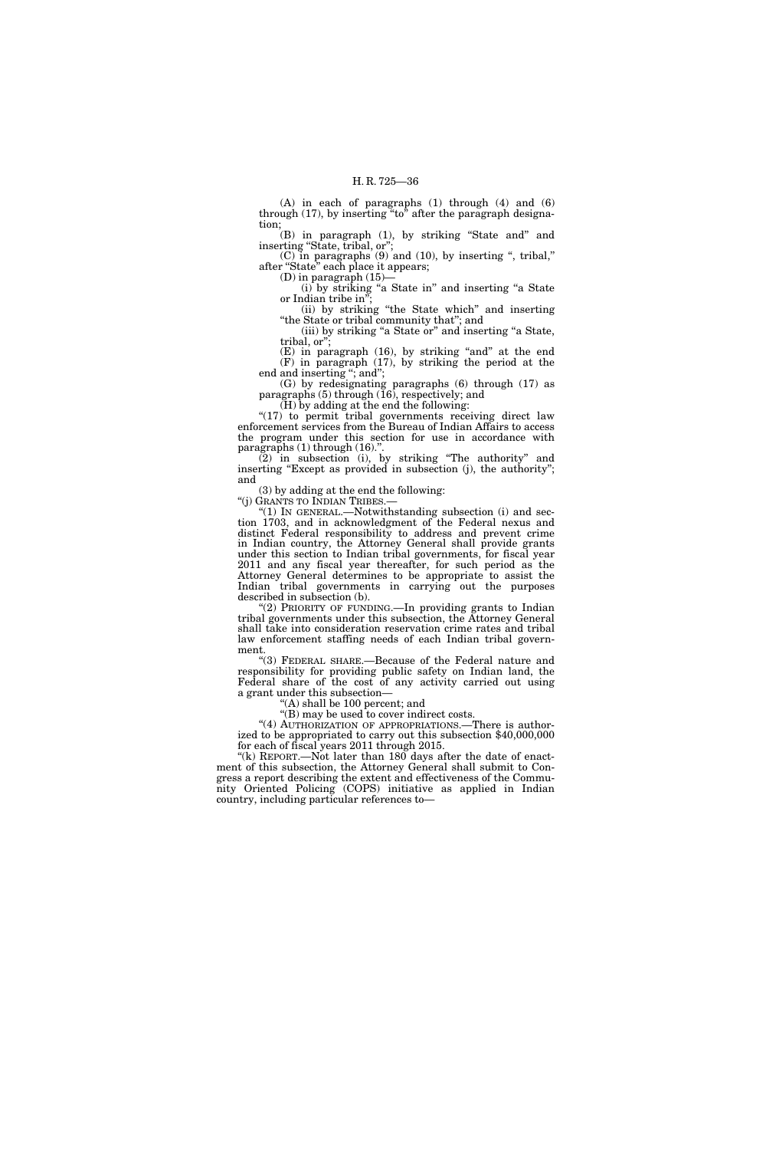(A) in each of paragraphs (1) through (4) and (6) through  $(17)$ , by inserting "to" after the paragraph designation;

(B) in paragraph (1), by striking ''State and'' and inserting "State, tribal, or";

(C) in paragraphs  $(9)$  and  $(10)$ , by inserting ", tribal," after "State" each place it appears;

 $(D)$  in paragraph  $(15)$ -

(i) by striking ''a State in'' and inserting ''a State or Indian tribe in'';

(ii) by striking ''the State which'' and inserting "the State or tribal community that"; and (iii) by striking "a State or" and inserting "a State,

tribal, or'';  $(E)$  in paragraph  $(16)$ , by striking "and" at the end

(F) in paragraph (17), by striking the period at the end and inserting "; and";

(G) by redesignating paragraphs (6) through (17) as paragraphs (5) through (16), respectively; and

(H) by adding at the end the following:

"(17) to permit tribal governments receiving direct law enforcement services from the Bureau of Indian Affairs to access the program under this section for use in accordance with paragraphs (1) through (16).".

(2) in subsection (i), by striking ''The authority'' and inserting "Except as provided in subsection (j), the authority"; and

(3) by adding at the end the following:

''(j) GRANTS TO INDIAN TRIBES.—

''(1) IN GENERAL.—Notwithstanding subsection (i) and section 1703, and in acknowledgment of the Federal nexus and distinct Federal responsibility to address and prevent crime in Indian country, the Attorney General shall provide grants under this section to Indian tribal governments, for fiscal year 2011 and any fiscal year thereafter, for such period as the Attorney General determines to be appropriate to assist the Indian tribal governments in carrying out the purposes described in subsection (b).

''(2) PRIORITY OF FUNDING.—In providing grants to Indian tribal governments under this subsection, the Attorney General shall take into consideration reservation crime rates and tribal law enforcement staffing needs of each Indian tribal government.

''(3) FEDERAL SHARE.—Because of the Federal nature and responsibility for providing public safety on Indian land, the Federal share of the cost of any activity carried out using a grant under this subsection—

''(A) shall be 100 percent; and

''(B) may be used to cover indirect costs.

"(4) AUTHORIZATION OF APPROPRIATIONS.—There is authorized to be appropriated to carry out this subsection \$40,000,000 for each of fiscal years 2011 through 2015.

" $(k)$  REPORT.—Not later than 180 days after the date of enactment of this subsection, the Attorney General shall submit to Congress a report describing the extent and effectiveness of the Community Oriented Policing (COPS) initiative as applied in Indian country, including particular references to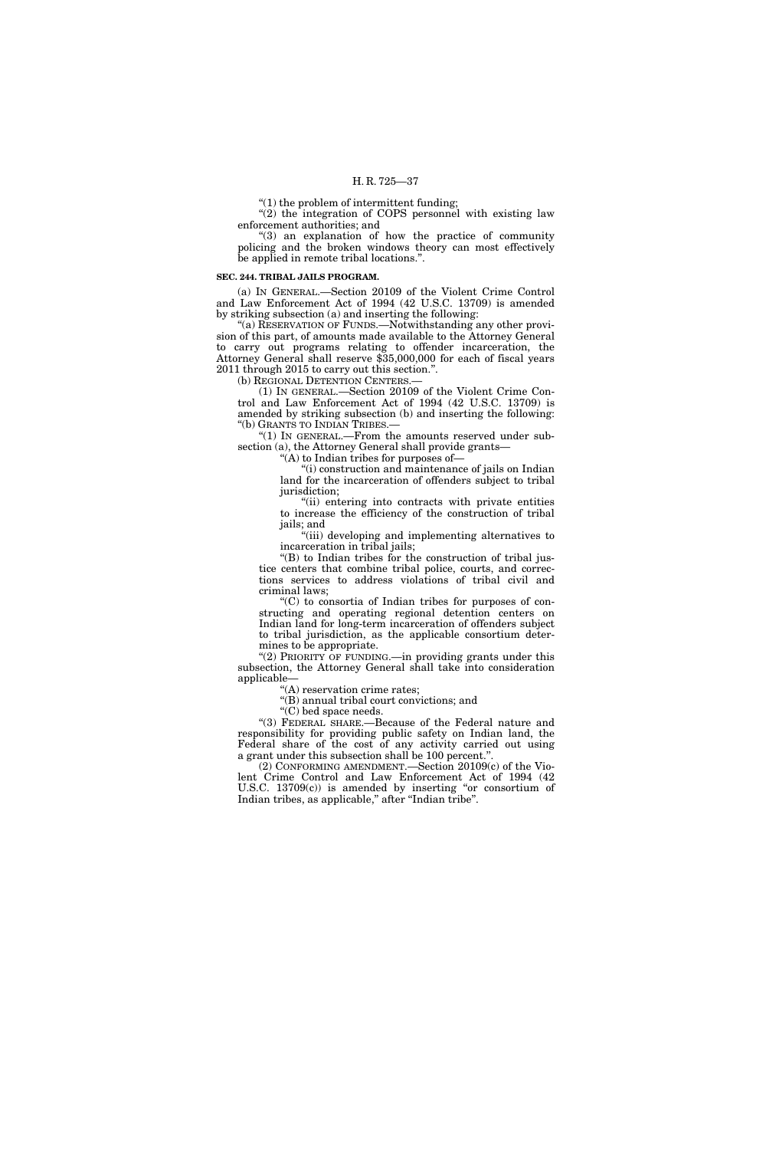''(1) the problem of intermittent funding;

"(2) the integration of COPS personnel with existing law enforcement authorities; and

 $(3)$  an explanation of how the practice of community policing and the broken windows theory can most effectively be applied in remote tribal locations.''.

### **SEC. 244. TRIBAL JAILS PROGRAM.**

(a) IN GENERAL.—Section 20109 of the Violent Crime Control and Law Enforcement Act of 1994 (42 U.S.C. 13709) is amended by striking subsection (a) and inserting the following:

''(a) RESERVATION OF FUNDS.—Notwithstanding any other provision of this part, of amounts made available to the Attorney General to carry out programs relating to offender incarceration, the Attorney General shall reserve \$35,000,000 for each of fiscal years 2011 through 2015 to carry out this section.''.

(b) REGIONAL DETENTION CENTERS.

(1) IN GENERAL.—Section 20109 of the Violent Crime Control and Law Enforcement Act of 1994 (42 U.S.C. 13709) is amended by striking subsection (b) and inserting the following: ''(b) GRANTS TO INDIAN TRIBES.—

''(1) IN GENERAL.—From the amounts reserved under subsection (a), the Attorney General shall provide grants-

''(A) to Indian tribes for purposes of—

''(i) construction and maintenance of jails on Indian land for the incarceration of offenders subject to tribal jurisdiction;

''(ii) entering into contracts with private entities to increase the efficiency of the construction of tribal jails; and

''(iii) developing and implementing alternatives to incarceration in tribal jails;

''(B) to Indian tribes for the construction of tribal justice centers that combine tribal police, courts, and corrections services to address violations of tribal civil and criminal laws;

''(C) to consortia of Indian tribes for purposes of constructing and operating regional detention centers on Indian land for long-term incarceration of offenders subject to tribal jurisdiction, as the applicable consortium determines to be appropriate.

" $(2)$  PRIORITY OF FUNDING.—in providing grants under this subsection, the Attorney General shall take into consideration applicable—

''(A) reservation crime rates;

''(B) annual tribal court convictions; and

"(C) bed space needs.

''(3) FEDERAL SHARE.—Because of the Federal nature and responsibility for providing public safety on Indian land, the Federal share of the cost of any activity carried out using a grant under this subsection shall be 100 percent.''.

(2) CONFORMING AMENDMENT.—Section 20109(c) of the Violent Crime Control and Law Enforcement Act of 1994 (42 U.S.C. 13709(c)) is amended by inserting "or consortium of Indian tribes, as applicable,'' after ''Indian tribe''.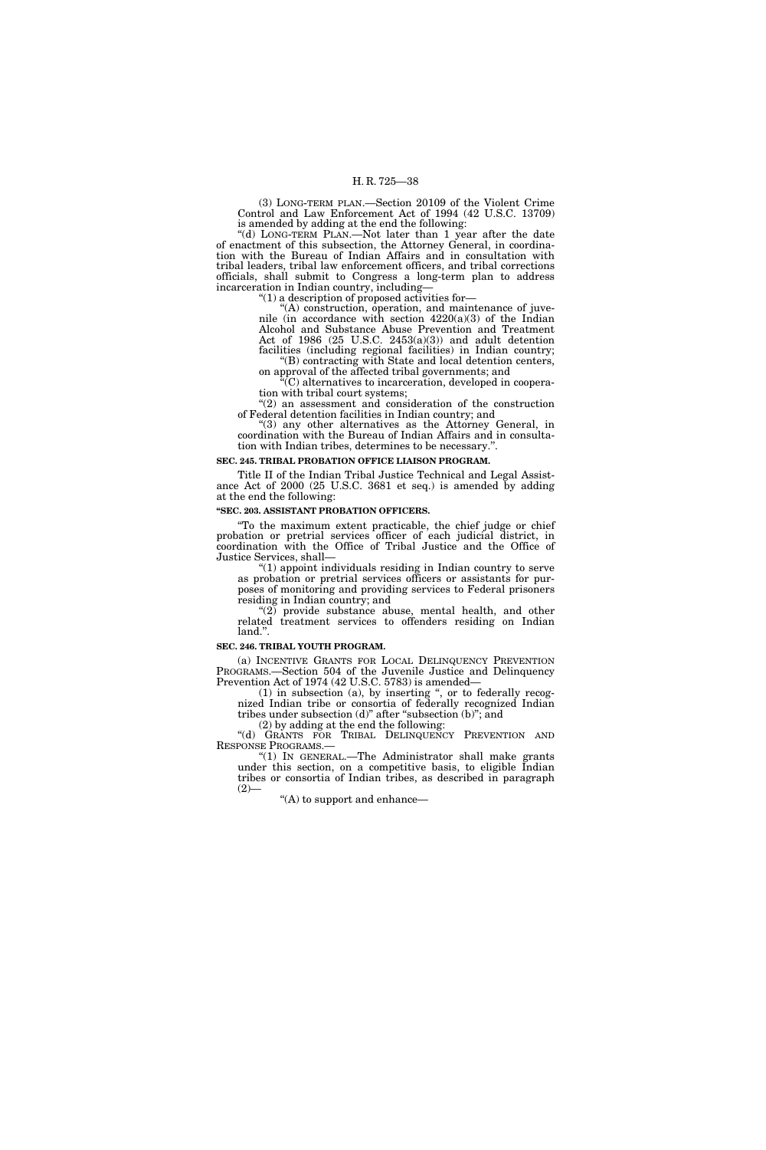(3) LONG-TERM PLAN.—Section 20109 of the Violent Crime Control and Law Enforcement Act of 1994 (42 U.S.C. 13709) is amended by adding at the end the following:

''(d) LONG-TERM PLAN.—Not later than 1 year after the date of enactment of this subsection, the Attorney General, in coordination with the Bureau of Indian Affairs and in consultation with tribal leaders, tribal law enforcement officers, and tribal corrections officials, shall submit to Congress a long-term plan to address incarceration in Indian country, including—

"(1) a description of proposed activities for-

''(A) construction, operation, and maintenance of juvenile (in accordance with section  $4220(a)(3)$  of the Indian Alcohol and Substance Abuse Prevention and Treatment Act of 1986 (25 U.S.C. 2453(a)(3)) and adult detention facilities (including regional facilities) in Indian country; ''(B) contracting with State and local detention centers,

on approval of the affected tribal governments; and ''(C) alternatives to incarceration, developed in coopera-

tion with tribal court systems; ''(2) an assessment and consideration of the construction of Federal detention facilities in Indian country; and

"(3) any other alternatives as the Attorney General, in coordination with the Bureau of Indian Affairs and in consultation with Indian tribes, determines to be necessary.''.

### **SEC. 245. TRIBAL PROBATION OFFICE LIAISON PROGRAM.**

Title II of the Indian Tribal Justice Technical and Legal Assistance Act of 2000 (25 U.S.C. 3681 et seq.) is amended by adding at the end the following:

### **''SEC. 203. ASSISTANT PROBATION OFFICERS.**

''To the maximum extent practicable, the chief judge or chief probation or pretrial services officer of each judicial district, in coordination with the Office of Tribal Justice and the Office of Justice Services, shall—

'(1) appoint individuals residing in Indian country to serve as probation or pretrial services officers or assistants for purposes of monitoring and providing services to Federal prisoners residing in Indian country; and

" $(2)$  provide substance abuse, mental health, and other related treatment services to offenders residing on Indian land.''.

### **SEC. 246. TRIBAL YOUTH PROGRAM.**

(a) INCENTIVE GRANTS FOR LOCAL DELINQUENCY PREVENTION PROGRAMS.—Section 504 of the Juvenile Justice and Delinquency Prevention Act of 1974 (42 U.S.C. 5783) is amended—

 $(1)$  in subsection  $(a)$ , by inserting ", or to federally recognized Indian tribe or consortia of federally recognized Indian tribes under subsection  $(d)$ " after "subsection  $(b)$ "; and

(2) by adding at the end the following:

''(d) GRANTS FOR TRIBAL DELINQUENCY PREVENTION AND RESPONSE PROGRAMS.

''(1) IN GENERAL.—The Administrator shall make grants under this section, on a competitive basis, to eligible Indian tribes or consortia of Indian tribes, as described in paragraph  $(2)$ —

''(A) to support and enhance—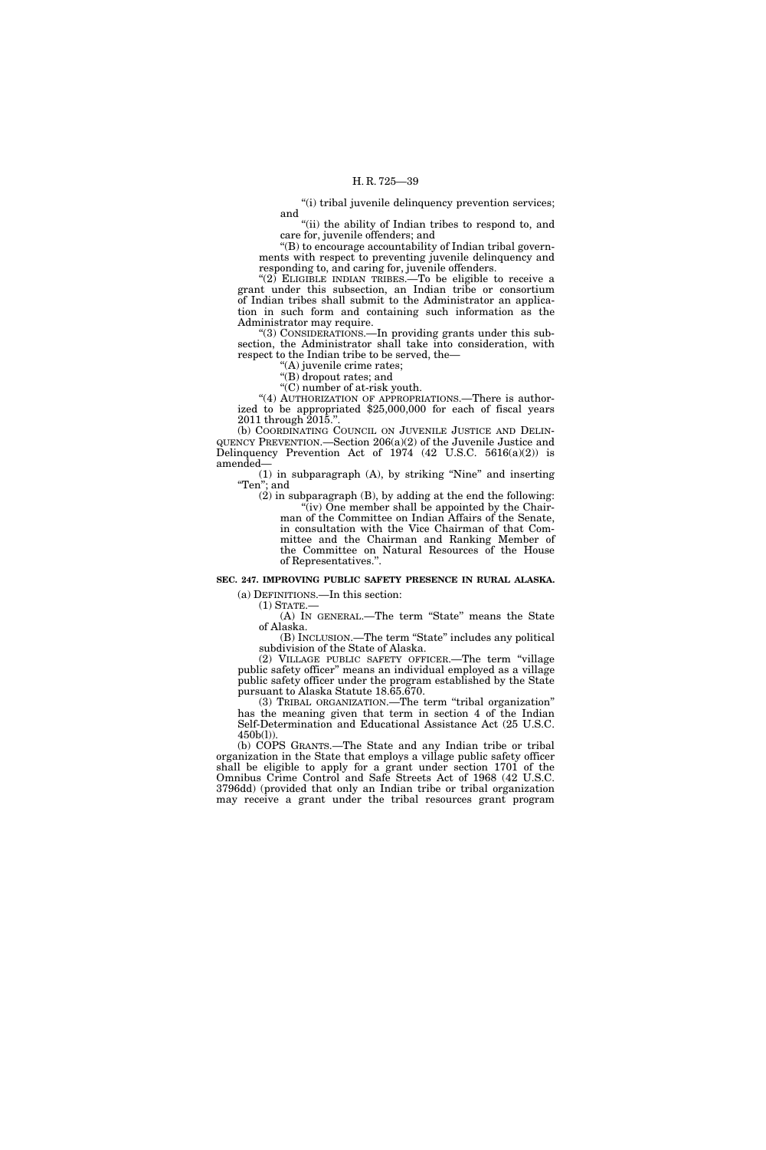''(i) tribal juvenile delinquency prevention services; and

"(ii) the ability of Indian tribes to respond to, and care for, juvenile offenders; and

''(B) to encourage accountability of Indian tribal governments with respect to preventing juvenile delinquency and responding to, and caring for, juvenile offenders.

" $(2)$  ELIGIBLE INDIAN TRIBES.—To be eligible to receive a grant under this subsection, an Indian tribe or consortium of Indian tribes shall submit to the Administrator an application in such form and containing such information as the Administrator may require.

''(3) CONSIDERATIONS.—In providing grants under this subsection, the Administrator shall take into consideration, with respect to the Indian tribe to be served, the—

''(A) juvenile crime rates;

''(B) dropout rates; and

''(C) number of at-risk youth.

"(4) AUTHORIZATION OF APPROPRIATIONS.—There is authorized to be appropriated \$25,000,000 for each of fiscal years 2011 through 2015.''.

(b) COORDINATING COUNCIL ON JUVENILE JUSTICE AND DELIN-QUENCY PREVENTION.—Section 206(a)(2) of the Juvenile Justice and Delinquency Prevention Act of 1974  $(42 \text{ U.S.C. } 5616(a)(2))$  is amended—

(1) in subparagraph (A), by striking ''Nine'' and inserting ''Ten''; and

 $(2)$  in subparagraph  $(B)$ , by adding at the end the following: "(iv) One member shall be appointed by the Chairman of the Committee on Indian Affairs of the Senate, in consultation with the Vice Chairman of that Committee and the Chairman and Ranking Member of the Committee on Natural Resources of the House of Representatives.''.

### **SEC. 247. IMPROVING PUBLIC SAFETY PRESENCE IN RURAL ALASKA.**

(a) DEFINITIONS.—In this section:

 $(1)$  STATE. (A) IN GENERAL.—The term ''State'' means the State of Alaska.

(B) INCLUSION.—The term ''State'' includes any political subdivision of the State of Alaska.

(2) VILLAGE PUBLIC SAFETY OFFICER.—The term ''village public safety officer'' means an individual employed as a village public safety officer under the program established by the State pursuant to Alaska Statute 18.65.670.

(3) TRIBAL ORGANIZATION.—The term ''tribal organization'' has the meaning given that term in section 4 of the Indian Self-Determination and Educational Assistance Act (25 U.S.C. 450b(l)).

(b) COPS GRANTS.—The State and any Indian tribe or tribal organization in the State that employs a village public safety officer shall be eligible to apply for a grant under section 1701 of the Omnibus Crime Control and Safe Streets Act of 1968 (42 U.S.C. 3796dd) (provided that only an Indian tribe or tribal organization may receive a grant under the tribal resources grant program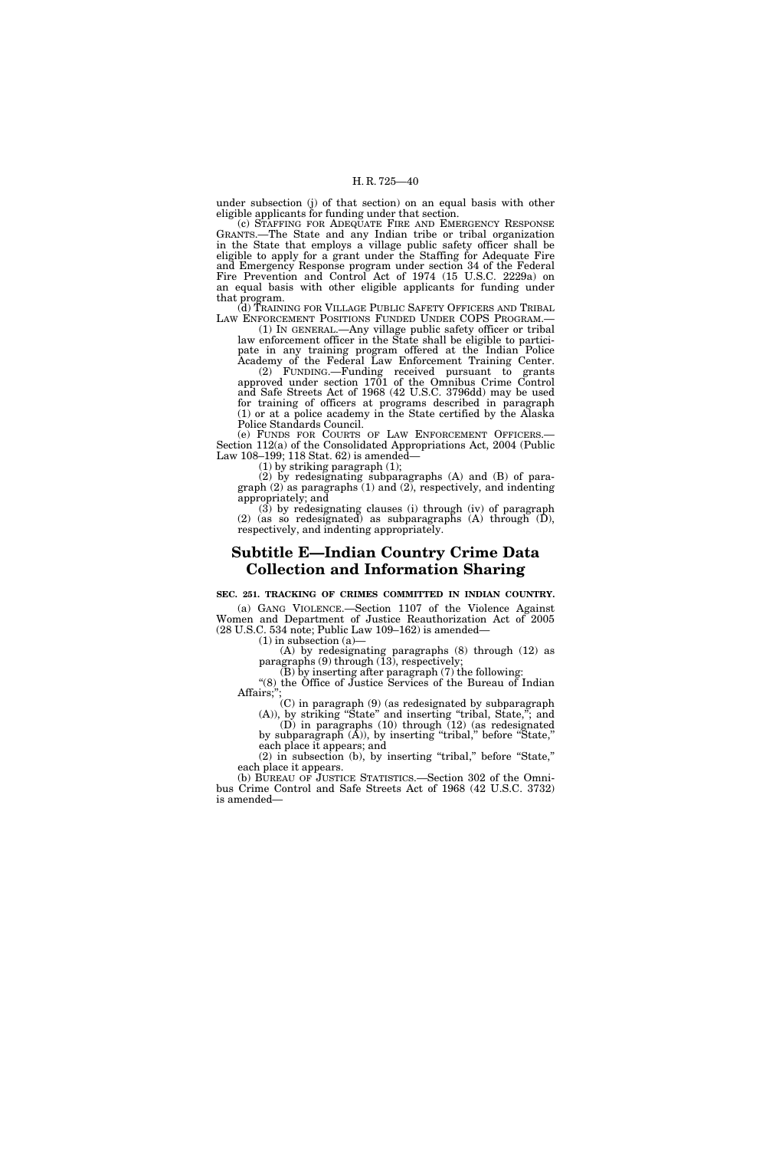under subsection (j) of that section) on an equal basis with other eligible applicants for funding under that section.

(c) STAFFING FOR ADEQUATE FIRE AND EMERGENCY RESPONSE GRANTS.—The State and any Indian tribe or tribal organization in the State that employs a village public safety officer shall be eligible to apply for a grant under the Staffing for Adequate Fire and Emergency Response program under section 34 of the Federal Fire Prevention and Control Act of 1974 (15 U.S.C. 2229a) on an equal basis with other eligible applicants for funding under that program.

(d) TRAINING FOR VILLAGE PUBLIC SAFETY OFFICERS AND TRIBAL LAW ENFORCEMENT POSITIONS FUNDED UNDER COPS PROGRAM.—

(1) IN GENERAL.—Any village public safety officer or tribal law enforcement officer in the State shall be eligible to participate in any training program offered at the Indian Police Academy of the Federal Law Enforcement Training Center.

(2) FUNDING.—Funding received pursuant to grants approved under section 1701 of the Omnibus Crime Control and Safe Streets Act of 1968 (42 U.S.C. 3796dd) may be used for training of officers at programs described in paragraph (1) or at a police academy in the State certified by the Alaska Police Standards Council.<br>(e) FUNDS FOR COURTS OF LAW ENFORCEMENT OFFICERS.

Section 112(a) of the Consolidated Appropriations Act, 2004 (Public Law 108–199; 118 Stat. 62) is amended—

(1) by striking paragraph (1);

(2) by redesignating subparagraphs (A) and (B) of paragraph  $(2)$  as paragraphs  $(1)$  and  $(2)$ , respectively, and indenting appropriately; and

(3) by redesignating clauses (i) through (iv) of paragraph (2) (as so redesignated) as subparagraphs (A) through (D), respectively, and indenting appropriately.

### **Subtitle E—Indian Country Crime Data Collection and Information Sharing**

**SEC. 251. TRACKING OF CRIMES COMMITTED IN INDIAN COUNTRY.**  (a) GANG VIOLENCE.—Section 1107 of the Violence Against

Women and Department of Justice Reauthorization Act of 2005 (28 U.S.C. 534 note; Public Law 109–162) is amended—

 $(1)$  in subsection  $(a)$ 

(A) by redesignating paragraphs (8) through (12) as paragraphs (9) through (13), respectively;

(B) by inserting after paragraph (7) the following: ''(8) the Office of Justice Services of the Bureau of Indian

Affairs;" (C) in paragraph (9) (as redesignated by subparagraph

(A)), by striking ''State'' and inserting ''tribal, State,''; and (D) in paragraphs (10) through (12) (as redesignated by subparagraph  $(A)$ ), by inserting "tribal," before "State,"

each place it appears; and (2) in subsection (b), by inserting ''tribal,'' before ''State,'' each place it appears.

(b) BUREAU OF JUSTICE STATISTICS.—Section 302 of the Omnibus Crime Control and Safe Streets Act of 1968 (42 U.S.C. 3732) is amended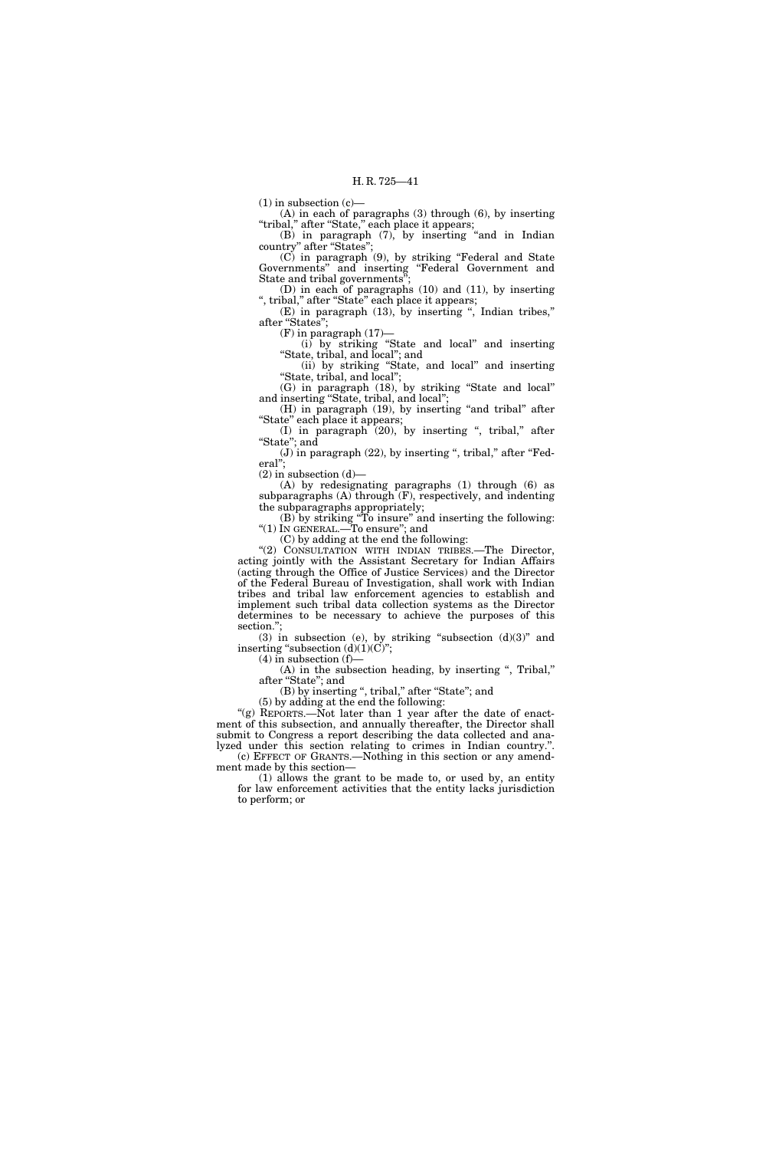$(1)$  in subsection  $(c)$ —

(A) in each of paragraphs (3) through (6), by inserting ''tribal,'' after ''State,'' each place it appears;

(B) in paragraph (7), by inserting ''and in Indian country'' after ''States'';

(C) in paragraph (9), by striking ''Federal and State Governments'' and inserting ''Federal Government and State and tribal governments"

(D) in each of paragraphs (10) and (11), by inserting ", tribal," after "State" each place it appears;

(E) in paragraph (13), by inserting '', Indian tribes,'' after "States";

 $(F)$  in paragraph  $(17)$ —

(i) by striking ''State and local'' and inserting ''State, tribal, and local''; and

(ii) by striking ''State, and local'' and inserting ''State, tribal, and local'';

(G) in paragraph (18), by striking ''State and local'' and inserting ''State, tribal, and local'';

(H) in paragraph (19), by inserting "and tribal" after "State" each place it appears;

(I) in paragraph (20), by inserting ", tribal," after "State"; and

 $(J)$  in paragraph  $(22)$ , by inserting ", tribal," after "Federal'';

 $(2)$  in subsection  $(d)$ —

(A) by redesignating paragraphs (1) through (6) as subparagraphs (A) through (F), respectively, and indenting the subparagraphs appropriately;

(B) by striking ''To insure'' and inserting the following: ''(1) IN GENERAL.—To ensure''; and

(C) by adding at the end the following:

''(2) CONSULTATION WITH INDIAN TRIBES.—The Director, acting jointly with the Assistant Secretary for Indian Affairs (acting through the Office of Justice Services) and the Director of the Federal Bureau of Investigation, shall work with Indian tribes and tribal law enforcement agencies to establish and implement such tribal data collection systems as the Director determines to be necessary to achieve the purposes of this section.";

(3) in subsection (e), by striking "subsection  $(d)(3)$ " and inserting "subsection  $(d)(1)(C)$ ";

 $(4)$  in subsection  $(f)$ —

(A) in the subsection heading, by inserting ", Tribal," after "State"; and

(B) by inserting ", tribal," after "State"; and (5) by adding at the end the following:

"(g) REPORTS.—Not later than 1 year after the date of enactment of this subsection, and annually thereafter, the Director shall submit to Congress a report describing the data collected and analyzed under this section relating to crimes in Indian country.''. (c) EFFECT OF GRANTS.—Nothing in this section or any amend-

ment made by this section— (1) allows the grant to be made to, or used by, an entity for law enforcement activities that the entity lacks jurisdiction to perform; or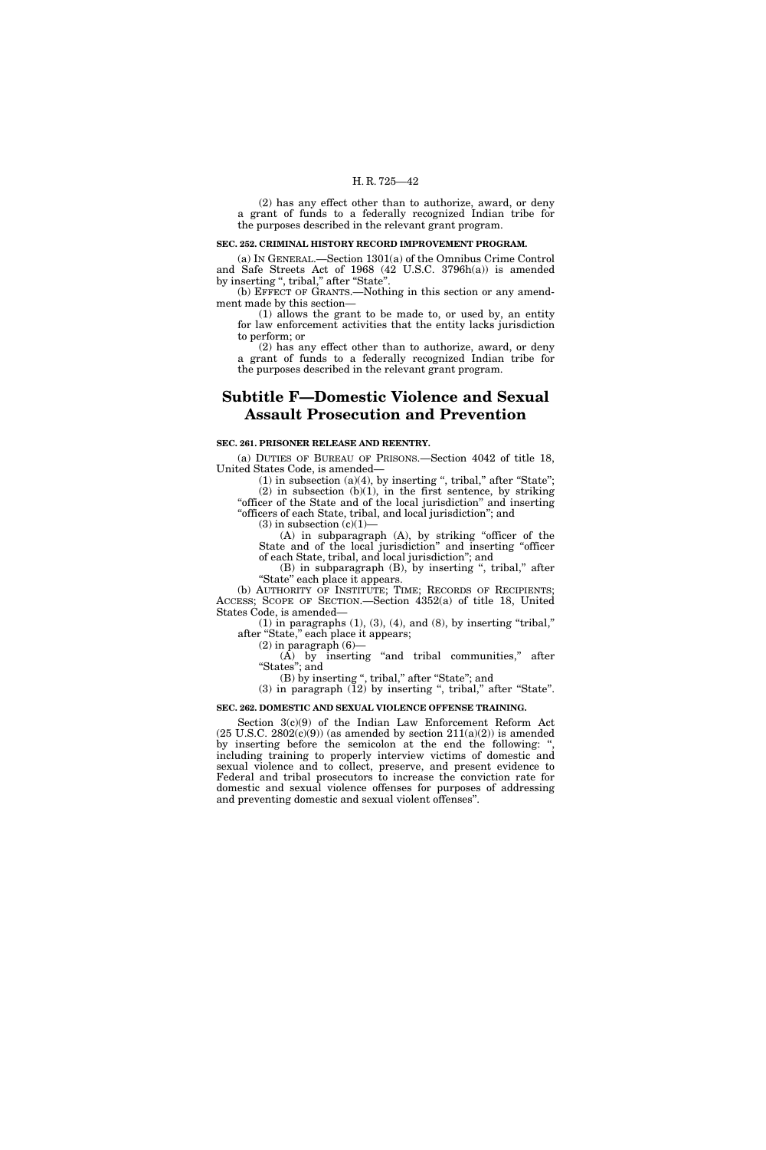(2) has any effect other than to authorize, award, or deny a grant of funds to a federally recognized Indian tribe for the purposes described in the relevant grant program.

### **SEC. 252. CRIMINAL HISTORY RECORD IMPROVEMENT PROGRAM.**

(a) IN GENERAL.—Section 1301(a) of the Omnibus Crime Control and Safe Streets Act of 1968 (42 U.S.C. 3796h(a)) is amended by inserting ", tribal," after "State".

(b) EFFECT OF GRANTS.—Nothing in this section or any amendment made by this section—

(1) allows the grant to be made to, or used by, an entity for law enforcement activities that the entity lacks jurisdiction to perform; or

(2) has any effect other than to authorize, award, or deny a grant of funds to a federally recognized Indian tribe for the purposes described in the relevant grant program.

### **Subtitle F—Domestic Violence and Sexual Assault Prosecution and Prevention**

#### **SEC. 261. PRISONER RELEASE AND REENTRY.**

(a) DUTIES OF BUREAU OF PRISONS.—Section 4042 of title 18, United States Code, is amended—

 $(1)$  in subsection  $(a)(4)$ , by inserting ", tribal," after "State";  $(2)$  in subsection  $(b)(1)$ , in the first sentence, by striking "officer of the State and of the local jurisdiction" and inserting "officers of each State, tribal, and local jurisdiction"; and

 $(3)$  in subsection  $(c)(1)$ —

(A) in subparagraph (A), by striking ''officer of the State and of the local jurisdiction'' and inserting ''officer of each State, tribal, and local jurisdiction''; and

(B) in subparagraph (B), by inserting ", tribal," after "State" each place it appears.

(b) AUTHORITY OF INSTITUTE; TIME; RECORDS OF RECIPIENTS; ACCESS; SCOPE OF SECTION.—Section 4352(a) of title 18, United States Code, is amended—

 $(1)$  in paragraphs  $(1)$ ,  $(3)$ ,  $(4)$ , and  $(8)$ , by inserting "tribal," after "State," each place it appears;

 $(2)$  in paragraph  $(6)$ 

 $(A)$  by inserting "and tribal communities," after ''States''; and

(B) by inserting ", tribal," after "State"; and  $(3)$  in paragraph  $(12)$  by inserting ", tribal," after "State".

### **SEC. 262. DOMESTIC AND SEXUAL VIOLENCE OFFENSE TRAINING.**

Section 3(c)(9) of the Indian Law Enforcement Reform Act  $(25 \text{ U.S.C. } 2802(c)(9))$  (as amended by section  $211(a)(2))$  is amended by inserting before the semicolon at the end the following: " including training to properly interview victims of domestic and sexual violence and to collect, preserve, and present evidence to Federal and tribal prosecutors to increase the conviction rate for domestic and sexual violence offenses for purposes of addressing and preventing domestic and sexual violent offenses''.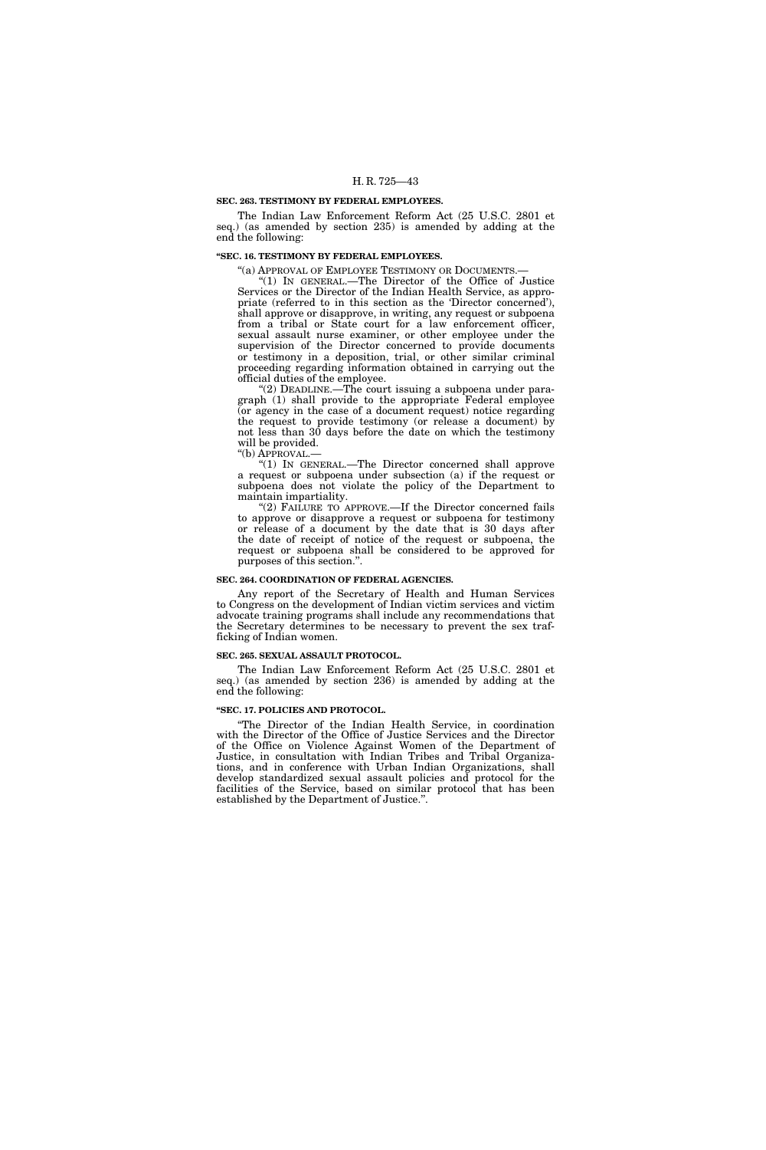#### **SEC. 263. TESTIMONY BY FEDERAL EMPLOYEES.**

The Indian Law Enforcement Reform Act (25 U.S.C. 2801 et seq.) (as amended by section 235) is amended by adding at the end the following:

### **''SEC. 16. TESTIMONY BY FEDERAL EMPLOYEES.**

"(a) APPROVAL OF EMPLOYEE TESTIMONY OR DOCUMENTS.-

''(1) IN GENERAL.—The Director of the Office of Justice Services or the Director of the Indian Health Service, as appropriate (referred to in this section as the 'Director concerned'), shall approve or disapprove, in writing, any request or subpoena from a tribal or State court for a law enforcement officer, sexual assault nurse examiner, or other employee under the supervision of the Director concerned to provide documents or testimony in a deposition, trial, or other similar criminal proceeding regarding information obtained in carrying out the official duties of the employee.

 $(2)$  DEADLINE.—The court issuing a subpoena under paragraph (1) shall provide to the appropriate Federal employee (or agency in the case of a document request) notice regarding the request to provide testimony (or release a document) by not less than 30 days before the date on which the testimony will be provided.

''(b) APPROVAL.—

''(1) IN GENERAL.—The Director concerned shall approve a request or subpoena under subsection (a) if the request or subpoena does not violate the policy of the Department to maintain impartiality.

"(2) FAILURE TO APPROVE.—If the Director concerned fails to approve or disapprove a request or subpoena for testimony or release of a document by the date that is 30 days after the date of receipt of notice of the request or subpoena, the request or subpoena shall be considered to be approved for purposes of this section.''.

### **SEC. 264. COORDINATION OF FEDERAL AGENCIES.**

Any report of the Secretary of Health and Human Services to Congress on the development of Indian victim services and victim advocate training programs shall include any recommendations that the Secretary determines to be necessary to prevent the sex trafficking of Indian women.

### **SEC. 265. SEXUAL ASSAULT PROTOCOL.**

The Indian Law Enforcement Reform Act (25 U.S.C. 2801 et seq.) (as amended by section 236) is amended by adding at the end the following:

### **''SEC. 17. POLICIES AND PROTOCOL.**

''The Director of the Indian Health Service, in coordination with the Director of the Office of Justice Services and the Director of the Office on Violence Against Women of the Department of Justice, in consultation with Indian Tribes and Tribal Organizations, and in conference with Urban Indian Organizations, shall develop standardized sexual assault policies and protocol for the facilities of the Service, based on similar protocol that has been established by the Department of Justice.''.